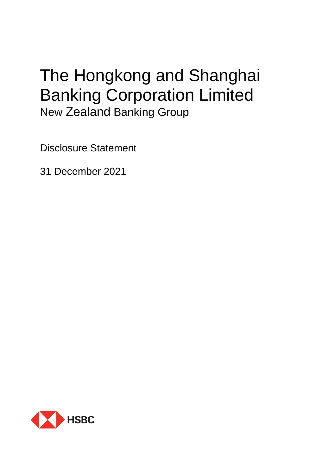# The Hongkong and Shanghai Banking Corporation Limited New Zealand Banking Group

Disclosure Statement

31 December 2021

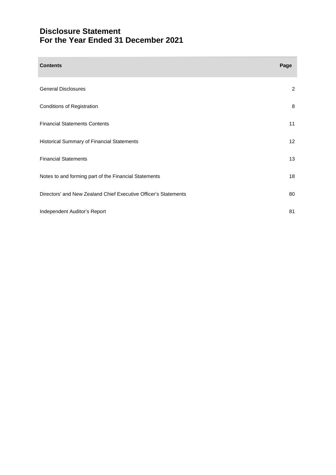# **Disclosure Statement For the Year Ended 31 December 2021**

| <b>Contents</b>                                                 | Page           |
|-----------------------------------------------------------------|----------------|
| <b>General Disclosures</b>                                      | $\overline{c}$ |
| Conditions of Registration                                      | 8              |
| <b>Financial Statements Contents</b>                            | 11             |
| Historical Summary of Financial Statements                      | 12             |
| <b>Financial Statements</b>                                     | 13             |
| Notes to and forming part of the Financial Statements           | 18             |
| Directors' and New Zealand Chief Executive Officer's Statements | 80             |
| Independent Auditor's Report                                    | 81             |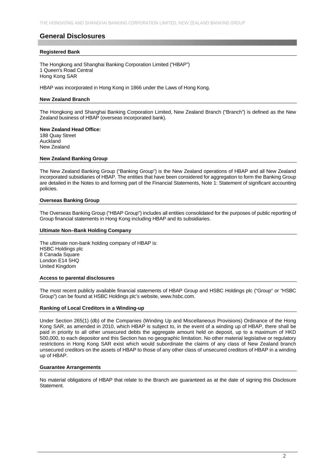# **General Disclosures**

#### **Registered Bank**

The Hongkong and Shanghai Banking Corporation Limited ("HBAP") 1 Queen's Road Central Hong Kong SAR

HBAP was incorporated in Hong Kong in 1866 under the Laws of Hong Kong.

#### **New Zealand Branch**

The Hongkong and Shanghai Banking Corporation Limited, New Zealand Branch ("Branch") is defined as the New Zealand business of HBAP (overseas incorporated bank).

#### **New Zealand Head Office:**

188 Quay Street Auckland New Zealand

#### **New Zealand Banking Group**

The New Zealand Banking Group ("Banking Group") is the New Zealand operations of HBAP and all New Zealand incorporated subsidiaries of HBAP. The entities that have been considered for aggregation to form the Banking Group are detailed in the Notes to and forming part of the Financial Statements, Note 1: Statement of significant accounting policies.

#### **Overseas Banking Group**

The Overseas Banking Group ("HBAP Group") includes all entities consolidated for the purposes of public reporting of Group financial statements in Hong Kong including HBAP and its subsidiaries.

#### **Ultimate Non–Bank Holding Company**

The ultimate non-bank holding company of HBAP is: HSBC Holdings plc 8 Canada Square London E14 5HQ United Kingdom

#### **Access to parental disclosures**

The most recent publicly available financial statements of HBAP Group and HSBC Holdings plc ("Group" or "HSBC Group") can be found at HSBC Holdings plc's website, www.hsbc.com.

#### **Ranking of Local Creditors in a Winding-up**

Under Section 265(1) (db) of the Companies (Winding Up and Miscellaneous Provisions) Ordinance of the Hong Kong SAR, as amended in 2010, which HBAP is subject to, in the event of a winding up of HBAP, there shall be paid in priority to all other unsecured debts the aggregate amount held on deposit, up to a maximum of HKD 500,000, to each depositor and this Section has no geographic limitation. No other material legislative or regulatory restrictions in Hong Kong SAR exist which would subordinate the claims of any class of New Zealand branch unsecured creditors on the assets of HBAP to those of any other class of unsecured creditors of HBAP in a winding up of HBAP.

#### **Guarantee Arrangements**

No material obligations of HBAP that relate to the Branch are guaranteed as at the date of signing this Disclosure **Statement**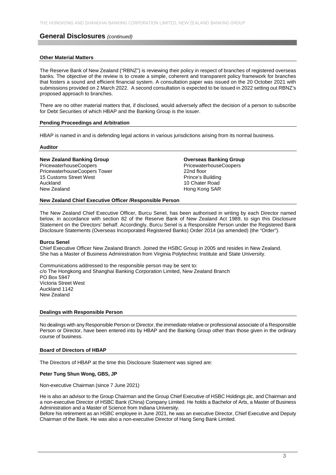#### **Other Material Matters**

The Reserve Bank of New Zealand ("RBNZ") is reviewing their policy in respect of branches of registered overseas banks. The objective of the review is to create a simple, coherent and transparent policy framework for branches that fosters a sound and efficient financial system. A consultation paper was issued on the 20 October 2021 with submissions provided on 2 March 2022. A second consultation is expected to be issued in 2022 setting out RBNZ's proposed approach to branches.

There are no other material matters that, if disclosed, would adversely affect the decision of a person to subscribe for Debt Securities of which HBAP and the Banking Group is the issuer.

#### **Pending Proceedings and Arbitration**

HBAP is named in and is defending legal actions in various jurisdictions arising from its normal business.

#### **Auditor**

#### **New Zealand Banking Group Contract Contract Contract Contract Contract Contract Contract Contract Contract Contract Contract Contract Contract Contract Contract Contract Contract Contract Contract Contract Contract Contra**

PricewaterhouseCoopers PricewaterhouseCoopers PricewaterhouseCoopers Tower 22nd floor 15 Customs Street West **Prince's Building** Auckland 10 Chater Road<br>
New Zealand 10 Chater Road<br>
New Zealand 1990

# Hong Kong SAR

#### **New Zealand Chief Executive Officer /Responsible Person**

The New Zealand Chief Executive Officer, Burcu Senel, has been authorised in writing by each Director named below, in accordance with section 82 of the Reserve Bank of New Zealand Act 1989, to sign this Disclosure Statement on the Directors' behalf. Accordingly, Burcu Senel is a Responsible Person under the Registered Bank Disclosure Statements (Overseas Incorporated Registered Banks) Order 2014 (as amended) (the "Order").

#### **Burcu Senel**

Chief Executive Officer New Zealand Branch. Joined the HSBC Group in 2005 and resides in New Zealand. She has a Master of Business Administration from Virginia Polytechnic Institute and State University.

Communications addressed to the responsible person may be sent to: c/o The Hongkong and Shanghai Banking Corporation Limited, New Zealand Branch PO Box 5947 Victoria Street West Auckland 1142 New Zealand

#### **Dealings with Responsible Person**

No dealings with any Responsible Person or Director, the immediate relative or professional associate of a Responsible Person or Director, have been entered into by HBAP and the Banking Group other than those given in the ordinary course of business.

#### **Board of Directors of HBAP**

The Directors of HBAP at the time this Disclosure Statement was signed are:

#### **Peter Tung Shun Wong, GBS, JP**

Non-executive Chairman (since 7 June 2021)

He is also an advisor to the Group Chairman and the Group Chief Executive of HSBC Holdings plc, and Chairman and a non-executive Director of HSBC Bank (China) Company Limited. He holds a Bachelor of Arts, a Master of Business Administration and a Master of Science from Indiana University.

Before his retirement as an HSBC employee in June 2021, he was an executive Director, Chief Executive and Deputy Chairman of the Bank. He was also a non-executive Director of Hang Seng Bank Limited.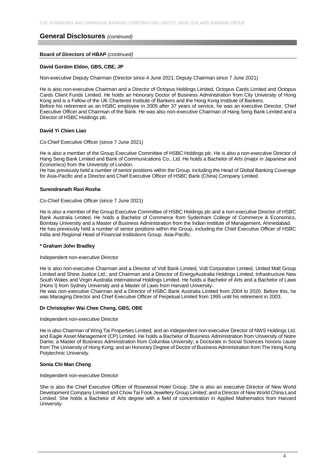#### **Board of Directors of HBAP** *(continued)*

#### **David Gordon Eldon, GBS, CBE, JP**

Non-executive Deputy Chairman (Director since 4 June 2021; Deputy Chairman since 7 June 2021)

He is also non-executive Chairman and a Director of Octopus Holdings Limited, Octopus Cards Limited and Octopus Cards Client Funds Limited. He holds an Honorary Doctor of Business Administration from City University of Hong Kong and is a Fellow of the UK Chartered Institute of Bankers and the Hong Kong Institute of Bankers. Before his retirement as an HSBC employee in 2005 after 37 years of service, he was an executive Director, Chief Executive Officer and Chairman of the Bank. He was also non-executive Chairman of Hang Seng Bank Limited and a Director of HSBC Holdings plc.

#### **David Yi Chien Liao**

Co-Chief Executive Officer (since 7 June 2021)

He is also a member of the Group Executive Committee of HSBC Holdings plc. He is also a non-executive Director of Hang Seng Bank Limited and Bank of Communications Co., Ltd. He holds a Bachelor of Arts (major in Japanese and Economics) from the University of London.

He has previously held a number of senior positions within the Group, including the Head of Global Banking Coverage for Asia-Pacific and a Director and Chief Executive Officer of HSBC Bank (China) Company Limited.

#### **Surendranath Ravi Rosha**

Co-Chief Executive Officer (since 7 June 2021)

He is also a member of the Group Executive Committee of HSBC Holdings plc and a non-executive Director of HSBC Bank Australia Limited. He holds a Bachelor of Commerce from Sydenham College of Commerce & Economics, Bombay University and a Master of Business Administration from the Indian Institute of Management, Ahmedabad. He has previously held a number of senior positions within the Group, including the Chief Executive Officer of HSBC India and Regional Head of Financial Institutions Group, Asia-Pacific.

#### **\* Graham John Bradley**

#### Independent non-executive Director

He is also non-executive Chairman and a Director of Volt Bank Limited, Volt Corporation Limited, United Malt Group Limited and Shine Justice Ltd.; and Chairman and a Director of EnergyAustralia Holdings Limited, Infrastructure New South Wales and Virgin Australia International Holdings Limited. He holds a Bachelor of Arts and a Bachelor of Laws (Hons I) from Sydney University and a Master of Laws from Harvard University.

He was non-executive Chairman and a Director of HSBC Bank Australia Limited from 2004 to 2020. Before this, he was Managing Director and Chief Executive Officer of Perpetual Limited from 1995 until his retirement in 2003.

#### **Dr Christopher Wai Chee Cheng, GBS, OBE**

#### Independent non-executive Director

He is also Chairman of Wing Tai Properties Limited; and an independent non-executive Director of NWS Holdings Ltd. and Eagle Asset Management (CP) Limited. He holds a Bachelor of Business Administration from University of Notre Dame; a Master of Business Administration from Columbia University; a Doctorate in Social Sciences honoris cause from The University of Hong Kong; and an Honorary Degree of Doctor of Business Administration from The Hong Kong Polytechnic University.

#### **Sonia Chi Man Cheng**

#### Independent non-executive Director

She is also the Chief Executive Officer of Rosewood Hotel Group. She is also an executive Director of New World Development Company Limited and Chow Tai Fook Jewellery Group Limited; and a Director of New World China Land Limited. She holds a Bachelor of Arts degree with a field of concentration in Applied Mathematics from Harvard University.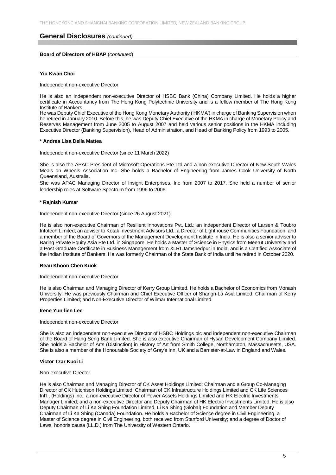#### **Board of Directors of HBAP** (*continued*)

#### **Yiu Kwan Choi**

Independent non-executive Director

He is also an independent non-executive Director of HSBC Bank (China) Company Limited. He holds a higher certificate in Accountancy from The Hong Kong Polytechnic University and is a fellow member of The Hong Kong Institute of Bankers.

He was Deputy Chief Executive of the Hong Kong Monetary Authority ('HKMA') in charge of Banking Supervision when he retired in January 2010. Before this, he was Deputy Chief Executive of the HKMA in charge of Monetary Policy and Reserves Management from June 2005 to August 2007 and held various senior positions in the HKMA including Executive Director (Banking Supervision), Head of Administration, and Head of Banking Policy from 1993 to 2005.

#### **\* Andrea Lisa Della Mattea**

Independent non-executive Director (since 11 March 2022)

She is also the APAC President of Microsoft Operations Pte Ltd and a non-executive Director of New South Wales Meals on Wheels Association Inc. She holds a Bachelor of Engineering from James Cook University of North Queensland, Australia.

She was APAC Managing Director of Insight Enterprises, Inc from 2007 to 2017. She held a number of senior leadership roles at Software Spectrum from 1996 to 2006.

#### **\* Rajnish Kumar**

Independent non-executive Director (since 26 August 2021)

He is also non-executive Chairman of Resilient Innovations Pvt. Ltd.; an independent Director of Larsen & Toubro Infotech Limited; an adviser to Kotak Investment Advisors Ltd.; a Director of Lighthouse Communities Foundation; and a member of the Board of Governors of the Management Development Institute in India. He is also a senior adviser to Baring Private Equity Asia Pte Ltd. in Singapore. He holds a Master of Science in Physics from Meerut University and a Post Graduate Certificate in Business Management from XLRI Jamshedpur in India, and is a Certified Associate of the Indian Institute of Bankers. He was formerly Chairman of the State Bank of India until he retired in October 2020.

#### **Beau Khoon Chen Kuok**

#### Independent non-executive Director

He is also Chairman and Managing Director of Kerry Group Limited. He holds a Bachelor of Economics from Monash University. He was previously Chairman and Chief Executive Officer of Shangri-La Asia Limited; Chairman of Kerry Properties Limited; and Non-Executive Director of Wilmar International Limited.

#### **Irene Yun-lien Lee**

#### Independent non-executive Director

She is also an independent non-executive Director of HSBC Holdings plc and independent non-executive Chairman of the Board of Hang Seng Bank Limited. She is also executive Chairman of Hysan Development Company Limited. She holds a Bachelor of Arts (Distinction) in History of Art from Smith College, Northampton, Massachusetts, USA. She is also a member of the Honourable Society of Gray's Inn, UK and a Barrister-at-Law in England and Wales.

#### **Victor Tzar Kuoi Li**

#### Non-executive Director

He is also Chairman and Managing Director of CK Asset Holdings Limited; Chairman and a Group Co-Managing Director of CK Hutchison Holdings Limited; Chairman of CK Infrastructure Holdings Limited and CK Life Sciences Int'l., (Holdings) Inc.; a non-executive Director of Power Assets Holdings Limited and HK Electric Investments Manager Limited; and a non-executive Director and Deputy Chairman of HK Electric Investments Limited. He is also Deputy Chairman of Li Ka Shing Foundation Limited, Li Ka Shing (Global) Foundation and Member Deputy Chairman of Li Ka Shing (Canada) Foundation. He holds a Bachelor of Science degree in Civil Engineering, a Master of Science degree in Civil Engineering, both received from Stanford University; and a degree of Doctor of Laws, honoris causa (LL.D.) from The University of Western Ontario.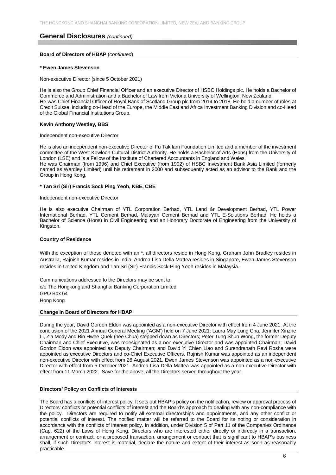#### **Board of Directors of HBAP** (*continued*)

#### **\* Ewen James Stevenson**

#### Non-executive Director (since 5 October 2021)

He is also the Group Chief Financial Officer and an executive Director of HSBC Holdings plc. He holds a Bachelor of Commerce and Administration and a Bachelor of Law from Victoria University of Wellington, New Zealand. He was Chief Financial Officer of Royal Bank of Scotland Group plc from 2014 to 2018. He held a number of roles at Credit Suisse, including co-Head of the Europe, the Middle East and Africa Investment Banking Division and co-Head of the Global Financial Institutions Group.

#### **Kevin Anthony Westley, BBS**

#### Independent non-executive Director

He is also an independent non-executive Director of Fu Tak lam Foundation Limited and a member of the investment committee of the West Kowloon Cultural District Authority. He holds a Bachelor of Arts (Hons) from the University of London (LSE) and is a Fellow of the Institute of Chartered Accountants in England and Wales. He was Chairman (from 1996) and Chief Executive (from 1992) of HSBC Investment Bank Asia Limited (formerly

named as Wardley Limited) until his retirement in 2000 and subsequently acted as an advisor to the Bank and the Group in Hong Kong.

#### **\* Tan Sri (Sir) Francis Sock Ping Yeoh, KBE, CBE**

#### Independent non-executive Director

He is also executive Chairman of YTL Corporation Berhad, YTL Land &r Development Berhad, YTL Power International Berhad, YTL Cement Berhad, Malayan Cement Berhad and YTL E-Solutions Berhad. He holds a Bachelor of Science (Hons) in Civil Engineering and an Honorary Doctorate of Engineering from the University of Kingston.

#### **Country of Residence**

With the exception of those denoted with an \*, all directors reside in Hong Kong. Graham John Bradley resides in Australia, Rajnish Kumar resides in India, Andrea Lisa Della Mattea resides in Singapore, Ewen James Stevenson resides in United Kingdom and Tan Sri (Sir) Francis Sock Ping Yeoh resides in Malaysia.

Communications addressed to the Directors may be sent to: c/o The Hongkong and Shanghai Banking Corporation Limited GPO Box 64 Hong Kong

#### **Change in Board of Directors for HBAP**

During the year, David Gordon Eldon was appointed as a non-executive Director with effect from 4 June 2021. At the conclusion of the 2021 Annual General Meeting ('AGM') held on 7 June 2021: Laura May Lung Cha, Jennifer Xinzhe Li, Zia Mody and Bin Hwee Quek (née Chua) stepped down as Directors; Peter Tung Shun Wong, the former Deputy Chairman and Chief Executive, was redesignated as a non-executive Director and was appointed Chairman; David Gordon Eldon was appointed as Deputy Chairman; and David Yi Chien Liao and Surendranath Ravi Rosha were appointed as executive Directors and co-Chief Executive Officers. Rajnish Kumar was appointed as an independent non-executive Director with effect from 26 August 2021. Ewen James Stevenson was appointed as a non-executive Director with effect from 5 October 2021. Andrea Lisa Della Mattea was appointed as a non-executive Director with effect from 11 March 2022. Save for the above, all the Directors served throughout the year.

#### **Directors' Policy on Conflicts of Interests**

The Board has a conflicts of interest policy. It sets out HBAP's policy on the notification, review or approval process of Directors' conflicts or potential conflicts of interest and the Board's approach to dealing with any non-compliance with the policy. Directors are required to notify all external directorships and appointments, and any other conflict or potential conflicts of interest. The notified matter will be referred to the Board for its noting or consideration in accordance with the conflicts of interest policy. In addition, under Division 5 of Part 11 of the Companies Ordinance (Cap. 622) of the Laws of Hong Kong, Directors who are interested either directly or indirectly in a transaction, arrangement or contract, or a proposed transaction, arrangement or contract that is significant to HBAP's business shall, if such Director's interest is material, declare the nature and extent of their interest as soon as reasonably practicable.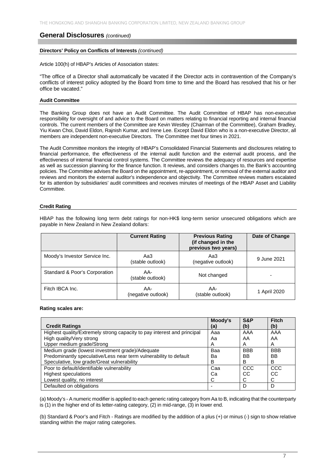#### **Directors' Policy on Conflicts of Interests** *(continued)*

Article 100(h) of HBAP's Articles of Association states:

"The office of a Director shall automatically be vacated if the Director acts in contravention of the Company's conflicts of interest policy adopted by the Board from time to time and the Board has resolved that his or her office be vacated."

#### **Audit Committee**

The Banking Group does not have an Audit Committee. The Audit Committee of HBAP has non-executive responsibility for oversight of and advice to the Board on matters relating to financial reporting and internal financial controls. The current members of the Committee are Kevin Westley (Chairman of the Committee), Graham Bradley, Yiu Kwan Choi, David Eldon, Rajnish Kumar, and Irene Lee. Except David Eldon who is a non-executive Director, all members are independent non-executive Directors. The Committee met four times in 2021.

The Audit Committee monitors the integrity of HBAP's Consolidated Financial Statements and disclosures relating to financial performance, the effectiveness of the internal audit function and the external audit process, and the effectiveness of internal financial control systems. The Committee reviews the adequacy of resources and expertise as well as succession planning for the finance function. It reviews, and considers changes to, the Bank's accounting policies. The Committee advises the Board on the appointment, re-appointment, or removal of the external auditor and reviews and monitors the external auditor's independence and objectivity. The Committee reviews matters escalated for its attention by subsidiaries' audit committees and receives minutes of meetings of the HBAP Asset and Liability **Committee** 

#### **Credit Rating**

|                               | <b>Current Rating</b>     | <b>Previous Rating</b><br>(if changed in the<br>previous two years) | Date of Change |
|-------------------------------|---------------------------|---------------------------------------------------------------------|----------------|
| Moody's Investor Service Inc. | Aa3<br>(stable outlook)   | Aa3<br>(negative outlook)                                           | 9 June 2021    |
| Standard & Poor's Corporation | AA-<br>(stable outlook)   | Not changed                                                         |                |
| Fitch IBCA Inc.               | AA-<br>(negative outlook) | AA-<br>(stable outlook)                                             | 1 April 2020   |

HBAP has the following long term debt ratings for non-HK\$ long-term senior unsecured obligations which are payable in New Zealand in New Zealand dollars:

#### **Rating scales are:**

|                                                                         | Moody's | <b>S&amp;P</b> | <b>Fitch</b> |
|-------------------------------------------------------------------------|---------|----------------|--------------|
| <b>Credit Ratings</b>                                                   | (a)     | (b)            | (b)          |
| Highest quality/Extremely strong capacity to pay interest and principal | Aaa     | AAA            | AAA          |
| High quality/Very strong                                                | Aa      | AA             | AA           |
| Upper medium grade/Strong                                               | A       | A              | A            |
| Medium grade (lowest investment grade)/Adequate                         | Baa     | <b>BBB</b>     | <b>BBB</b>   |
| Predominantly speculative/Less near term vulnerability to default       | Ba      | <b>BB</b>      | BB           |
| Speculative, low grade/Great vulnerability                              | в       | B              | B            |
| Poor to default/identifiable vulnerability                              | Caa     | CCC            | CCC          |
| <b>Highest speculations</b>                                             | Ca      | CC             | CC           |
| Lowest quality, no interest                                             | C       | C              | С            |
| Defaulted on obligations                                                |         | D              | D            |

(a) Moody's - A numeric modifier is applied to each generic rating category from Aa to B, indicating that the counterparty is (1) in the higher end of its letter-rating category, (2) in mid-range, (3) in lower end.

(b) Standard & Poor's and Fitch - Ratings are modified by the addition of a plus (+) or minus (-) sign to show relative standing within the major rating categories.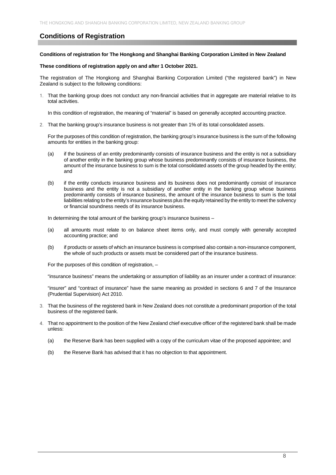# **Conditions of Registration**

#### **Conditions of registration for The Hongkong and Shanghai Banking Corporation Limited in New Zealand**

#### **These conditions of registration apply on and after 1 October 2021.**

The registration of The Hongkong and Shanghai Banking Corporation Limited ("the registered bank") in New Zealand is subject to the following conditions:

1. That the banking group does not conduct any non-financial activities that in aggregate are material relative to its total activities.

In this condition of registration, the meaning of "material" is based on generally accepted accounting practice.

2. That the banking group's insurance business is not greater than 1% of its total consolidated assets.

For the purposes of this condition of registration, the banking group's insurance business is the sum of the following amounts for entities in the banking group:

- (a) if the business of an entity predominantly consists of insurance business and the entity is not a subsidiary of another entity in the banking group whose business predominantly consists of insurance business, the amount of the insurance business to sum is the total consolidated assets of the group headed by the entity; and
- (b) if the entity conducts insurance business and its business does not predominantly consist of insurance business and the entity is not a subsidiary of another entity in the banking group whose business predominantly consists of insurance business, the amount of the insurance business to sum is the total liabilities relating to the entity's insurance business plus the equity retained by the entity to meet the solvency or financial soundness needs of its insurance business.

In determining the total amount of the banking group's insurance business –

- (a) all amounts must relate to on balance sheet items only, and must comply with generally accepted accounting practice; and
- (b) if products or assets of which an insurance business is comprised also contain a non-insurance component, the whole of such products or assets must be considered part of the insurance business.

For the purposes of this condition of registration, –

"insurance business" means the undertaking or assumption of liability as an insurer under a contract of insurance:

"insurer" and "contract of insurance" have the same meaning as provided in sections 6 and 7 of the Insurance (Prudential Supervision) Act 2010.

- 3. That the business of the registered bank in New Zealand does not constitute a predominant proportion of the total business of the registered bank.
- 4. That no appointment to the position of the New Zealand chief executive officer of the registered bank shall be made unless:
	- (a) the Reserve Bank has been supplied with a copy of the curriculum vitae of the proposed appointee; and
	- (b) the Reserve Bank has advised that it has no objection to that appointment.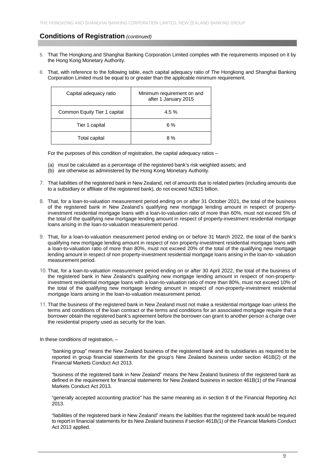# **Conditions of Registration** *(continued)*

- 5. That The Hongkong and Shanghai Banking Corporation Limited complies with the requirements imposed on it by the Hong Kong Monetary Authority.
- 6. That, with reference to the following table, each capital adequacy ratio of The Hongkong and Shanghai Banking Corporation Limited must be equal to or greater than the applicable minimum requirement.

| Capital adequacy ratio       | Minimum requirement on and<br>after 1 January 2015 |
|------------------------------|----------------------------------------------------|
| Common Equity Tier 1 capital | $4.5\%$                                            |
| Tier 1 capital               | 6%                                                 |
| Total capital                | 8%                                                 |

For the purposes of this condition of registration, the capital adequacy ratios –

- (a) must be calculated as a percentage of the registered bank's risk weighted assets; and
- (b) are otherwise as administered by the Hong Kong Monetary Authority.
- 7. That liabilities of the registered bank in New Zealand, net of amounts due to related parties (including amounts due to a subsidiary or affiliate of the registered bank), do not exceed NZ\$15 billion.
- 8. That, for a loan-to-valuation measurement period ending on or after 31 October 2021, the total of the business of the registered bank in New Zealand's qualifying new mortgage lending amount in respect of propertyinvestment residential mortgage loans with a loan-to-valuation ratio of more than 60%, must not exceed 5% of the total of the qualifying new mortgage lending amount in respect of property-investment residential mortgage loans arising in the loan-to-valuation measurement period.
- 9. That, for a loan-to-valuation measurement period ending on or before 31 March 2022, the total of the bank's qualifying new mortgage lending amount in respect of non property-investment residential mortgage loans with a loan-to-valuation ratio of more than 80%, must not exceed 20% of the total of the qualifying new mortgage lending amount in respect of non property-investment residential mortgage loans arising in the loan-to- valuation measurement period.
- 10. That, for a loan-to-valuation measurement period ending on or after 30 April 2022, the total of the business of the registered bank in New Zealand's qualifying new mortgage lending amount in respect of non-propertyinvestment residential mortgage loans with a loan-to-valuation ratio of more than 80%, must not exceed 10% of the total of the qualifying new mortgage lending amount in respect of non-property-investment residential mortgage loans arising in the loan-to-valuation measurement period.
- 11. That the business of the registered bank in New Zealand must not make a residential mortgage loan unless the terms and conditions of the loan contract or the terms and conditions for an associated mortgage require that a borrower obtain the registered bank's agreement before the borrower can grant to another person a charge over the residential property used as security for the loan.

In these conditions of registration, –

"banking group" means the New Zealand business of the registered bank and its subsidiaries as required to be reported in group financial statements for the group's New Zealand business under section 461B(2) of the Financial Markets Conduct Act 2013.

"business of the registered bank in New Zealand" means the New Zealand business of the registered bank as defined in the requirement for financial statements for New Zealand business in section 461B(1) of the Financial Markets Conduct Act 2013.

"generally accepted accounting practice" has the same meaning as in section 8 of the Financial Reporting Act 2013.

"liabilities of the registered bank in New Zealand" means the liabilities that the registered bank would be required to report in financial statements for its New Zealand business if section 461B(1) of the Financial Markets Conduct Act 2013 applied.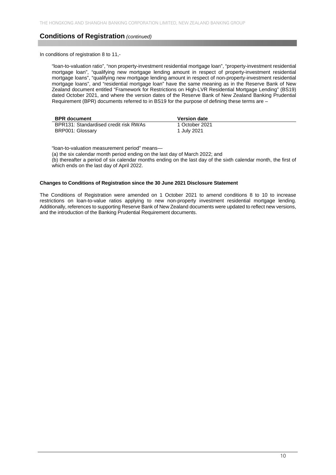# **Conditions of Registration** *(continued)*

In conditions of registration 8 to 11,-

"loan-to-valuation ratio", "non property-investment residential mortgage loan", "property-investment residential mortgage loan", "qualifying new mortgage lending amount in respect of property-investment residential mortgage loans", "qualifying new mortgage lending amount in respect of non-property-investment residential mortgage lending amount in respect of non-property-investment residential mortgage loans", and "residential mortgage loan" have the same meaning as in the Reserve Bank of New Zealand document entitled "Framework for Restrictions on High-LVR Residential Mortgage Lending" (BS19) dated October 2021, and where the version dates of the Reserve Bank of New Zealand Banking Prudential Requirement (BPR) documents referred to in BS19 for the purpose of defining these terms are –

| <b>BPR</b> document                   | <b>Version date</b> |
|---------------------------------------|---------------------|
| BPR131: Standardised credit risk RWAs | 1 October 2021      |
| BRP001: Glossary                      | 1 July 2021         |

"loan-to-valuation measurement period" means—

(a) the six calendar month period ending on the last day of March 2022; and

(b) thereafter a period of six calendar months ending on the last day of the sixth calendar month, the first of which ends on the last day of April 2022.

#### **Changes to Conditions of Registration since the 30 June 2021 Disclosure Statement**

The Conditions of Registration were amended on 1 October 2021 to amend conditions 8 to 10 to increase restrictions on loan-to-value ratios applying to new non-property investment residential mortgage lending. Additionally, references to supporting Reserve Bank of New Zealand documents were updated to reflect new versions, and the introduction of the Banking Prudential Requirement documents.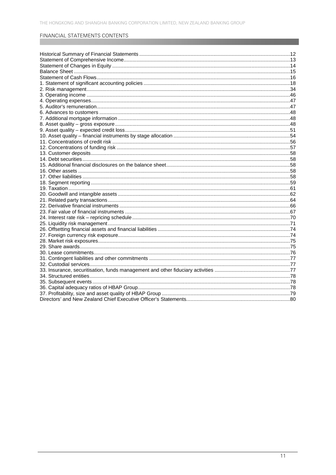# FINANCIAL STATEMENTS CONTENTS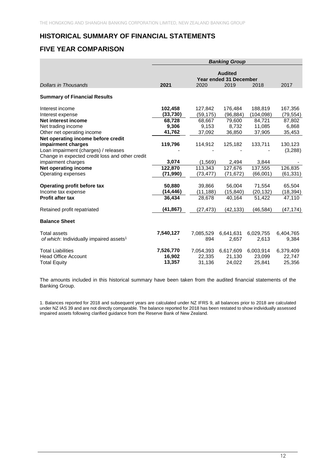# **HISTORICAL SUMMARY OF FINANCIAL STATEMENTS**

# **FIVE YEAR COMPARISON**

|                                                                                                               | <b>Banking Group</b>          |                               |                                                  |                               |                               |
|---------------------------------------------------------------------------------------------------------------|-------------------------------|-------------------------------|--------------------------------------------------|-------------------------------|-------------------------------|
| <b>Dollars in Thousands</b>                                                                                   | 2021                          | 2020                          | <b>Audited</b><br>Year ended 31 December<br>2019 | 2018                          | 2017                          |
| <b>Summary of Financial Results</b>                                                                           |                               |                               |                                                  |                               |                               |
| Interest income<br>Interest expense                                                                           | 102,458<br>(33,730)           | 127,842<br>(59, 175)          | 176,484<br>(96, 884)                             | 188,819<br>(104, 098)         | 167,356<br>(79, 554)          |
| <b>Net interest income</b><br>Net trading income                                                              | 68,728<br>9,306               | 68,667<br>9,153               | 79,600<br>8,732                                  | 84,721<br>11,085              | 87,802<br>6,868               |
| Other net operating income<br>Net operating income before credit<br>impairment charges                        | 41,762<br>119,796             | 37,092<br>114,912             | 36,850<br>125,182                                | 37,905<br>133,711             | 35,453<br>130,123             |
| Loan impairment (charges) / releases<br>Change in expected credit loss and other credit<br>impairment charges | 3,074                         | (1,569)                       | 2,494                                            | 3,844                         | (3,288)                       |
| Net operating income<br>Operating expenses                                                                    | 122,870<br>(71,990)           | 113,343<br>(73, 477)          | 127,676<br>(71, 672)                             | 137,555<br>(66,001)           | 126,835<br>(61, 331)          |
| Operating profit before tax<br>Income tax expense<br><b>Profit after tax</b>                                  | 50,880<br>(14, 446)<br>36.434 | 39,866<br>(11, 188)<br>28,678 | 56,004<br>(15, 840)<br>40.164                    | 71,554<br>(20, 132)<br>51,422 | 65,504<br>(18, 394)<br>47,110 |
| Retained profit repatriated                                                                                   | (41,867)                      | (27,473)                      | (42, 133)                                        | (46, 584)                     | (47, 174)                     |
| <b>Balance Sheet</b>                                                                                          |                               |                               |                                                  |                               |                               |
| <b>Total assets</b><br>of which: Individually impaired assets <sup>1</sup>                                    | 7,540,127                     | 7,085,529<br>894              | 6,641,631<br>2,657                               | 6,029,755<br>2,613            | 6,404,765<br>9,384            |
| <b>Total Liabilities</b><br><b>Head Office Account</b><br><b>Total Equity</b>                                 | 7,526,770<br>16,902<br>13,357 | 7,054,393<br>22,335<br>31,136 | 6,617,609<br>21,130<br>24,022                    | 6,003,914<br>23,099<br>25,841 | 6,379,409<br>22,747<br>25,356 |

The amounts included in this historical summary have been taken from the audited financial statements of the Banking Group.

1. Balances reported for 2018 and subsequent years are calculated under NZ IFRS 9, all balances prior to 2018 are calculated under NZ IAS 39 and are not directly comparable. The balance reported for 2018 has been restated to show individually assessed impaired assets following clarified guidance from the Reserve Bank of New Zealand.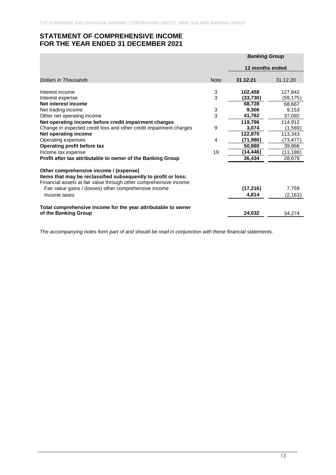# **STATEMENT OF COMPREHENSIVE INCOME FOR THE YEAR ENDED 31 DECEMBER 2021**

|                                                                                                                                                                                                                                          |                           | <b>Banking Group</b> |           |
|------------------------------------------------------------------------------------------------------------------------------------------------------------------------------------------------------------------------------------------|---------------------------|----------------------|-----------|
|                                                                                                                                                                                                                                          |                           | 12 months ended      |           |
| Dollars in Thousands                                                                                                                                                                                                                     | <b>Note</b>               | 31.12.21             | 31.12.20  |
| Interest income                                                                                                                                                                                                                          | 3                         | 102,458              | 127,842   |
| Interest expense                                                                                                                                                                                                                         | $\overline{3}$            | (33, 730)            | (59, 175) |
| Net interest income                                                                                                                                                                                                                      |                           | 68,728               | 68,667    |
| Net trading income                                                                                                                                                                                                                       | $\ensuremath{\mathsf{3}}$ | 9,306                | 9.153     |
| Other net operating income                                                                                                                                                                                                               | $\overline{3}$            | 41,762               | 37,092    |
| Net operating income before credit impairment charges                                                                                                                                                                                    |                           | 119,796              | 114,912   |
| Change in expected credit loss and other credit impairment charges                                                                                                                                                                       | 9                         | 3,074                | (1, 569)  |
| Net operating income                                                                                                                                                                                                                     |                           | 122,870              | 113,343   |
| Operating expenses                                                                                                                                                                                                                       | 4                         | (71,990)             | (73,477)  |
| Operating profit before tax                                                                                                                                                                                                              |                           | 50,880               | 39,866    |
| Income tax expense                                                                                                                                                                                                                       | 19                        | (14,446)             | (11,188)  |
| Profit after tax attributable to owner of the Banking Group                                                                                                                                                                              |                           | 36,434               | 28,678    |
| Other comprehensive income / (expense)<br>Items that may be reclassified subsequently to profit or loss:<br>Financial assets at fair value through other comprehensive income:<br>Fair value gains / (losses) other comprehensive income |                           | (17, 216)            | 7,759     |
| Income taxes                                                                                                                                                                                                                             |                           | 4,814                | (2, 163)  |
| Total comprehensive income for the year attributable to owner                                                                                                                                                                            |                           |                      |           |
| of the Banking Group                                                                                                                                                                                                                     |                           | 24,032               | 34.274    |

*The accompanying notes form part of and should be read in conjunction with these financial statements.*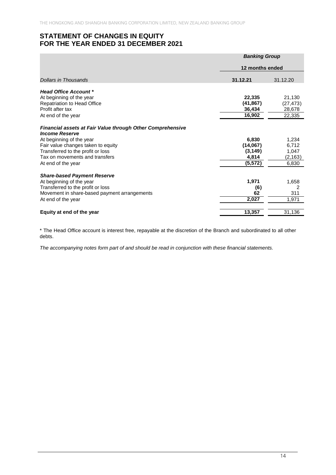# **STATEMENT OF CHANGES IN EQUITY FOR THE YEAR ENDED 31 DECEMBER 2021**

|                                                                                     | <b>Banking Group</b> |                 |  |
|-------------------------------------------------------------------------------------|----------------------|-----------------|--|
|                                                                                     |                      | 12 months ended |  |
| Dollars in Thousands                                                                | 31.12.21             | 31.12.20        |  |
| <b>Head Office Account *</b>                                                        |                      |                 |  |
| At beginning of the year                                                            | 22,335               | 21.130          |  |
| <b>Repatriation to Head Office</b>                                                  | (41, 867)            | (27, 473)       |  |
| Profit after tax                                                                    | 36,434               | 28,678          |  |
| At end of the year                                                                  | 16,902               | 22,335          |  |
|                                                                                     |                      |                 |  |
| Financial assets at Fair Value through Other Comprehensive<br><b>Income Reserve</b> |                      |                 |  |
| At beginning of the year                                                            | 6,830                | 1,234           |  |
| Fair value changes taken to equity                                                  | (14,067)             | 6,712           |  |
| Transferred to the profit or loss                                                   | (3, 149)             | 1,047           |  |
| Tax on movements and transfers                                                      | 4,814                | (2, 163)        |  |
| At end of the year                                                                  | (5, 572)             | 6,830           |  |
|                                                                                     |                      |                 |  |
| <b>Share-based Payment Reserve</b>                                                  |                      |                 |  |
| At beginning of the year                                                            | 1,971                | 1,658           |  |
| Transferred to the profit or loss                                                   | (6)                  | 2               |  |
| Movement in share-based payment arrangements                                        | 62                   | 311             |  |
| At end of the year                                                                  | 2,027                | 1,971           |  |
|                                                                                     |                      |                 |  |
| Equity at end of the year                                                           | 13,357               | 31,136          |  |

\* The Head Office account is interest free, repayable at the discretion of the Branch and subordinated to all other debts.

*The accompanying notes form part of and should be read in conjunction with these financial statements.*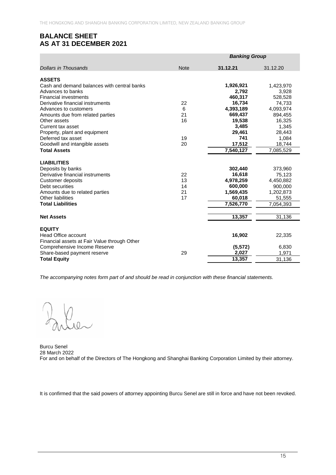# **BALANCE SHEET AS AT 31 DECEMBER 2021**

|                                              |             | <b>Banking Group</b> |           |  |
|----------------------------------------------|-------------|----------------------|-----------|--|
| <b>Dollars in Thousands</b>                  | <b>Note</b> | 31.12.21             | 31.12.20  |  |
| <b>ASSETS</b>                                |             |                      |           |  |
| Cash and demand balances with central banks  |             | 1,926,921            | 1,423,970 |  |
| Advances to banks                            |             | 2,792                | 3,928     |  |
| <b>Financial investments</b>                 |             | 460,317              | 528,528   |  |
| Derivative financial instruments             | 22          | 16,734               | 74,733    |  |
| Advances to customers                        | 6           | 4,393,189            | 4,093,974 |  |
| Amounts due from related parties             | 21          | 669,437              | 894,455   |  |
| Other assets                                 | 16          | 19,538               | 16,325    |  |
| Current tax asset                            |             | 3,485                | 1,345     |  |
| Property, plant and equipment                |             | 29,461               | 28,443    |  |
| Deferred tax asset                           | 19          | 741                  | 1,084     |  |
| Goodwill and intangible assets               | 20          | 17,512               | 18,744    |  |
| <b>Total Assets</b>                          |             | 7,540,127            | 7,085,529 |  |
| <b>LIABILITIES</b>                           |             |                      |           |  |
| Deposits by banks                            |             | 302,440              | 373,960   |  |
| Derivative financial instruments             | 22          | 16,618               | 75,123    |  |
| Customer deposits                            | 13          | 4,978,259            | 4,450,882 |  |
| Debt securities                              | 14          | 600,000              | 900,000   |  |
| Amounts due to related parties               | 21          | 1,569,435            | 1,202,873 |  |
| Other liabilities                            | 17          | 60,018               | 51,555    |  |
| <b>Total Liabilities</b>                     |             | 7,526,770            | 7,054,393 |  |
| <b>Net Assets</b>                            |             | 13,357               | 31,136    |  |
|                                              |             |                      |           |  |
| <b>EQUITY</b>                                |             |                      |           |  |
| <b>Head Office account</b>                   |             | 16,902               | 22,335    |  |
| Financial assets at Fair Value through Other |             |                      |           |  |
| Comprehensive Income Reserve                 |             | (5, 572)             | 6,830     |  |
| Share-based payment reserve                  | 29          | 2,027                | 1,971     |  |
| <b>Total Equity</b>                          |             | 13,357               | 31,136    |  |

*The accompanying notes form part of and should be read in conjunction with these financial statements.* 

 $\frac{1}{100}$ 

Burcu Senel 28 March 2022 For and on behalf of the Directors of The Hongkong and Shanghai Banking Corporation Limited by their attorney.

It is confirmed that the said powers of attorney appointing Burcu Senel are still in force and have not been revoked.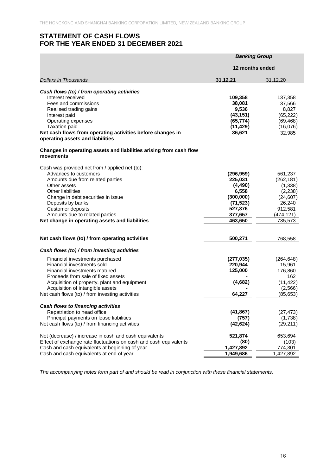# **STATEMENT OF CASH FLOWS FOR THE YEAR ENDED 31 DECEMBER 2021**

|                                                                                                | <b>Banking Group</b>  |                        |
|------------------------------------------------------------------------------------------------|-----------------------|------------------------|
|                                                                                                | 12 months ended       |                        |
| Dollars in Thousands                                                                           | 31.12.21              | 31.12.20               |
|                                                                                                |                       |                        |
| Cash flows (to) / from operating activities<br>Interest received                               | 109,358               | 137,358                |
| Fees and commissions                                                                           | 38,081                | 37,566                 |
| Realised trading gains                                                                         | 9,536                 | 8,827                  |
| Interest paid                                                                                  | (43, 151)             | (65, 222)              |
| Operating expenses                                                                             | (65, 774)             | (69, 468)              |
| <b>Taxation paid</b>                                                                           | (11, 429)             | (16,076)               |
| Net cash flows from operating activities before changes in<br>operating assets and liabilities | 36,621                | 32,985                 |
| Changes in operating assets and liabilities arising from cash flow<br>movements                |                       |                        |
|                                                                                                |                       |                        |
| Cash was provided net from / applied net (to):                                                 |                       |                        |
| Advances to customers                                                                          | (296, 959)<br>225,031 | 561,237                |
| Amounts due from related parties<br>Other assets                                               | (4, 490)              | (262, 181)<br>(1, 338) |
| <b>Other liabilities</b>                                                                       | 6,558                 | (2, 238)               |
| Change in debt securities in issue                                                             | (300,000)             | (24, 607)              |
| Deposits by banks                                                                              | (71, 523)             | 26,240                 |
| Customer deposits                                                                              | 527,376               | 912,581                |
| Amounts due to related parties                                                                 | 377,657               | (474, 121)             |
| Net change in operating assets and liabilities                                                 | 463,650               | 735,573                |
|                                                                                                |                       |                        |
| Net cash flows (to) / from operating activities                                                | 500,271               | 768,558                |
| Cash flows (to) / from investing activities                                                    |                       |                        |
| Financial investments purchased                                                                | (277, 035)            | (264, 648)             |
| Financial investments sold                                                                     | 220,944               | 15,961                 |
| Financial investments matured                                                                  | 125,000               | 176,860                |
| Proceeds from sale of fixed assets                                                             |                       | 162                    |
| Acquisition of property, plant and equipment                                                   | (4,682)               | (11, 422)              |
| Acquisition of intangible assets                                                               |                       | (2,566)                |
| Net cash flows (to) / from investing activities                                                | 64,227                | (85, 653)              |
| Cash flows to financing activities                                                             |                       |                        |
| Repatriation to head office                                                                    | (41, 867)             | (27, 473)              |
| Principal payments on lease liabilities                                                        | (757)                 | (1,738)                |
| Net cash flows (to) / from financing activities                                                | (42,624)              | (29, 211)              |
| Net (decrease) / increase in cash and cash equivalents                                         | 521,874               | 653,694                |
| Effect of exchange rate fluctuations on cash and cash equivalents                              | (80)                  | (103)                  |
| Cash and cash equivalents at beginning of year                                                 | 1,427,892             | 774,301                |
| Cash and cash equivalents at end of year                                                       | 1,949,686             | 1,427,892              |

*The accompanying notes form part of and should be read in conjunction with these financial statements.*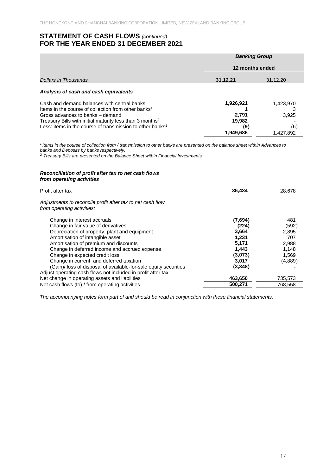# **STATEMENT OF CASH FLOWS** *(continued)* **FOR THE YEAR ENDED 31 DECEMBER 2021**

|                                                                                                                                                                                                                                                                                                     | <b>Banking Group</b>                             |                                        |  |  |
|-----------------------------------------------------------------------------------------------------------------------------------------------------------------------------------------------------------------------------------------------------------------------------------------------------|--------------------------------------------------|----------------------------------------|--|--|
|                                                                                                                                                                                                                                                                                                     | 12 months ended                                  |                                        |  |  |
| Dollars in Thousands                                                                                                                                                                                                                                                                                | 31.12.21                                         | 31.12.20                               |  |  |
| Analysis of cash and cash equivalents                                                                                                                                                                                                                                                               |                                                  |                                        |  |  |
| Cash and demand balances with central banks<br>Items in the course of collection from other banks <sup>1</sup><br>Gross advances to banks – demand<br>Treasury Bills with initial maturity less than 3 months <sup>2</sup><br>Less: items in the course of transmission to other banks <sup>1</sup> | 1,926,921<br>2.791<br>19,982<br>(9)<br>1.949.686 | 1,423,970<br>3.925<br>(6)<br>1.427.892 |  |  |

*<sup>1</sup>Items in the course of collection from / transmission to other banks are presented on the balance sheet within Advances to banks and Deposits by banks respectively.* 

<sup>2</sup> *Treasury Bills are presented on the Balance Sheet within Financial Investments* 

#### *Reconciliation of profit after tax to net cash flows from operating activities*

| Profit after tax                                                                                                                                                                                                                                                                                                                                                                                                                                                    | 36.434                                                                              | 28,678                                                             |
|---------------------------------------------------------------------------------------------------------------------------------------------------------------------------------------------------------------------------------------------------------------------------------------------------------------------------------------------------------------------------------------------------------------------------------------------------------------------|-------------------------------------------------------------------------------------|--------------------------------------------------------------------|
| Adjustments to reconcile profit after tax to net cash flow<br>from operating activities:                                                                                                                                                                                                                                                                                                                                                                            |                                                                                     |                                                                    |
| Change in interest accruals<br>Change in fair value of derivatives<br>Depreciation of property, plant and equipment<br>Amortisation of intangible asset<br>Amortisation of premium and discounts<br>Change in deferred income and accrued expense<br>Change in expected credit loss<br>Change in current and deferred taxation<br>(Gain)/ loss of disposal of available-for-sale equity securities<br>Adjust operating cash flows not included in profit after tax: | (7,694)<br>(224)<br>3,664<br>1,231<br>5,171<br>1,443<br>(3,073)<br>3,017<br>(3,348) | 481<br>(592)<br>2,895<br>707<br>2,988<br>1,148<br>1,569<br>(4,889) |
| Net change in operating assets and liabilities<br>Net cash flows (to) / from operating activities                                                                                                                                                                                                                                                                                                                                                                   | 463,650<br>500,271                                                                  | 735,573<br>768,558                                                 |

*The accompanying notes form part of and should be read in conjunction with these financial statements.*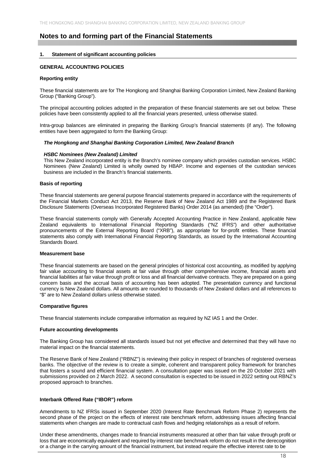# **Notes to and forming part of the Financial Statements**

#### **1. Statement of significant accounting policies**

#### **GENERAL ACCOUNTING POLICIES**

#### **Reporting entity**

These financial statements are for The Hongkong and Shanghai Banking Corporation Limited, New Zealand Banking Group ("Banking Group").

The principal accounting policies adopted in the preparation of these financial statements are set out below. These policies have been consistently applied to all the financial years presented, unless otherwise stated.

Intra-group balances are eliminated in preparing the Banking Group's financial statements (if any). The following entities have been aggregated to form the Banking Group:

#### *The Hongkong and Shanghai Banking Corporation Limited, New Zealand Branch*

#### *HSBC Nominees (New Zealand) Limited*

This New Zealand incorporated entity is the Branch's nominee company which provides custodian services. HSBC Nominees (New Zealand) Limited is wholly owned by HBAP. Income and expenses of the custodian services business are included in the Branch's financial statements.

#### **Basis of reporting**

These financial statements are general purpose financial statements prepared in accordance with the requirements of the Financial Markets Conduct Act 2013, the Reserve Bank of New Zealand Act 1989 and the Registered Bank Disclosure Statements (Overseas Incorporated Registered Banks) Order 2014 (as amended) (the "Order").

These financial statements comply with Generally Accepted Accounting Practice in New Zealand, applicable New Zealand equivalents to International Financial Reporting Standards ("NZ IFRS") and other authoritative pronouncements of the External Reporting Board ("XRB"), as appropriate for for-profit entities. These financial statements also comply with International Financial Reporting Standards, as issued by the International Accounting Standards Board.

#### **Measurement base**

These financial statements are based on the general principles of historical cost accounting, as modified by applying fair value accounting to financial assets at fair value through other comprehensive income, financial assets and financial liabilities at fair value through profit or loss and all financial derivative contracts. They are prepared on a going concern basis and the accrual basis of accounting has been adopted. The presentation currency and functional currency is New Zealand dollars. All amounts are rounded to thousands of New Zealand dollars and all references to "\$" are to New Zealand dollars unless otherwise stated.

#### **Comparative figures**

These financial statements include comparative information as required by NZ IAS 1 and the Order.

#### **Future accounting developments**

The Banking Group has considered all standards issued but not yet effective and determined that they will have no material impact on the financial statements.

The Reserve Bank of New Zealand ("RBNZ") is reviewing their policy in respect of branches of registered overseas banks. The objective of the review is to create a simple, coherent and transparent policy framework for branches that fosters a sound and efficient financial system. A consultation paper was issued on the 20 October 2021 with submissions provided on 2 March 2022. A second consultation is expected to be issued in 2022 setting out RBNZ's proposed approach to branches.

#### **Interbank Offered Rate ("IBOR") reform**

Amendments to NZ IFRSs issued in September 2020 (Interest Rate Benchmark Reform Phase 2) represents the second phase of the project on the effects of interest rate benchmark reform, addressing issues affecting financial statements when changes are made to contractual cash flows and hedging relationships as a result of reform.

Under these amendments, changes made to financial instruments measured at other than fair value through profit or loss that are economically equivalent and required by interest rate benchmark reform do not result in the derecognition or a change in the carrying amount of the financial instrument, but instead require the effective interest rate to be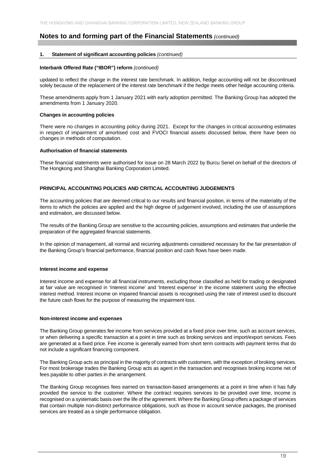#### **1. Statement of significant accounting policies** *(continued)*

#### **Interbank Offered Rate ("IBOR") reform** *(continued)*

updated to reflect the change in the interest rate benchmark. In addition, hedge accounting will not be discontinued solely because of the replacement of the interest rate benchmark if the hedge meets other hedge accounting criteria.

These amendments apply from 1 January 2021 with early adoption permitted. The Banking Group has adopted the amendments from 1 January 2020.

#### **Changes in accounting policies**

There were no changes in accounting policy during 2021. Except for the changes in critical accounting estimates in respect of impairment of amortised cost and FVOCI financial assets discussed below, there have been no changes in methods of computation.

#### **Authorisation of financial statements**

These financial statements were authorised for issue on 28 March 2022 by Burcu Senel on behalf of the directors of The Hongkong and Shanghai Banking Corporation Limited.

#### **PRINCIPAL ACCOUNTING POLICIES AND CRITICAL ACCOUNTING JUDGEMENTS**

The accounting policies that are deemed critical to our results and financial position, in terms of the materiality of the items to which the policies are applied and the high degree of judgement involved, including the use of assumptions and estimation, are discussed below.

The results of the Banking Group are sensitive to the accounting policies, assumptions and estimates that underlie the preparation of the aggregated financial statements.

In the opinion of management, all normal and recurring adjustments considered necessary for the fair presentation of the Banking Group's financial performance, financial position and cash flows have been made.

#### **Interest income and expense**

Interest income and expense for all financial instruments, excluding those classified as held for trading or designated at fair value are recognised in 'Interest income' and 'Interest expense' in the income statement using the effective interest method. Interest income on impaired financial assets is recognised using the rate of interest used to discount the future cash flows for the purpose of measuring the impairment loss.

#### **Non-interest income and expenses**

The Banking Group generates fee income from services provided at a fixed price over time, such as account services, or when delivering a specific transaction at a point in time such as broking services and import/export services. Fees are generated at a fixed price. Fee income is generally earned from short term contracts with payment terms that do not include a significant financing component.

The Banking Group acts as principal in the majority of contracts with customers, with the exception of broking services. For most brokerage trades the Banking Group acts as agent in the transaction and recognises broking income net of fees payable to other parties in the arrangement.

The Banking Group recognises fees earned on transaction-based arrangements at a point in time when it has fully provided the service to the customer. Where the contract requires services to be provided over time, income is recognised on a systematic basis over the life of the agreement. Where the Banking Group offers a package of services that contain multiple non-distinct performance obligations, such as those in account service packages, the promised services are treated as a single performance obligation.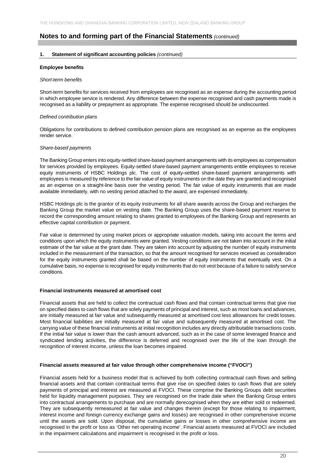#### **1. Statement of significant accounting policies** *(continued)*

#### **Employee benefits**

#### *Short-term benefits*

Short-term benefits for services received from employees are recognised as an expense during the accounting period in which employee service is rendered. Any difference between the expense recognised and cash payments made is recognised as a liability or prepayment as appropriate. The expense recognised should be undiscounted.

#### *Defined contribution plans*

Obligations for contributions to defined contribution pension plans are recognised as an expense as the employees render service.

#### *Share-based payments*

The Banking Group enters into equity-settled share-based payment arrangements with its employees as compensation for services provided by employees. Equity-settled share-based payment arrangements entitle employees to receive equity instruments of HSBC Holdings plc. The cost of equity-settled share-based payment arrangements with employees is measured by reference to the fair value of equity instruments on the date they are granted and recognised as an expense on a straight-line basis over the vesting period. The fair value of equity instruments that are made available immediately, with no vesting period attached to the award, are expensed immediately.

HSBC Holdings plc is the grantor of its equity instruments for all share awards across the Group and recharges the Banking Group the market value on vesting date. The Banking Group uses the share-based payment reserve to record the corresponding amount relating to shares granted to employees of the Banking Group and represents an effective capital contribution or payment.

Fair value is determined by using market prices or appropriate valuation models, taking into account the terms and conditions upon which the equity instruments were granted. Vesting conditions are not taken into account in the initial estimate of the fair value at the grant date. They are taken into account by adjusting the number of equity instruments included in the measurement of the transaction, so that the amount recognised for services received as consideration for the equity instruments granted shall be based on the number of equity instruments that eventually vest. On a cumulative basis, no expense is recognised for equity instruments that do not vest because of a failure to satisfy service conditions.

#### **Financial instruments measured at amortised cost**

Financial assets that are held to collect the contractual cash flows and that contain contractual terms that give rise on specified dates to cash flows that are solely payments of principal and interest, such as most loans and advances, are initially measured at fair value and subsequently measured at amortised cost less allowances for credit losses. Most financial liabilities are initially measured at fair value and subsequently measured at amortised cost. The carrying value of these financial instruments at initial recognition includes any directly attributable transactions costs. If the initial fair value is lower than the cash amount advanced, such as in the case of some leveraged finance and syndicated lending activities, the difference is deferred and recognised over the life of the loan through the recognition of interest income, unless the loan becomes impaired.

#### **Financial assets measured at fair value through other comprehensive income ("FVOCI")**

Financial assets held for a business model that is achieved by both collecting contractual cash flows and selling financial assets and that contain contractual terms that give rise on specified dates to cash flows that are solely payments of principal and interest are measured at FVOCI. These comprise the Banking Groups debt securities held for liquidity management purposes. They are recognised on the trade date when the Banking Group enters into contractual arrangements to purchase and are normally derecognised when they are either sold or redeemed. They are subsequently remeasured at fair value and changes therein (except for those relating to impairment, interest income and foreign currency exchange gains and losses) are recognised in other comprehensive income until the assets are sold. Upon disposal, the cumulative gains or losses in other comprehensive income are recognised in the profit or loss as 'Other net operating income'. Financial assets measured at FVOCI are included in the impairment calculations and impairment is recognised in the profit or loss.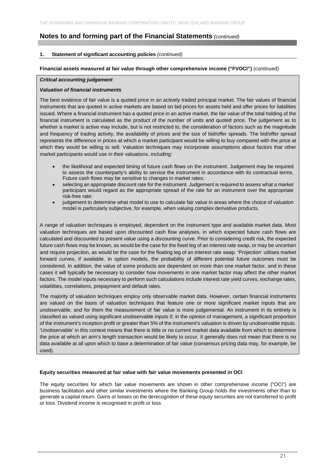#### **1. Statement of significant accounting policies** *(continued)*

#### **Financial assets measured at fair value through other comprehensive income ("FVOCI")** (continued)

#### *Critical accounting judgement*

#### *Valuation of financial instruments*

The best evidence of fair value is a quoted price in an actively traded principal market. The fair values of financial instruments that are quoted in active markets are based on bid prices for assets held and offer prices for liabilities issued. Where a financial instrument has a quoted price in an active market, the fair value of the total holding of the financial instrument is calculated as the product of the number of units and quoted price. The judgement as to whether a market is active may include, but is not restricted to, the consideration of factors such as the magnitude and frequency of trading activity, the availability of prices and the size of bid/offer spreads. The bid/offer spread represents the difference in prices at which a market participant would be willing to buy compared with the price at which they would be willing to sell. Valuation techniques may incorporate assumptions about factors that other market participants would use in their valuations, including:

- the likelihood and expected timing of future cash flows on the instrument. Judgement may be required to assess the counterparty's ability to service the instrument in accordance with its contractual terms. Future cash flows may be sensitive to changes in market rates;
- selecting an appropriate discount rate for the instrument. Judgement is required to assess what a market participant would regard as the appropriate spread of the rate for an instrument over the appropriate risk-free rate;
- judgement to determine what model to use to calculate fair value in areas where the choice of valuation model is particularly subjective, for example, when valuing complex derivative products.

A range of valuation techniques is employed, dependent on the instrument type and available market data. Most valuation techniques are based upon discounted cash flow analyses, in which expected future cash flows are calculated and discounted to present value using a discounting curve. Prior to considering credit risk, the expected future cash flows may be known, as would be the case for the fixed leg of an interest rate swap, or may be uncertain and require projection, as would be the case for the floating leg of an interest rate swap. 'Projection' utilises market forward curves, if available. In option models, the probability of different potential future outcomes must be considered. In addition, the value of some products are dependent on more than one market factor, and in these cases it will typically be necessary to consider how movements in one market factor may affect the other market factors. The model inputs necessary to perform such calculations include interest rate yield curves, exchange rates, volatilities, correlations, prepayment and default rates.

The majority of valuation techniques employ only observable market data. However, certain financial instruments are valued on the basis of valuation techniques that feature one or more significant market inputs that are unobservable, and for them the measurement of fair value is more judgemental. An instrument in its entirety is classified as valued using significant unobservable inputs if, in the opinion of management, a significant proportion of the instrument's inception profit or greater than 5% of the instrument's valuation is driven by unobservable inputs. 'Unobservable' in this context means that there is little or no current market data available from which to determine the price at which an arm's length transaction would be likely to occur. It generally does not mean that there is no data available at all upon which to base a determination of fair value (consensus pricing data may, for example, be used).

#### **Equity securities measured at fair value with fair value movements presented in OCI**

The equity securities for which fair value movements are shown in other comprehensive income ("OCI") are business facilitation and other similar investments where the Banking Group holds the investments other than to generate a capital return. Gains or losses on the derecognition of these equity securities are not transferred to profit or loss. Dividend income is recognised in profit or loss.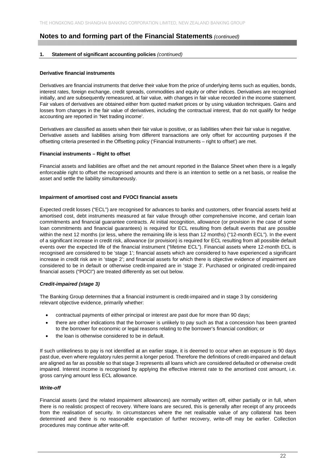#### **1. Statement of significant accounting policies** *(continued)*

#### **Derivative financial instruments**

Derivatives are financial instruments that derive their value from the price of underlying items such as equities, bonds, interest rates, foreign exchange, credit spreads, commodities and equity or other indices. Derivatives are recognised initially, and are subsequently remeasured, at fair value, with changes in fair value recorded in the income statement. Fair values of derivatives are obtained either from quoted market prices or by using valuation techniques. Gains and losses from changes in the fair value of derivatives, including the contractual interest, that do not qualify for hedge accounting are reported in 'Net trading income'.

Derivatives are classified as assets when their fair value is positive, or as liabilities when their fair value is negative. Derivative assets and liabilities arising from different transactions are only offset for accounting purposes if the offsetting criteria presented in the Offsetting policy ('Financial Instruments – right to offset') are met.

#### **Financial instruments – Right to offset**

Financial assets and liabilities are offset and the net amount reported in the Balance Sheet when there is a legally enforceable right to offset the recognised amounts and there is an intention to settle on a net basis, or realise the asset and settle the liability simultaneously.

#### **Impairment of amortised cost and FVOCI financial assets**

Expected credit losses ("ECL") are recognised for advances to banks and customers, other financial assets held at amortised cost, debt instruments measured at fair value through other comprehensive income, and certain loan commitments and financial guarantee contracts. At initial recognition, allowance (or provision in the case of some loan commitments and financial guarantees) is required for ECL resulting from default events that are possible within the next 12 months (or less, where the remaining life is less than 12 months) ("12-month ECL"). In the event of a significant increase in credit risk, allowance (or provision) is required for ECL resulting from all possible default events over the expected life of the financial instrument ("lifetime ECL"). Financial assets where 12-month ECL is recognised are considered to be 'stage 1'; financial assets which are considered to have experienced a significant increase in credit risk are in 'stage 2'; and financial assets for which there is objective evidence of impairment are considered to be in default or otherwise credit-impaired are in 'stage 3'. Purchased or originated credit-impaired financial assets ("POCI") are treated differently as set out below.

#### *Credit-impaired (stage 3)*

The Banking Group determines that a financial instrument is credit-impaired and in stage 3 by considering relevant objective evidence, primarily whether:

- contractual payments of either principal or interest are past due for more than 90 days;
- there are other indications that the borrower is unlikely to pay such as that a concession has been granted to the borrower for economic or legal reasons relating to the borrower's financial condition; or
- the loan is otherwise considered to be in default.

If such unlikeliness to pay is not identified at an earlier stage, it is deemed to occur when an exposure is 90 days past due, even where regulatory rules permit a longer period. Therefore the definitions of credit-impaired and default are aligned as far as possible so that stage 3 represents all loans which are considered defaulted or otherwise credit impaired. Interest income is recognised by applying the effective interest rate to the amortised cost amount, i.e. gross carrying amount less ECL allowance.

#### *Write-off*

Financial assets (and the related impairment allowances) are normally written off, either partially or in full, when there is no realistic prospect of recovery. Where loans are secured, this is generally after receipt of any proceeds from the realisation of security. In circumstances where the net realisable value of any collateral has been determined and there is no reasonable expectation of further recovery, write-off may be earlier. Collection procedures may continue after write-off.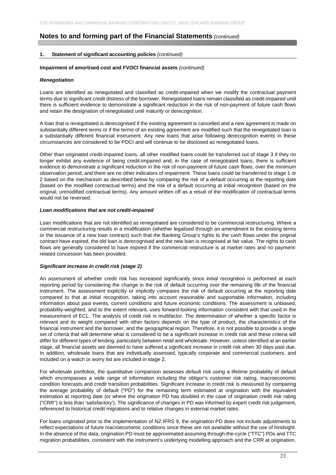#### **1. Statement of significant accounting policies** *(continued)*

#### **Impairment of amortised cost and FVOCI financial assets** *(continued)*

#### *Renegotiation*

Loans are identified as renegotiated and classified as credit-impaired when we modify the contractual payment terms due to significant credit distress of the borrower. Renegotiated loans remain classified as credit-impaired until there is sufficient evidence to demonstrate a significant reduction in the risk of non-payment of future cash flows and retain the designation of renegotiated until maturity or derecognition.

A loan that is renegotiated is derecognised if the existing agreement is cancelled and a new agreement is made on substantially different terms or if the terms of an existing agreement are modified such that the renegotiated loan is a substantially different financial instrument. Any new loans that arise following derecognition events in these circumstances are considered to be POCI and will continue to be disclosed as renegotiated loans.

Other than originated credit-impaired loans, all other modified loans could be transferred out of stage 3 if they no longer exhibit any evidence of being credit-impaired and, in the case of renegotiated loans, there is sufficient evidence to demonstrate a significant reduction in the risk of non-payment of future cash flows, over the minimum observation period, and there are no other indicators of impairment. These loans could be transferred to stage 1 or 2 based on the mechanism as described below by comparing the risk of a default occurring at the reporting date (based on the modified contractual terms) and the risk of a default occurring at initial recognition (based on the original, unmodified contractual terms). Any amount written off as a result of the modification of contractual terms would not be reversed.

#### *Loan modifications that are not credit-impaired*

Loan modifications that are not identified as renegotiated are considered to be commercial restructuring. Where a commercial restructuring results in a modification (whether legalised through an amendment to the existing terms or the issuance of a new loan contract) such that the Banking Group's rights to the cash flows under the original contract have expired, the old loan is derecognised and the new loan is recognised at fair value. The rights to cash flows are generally considered to have expired if the commercial restructure is at market rates and no paymentrelated concession has been provided.

#### *Significant increase in credit risk (stage 2)*

An assessment of whether credit risk has increased significantly since initial recognition is performed at each reporting period by considering the change in the risk of default occurring over the remaining life of the financial instrument. The assessment explicitly or implicitly compares the risk of default occurring at the reporting date compared to that at initial recognition, taking into account reasonable and supportable information, including information about past events, current conditions and future economic conditions. The assessment is unbiased, probability-weighted, and to the extent relevant, uses forward-looking information consistent with that used in the measurement of ECL. The analysis of credit risk is multifactor. The determination of whether a specific factor is relevant and its weight compared with other factors depends on the type of product, the characteristics of the financial instrument and the borrower, and the geographical region. Therefore, it is not possible to provide a single set of criteria that will determine what is considered to be a significant increase in credit risk and these criteria will differ for different types of lending, particularly between retail and wholesale. However, unless identified at an earlier stage, all financial assets are deemed to have suffered a significant increase in credit risk when 30 days past due. In addition, wholesale loans that are individually assessed, typically corporate and commercial customers, and included on a watch or worry list are included in stage 2.

For wholesale portfolios, the quantitative comparison assesses default risk using a lifetime probability of default which encompasses a wide range of information including the obligor's customer risk rating, macroeconomic condition forecasts and credit transition probabilities. Significant increase in credit risk is measured by comparing the average probability of default ("PD") for the remaining term estimated at origination with the equivalent estimation at reporting date (or where the origination PD has doubled in the case of origination credit risk rating ("CRR") is less than 'satisfactory'). The significance of changes in PD was informed by expert credit risk judgement, referenced to historical credit migrations and to relative changes in external market rates.

For loans originated prior to the implementation of NZ IFRS 9, the origination PD does not include adjustments to reflect expectations of future macroeconomic conditions since these are not available without the use of hindsight. In the absence of this data, origination PD must be approximated assuming through-the-cycle ("TTC") PDs and TTC migration probabilities, consistent with the instrument's underlying modelling approach and the CRR at origination.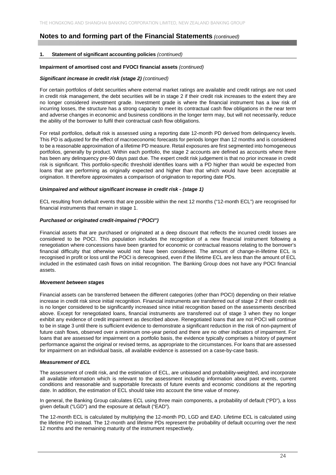#### **1. Statement of significant accounting policies** *(continued)*

#### **Impairment of amortised cost and FVOCI financial assets** *(continued)*

#### *Significant increase in credit risk (stage 2) (continued)*

For certain portfolios of debt securities where external market ratings are available and credit ratings are not used in credit risk management, the debt securities will be in stage 2 if their credit risk increases to the extent they are no longer considered investment grade. Investment grade is where the financial instrument has a low risk of incurring losses, the structure has a strong capacity to meet its contractual cash flow obligations in the near term and adverse changes in economic and business conditions in the longer term may, but will not necessarily, reduce the ability of the borrower to fulfil their contractual cash flow obligations.

For retail portfolios, default risk is assessed using a reporting date 12-month PD derived from delinquency levels. This PD is adjusted for the effect of macroeconomic forecasts for periods longer than 12 months and is considered to be a reasonable approximation of a lifetime PD measure. Retail exposures are first segmented into homogeneous portfolios, generally by product. Within each portfolio, the stage 2 accounts are defined as accounts where there has been any delinquency pre-90 days past due. The expert credit risk judgement is that no prior increase in credit risk is significant. This portfolio-specific threshold identifies loans with a PD higher than would be expected from loans that are performing as originally expected and higher than that which would have been acceptable at origination. It therefore approximates a comparison of origination to reporting date PDs.

#### *Unimpaired and without significant increase in credit risk - (stage 1)*

ECL resulting from default events that are possible within the next 12 months ("12-month ECL") are recognised for financial instruments that remain in stage 1.

#### *Purchased or originated credit-impaired ("POCI")*

Financial assets that are purchased or originated at a deep discount that reflects the incurred credit losses are considered to be POCI. This population includes the recognition of a new financial instrument following a renegotiation where concessions have been granted for economic or contractual reasons relating to the borrower's financial difficulty that otherwise would not have been considered. The amount of change-in-lifetime ECL is recognised in profit or loss until the POCI is derecognised, even if the lifetime ECL are less than the amount of ECL included in the estimated cash flows on initial recognition. The Banking Group does not have any POCI financial assets.

#### *Movement between stages*

Financial assets can be transferred between the different categories (other than POCI) depending on their relative increase in credit risk since initial recognition. Financial instruments are transferred out of stage 2 if their credit risk is no longer considered to be significantly increased since initial recognition based on the assessments described above. Except for renegotiated loans, financial instruments are transferred out of stage 3 when they no longer exhibit any evidence of credit impairment as described above. Renegotiated loans that are not POCI will continue to be in stage 3 until there is sufficient evidence to demonstrate a significant reduction in the risk of non-payment of future cash flows, observed over a minimum one-year period and there are no other indicators of impairment. For loans that are assessed for impairment on a portfolio basis, the evidence typically comprises a history of payment performance against the original or revised terms, as appropriate to the circumstances. For loans that are assessed for impairment on an individual basis, all available evidence is assessed on a case-by-case basis.

#### *Measurement of ECL*

The assessment of credit risk, and the estimation of ECL, are unbiased and probability-weighted, and incorporate all available information which is relevant to the assessment including information about past events, current conditions and reasonable and supportable forecasts of future events and economic conditions at the reporting date. In addition, the estimation of ECL should take into account the time value of money.

In general, the Banking Group calculates ECL using three main components, a probability of default ("PD"), a loss given default ("LGD") and the exposure at default ("EAD").

The 12-month ECL is calculated by multiplying the 12-month PD, LGD and EAD. Lifetime ECL is calculated using the lifetime PD instead. The 12-month and lifetime PDs represent the probability of default occurring over the next 12 months and the remaining maturity of the instrument respectively.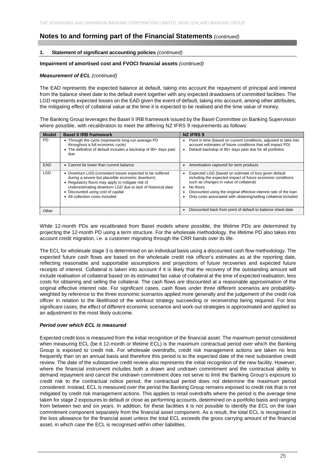#### **1. Statement of significant accounting policies** *(continued)*

#### **Impairment of amortised cost and FVOCI financial assets** *(continued)*

#### *Measurement of ECL (continued)*

The EAD represents the expected balance at default, taking into account the repayment of principal and interest from the balance sheet date to the default event together with any expected drawdowns of committed facilities. The LGD represents expected losses on the EAD given the event of default, taking into account, among other attributes, the mitigating effect of collateral value at the time it is expected to be realised and the time value of money.

The Banking Group leverages the Basel II IRB framework issued by the Basel Committee on Banking Supervision where possible, with recalibration to meet the differing NZ IFRS 9 requirements as follows:

| <b>Model</b> | <b>Basel II IRB framework</b>                                                                                                                                                                                                                                                                              | <b>NZ IFRS 9</b>                                                                                                                                                                                                                                                                                                                |
|--------------|------------------------------------------------------------------------------------------------------------------------------------------------------------------------------------------------------------------------------------------------------------------------------------------------------------|---------------------------------------------------------------------------------------------------------------------------------------------------------------------------------------------------------------------------------------------------------------------------------------------------------------------------------|
| <b>PD</b>    | • Through the cycle (represents long-run average PD<br>throughout a full economic cycle)<br>• The definition of default includes a backstop of 90+ days past<br>due                                                                                                                                        | Point in time (based on current conditions, adjusted to take into<br>account estimates of future conditions that will impact PD)<br>Default backstop of 90+ days past due for all portfolios                                                                                                                                    |
| EAD          | • Cannot be lower than current balance                                                                                                                                                                                                                                                                     | • Amortisation captured for term products                                                                                                                                                                                                                                                                                       |
| LGD          | • Downturn LGD (consistent losses expected to be suffered<br>during a severe but plausible economic downturn)<br>• Regulatory floors may apply to mitigate risk of<br>underestimating downturn LGD due to lack of historical data<br>• Discounted using cost of capital<br>• All collection costs included | Expected LGD (based on estimate of loss given default<br>including the expected impact of future economic conditions<br>such as changes in value of collateral)<br>$\bullet$ No floors<br>Discounted using the original effective interest rate of the loan<br>Only costs associated with obtaining/selling collateral included |
| Other        |                                                                                                                                                                                                                                                                                                            | Discounted back from point of default to balance sheet date                                                                                                                                                                                                                                                                     |

While 12-month PDs are recalibrated from Basel models where possible, the lifetime PDs are determined by projecting the 12-month PD using a term structure. For the wholesale methodology, the lifetime PD also takes into account credit migration, i.e. a customer migrating through the CRR bands over its life.

The ECL for wholesale stage 3 is determined on an individual basis using a discounted cash flow methodology. The expected future cash flows are based on the wholesale credit risk officer's estimates as at the reporting date, reflecting reasonable and supportable assumptions and projections of future recoveries and expected future receipts of interest. Collateral is taken into account if it is likely that the recovery of the outstanding amount will include realisation of collateral based on its estimated fair value of collateral at the time of expected realisation, less costs for obtaining and selling the collateral. The cash flows are discounted at a reasonable approximation of the original effective interest rate. For significant cases, cash flows under three different scenarios are probabilityweighted by reference to the three economic scenarios applied more generally and the judgement of the credit risk officer in relation to the likelihood of the workout strategy succeeding or receivership being required. For less significant cases, the effect of different economic scenarios and work-out strategies is approximated and applied as an adjustment to the most likely outcome.

#### *Period over which ECL is measured*

Expected credit loss is measured from the initial recognition of the financial asset. The maximum period considered when measuring ECL (be it 12-month or lifetime ECL) is the maximum contractual period over which the Banking Group is exposed to credit risk. For wholesale overdrafts, credit risk management actions are taken no less frequently than on an annual basis and therefore this period is to the expected date of the next substantive credit review. The date of the substantive credit review also represents the initial recognition of the new facility. However, where the financial instrument includes both a drawn and undrawn commitment and the contractual ability to demand repayment and cancel the undrawn commitment does not serve to limit the Banking Group's exposure to credit risk to the contractual notice period, the contractual period does not determine the maximum period considered. Instead, ECL is measured over the period the Banking Group remains exposed to credit risk that is not mitigated by credit risk management actions. This applies to retail overdrafts where the period is the average time taken for stage 2 exposures to default or close as performing accounts, determined on a portfolio basis and ranging from between two and six years. In addition, for these facilities it is not possible to identify the ECL on the loan commitment component separately from the financial asset component. As a result, the total ECL is recognised in the loss allowance for the financial asset unless the total ECL exceeds the gross carrying amount of the financial asset, in which case the ECL is recognised within other liabilities.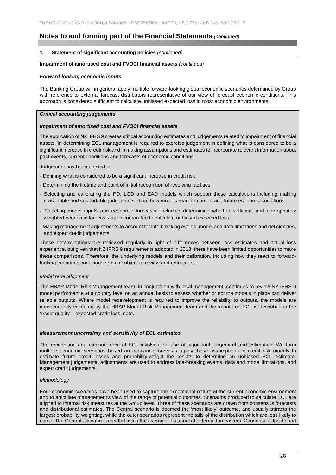#### **1. Statement of significant accounting policies** *(continued)*

#### **Impairment of amortised cost and FVOCI financial assets** *(continued)*

#### *Forward-looking economic inputs*

The Banking Group will in general apply multiple forward-looking global economic scenarios determined by Group with reference to external forecast distributors representative of our view of forecast economic conditions. This approach is considered sufficient to calculate unbiased expected loss in most economic environments.

#### *Critical accounting judgements*

#### *Impairment of amortised cost and FVOCI financial assets*

The application of NZ IFRS 9 creates critical accounting estimates and judgements related to impairment of financial assets. In determining ECL management is required to exercise judgement in defining what is considered to be a significant increase in credit risk and in making assumptions and estimates to incorporate relevant information about past events, current conditions and forecasts of economic conditions.

Judgement has been applied in:

- Defining what is considered to be a significant increase in credit risk
- Determining the lifetime and point of initial recognition of revolving facilities
- Selecting and calibrating the PD, LGD and EAD models which support these calculations including making reasonable and supportable judgements about how models react to current and future economic conditions
- Selecting model inputs and economic forecasts, including determining whether sufficient and appropriately weighted economic forecasts are incorporated to calculate unbiased expected loss
- Making management adjustments to account for late breaking events, model and data limitations and deficiencies, and expert credit judgements

These determinations are reviewed regularly in light of differences between loss estimates and actual loss experience, but given that NZ IFRS 9 requirements adopted in 2018, there have been limited opportunities to make these comparisons. Therefore, the underlying models and their calibration, including how they react to forwardlooking economic conditions remain subject to review and refinement.

#### *Model redevelopment*

The HBAP Model Risk Management team, in conjunction with local management, continues to review NZ IFRS 9 model performance at a country level on an annual basis to assess whether or not the models in place can deliver reliable outputs. Where model redevelopment is required to improve the reliability to outputs, the models are independently validated by the HBAP Model Risk Management team and the impact on ECL is described in the 'Asset quality – expected credit loss' note.

#### *Measurement uncertainty and sensitivity of ECL estimates*

The recognition and measurement of ECL involves the use of significant judgement and estimation. We form multiple economic scenarios based on economic forecasts, apply these assumptions to credit risk models to estimate future credit losses and probability-weight the results to determine an unbiased ECL estimate. Management judgemental adjustments are used to address late-breaking events, data and model limitations, and expert credit judgements.

#### *Methodology*

Four economic scenarios have been used to capture the exceptional nature of the current economic environment and to articulate management's view of the range of potential outcomes. Scenarios produced to calculate ECL are aligned to internal risk measures at the Group level. Three of these scenarios are drawn from consensus forecasts and distributional estimates. The Central scenario is deemed the 'most likely' outcome, and usually attracts the largest probability weighting, while the outer scenarios represent the tails of the distribution which are less likely to occur. The Central scenario is created using the average of a panel of external forecasters. Consensus Upside and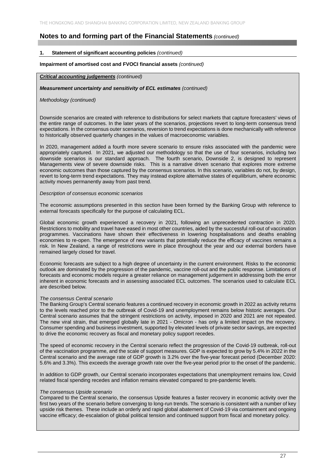#### **1. Statement of significant accounting policies** *(continued)*

#### **Impairment of amortised cost and FVOCI financial assets** *(continued)*

#### *Critical accounting judgements (continued)*

#### *Measurement uncertainty and sensitivity of ECL estimates (continued)*

#### *Methodology (continued)*

Downside scenarios are created with reference to distributions for select markets that capture forecasters' views of the entire range of outcomes. In the later years of the scenarios, projections revert to long-term consensus trend expectations. In the consensus outer scenarios, reversion to trend expectations is done mechanically with reference to historically observed quarterly changes in the values of macroeconomic variables.

In 2020, management added a fourth more severe scenario to ensure risks associated with the pandemic were appropriately captured. In 2021, we adjusted our methodology so that the use of four scenarios, including two downside scenarios is our standard approach. The fourth scenario, Downside 2, is designed to represent Managements view of severe downside risks. This is a narrative driven scenario that explores more extreme economic outcomes than those captured by the consensus scenarios. In this scenario, variables do not, by design, revert to long-term trend expectations. They may instead explore alternative states of equilibrium, where economic activity moves permanently away from past trend.

#### *Description of consensus economic scenarios*

The economic assumptions presented in this section have been formed by the Banking Group with reference to external forecasts specifically for the purpose of calculating ECL.

Global economic growth experienced a recovery in 2021, following an unprecedented contraction in 2020. Restrictions to mobility and travel have eased in most other countries, aided by the successful roll-out of vaccination programmes. Vaccinations have shown their effectiveness in lowering hospitalisations and deaths enabling economies to re-open. The emergence of new variants that potentially reduce the efficacy of vaccines remains a risk. In New Zealand, a range of restrictions were in place throughout the year and our external borders have remained largely closed for travel.

Economic forecasts are subject to a high degree of uncertainty in the current environment. Risks to the economic outlook are dominated by the progression of the pandemic, vaccine roll-out and the public response. Limitations of forecasts and economic models require a greater reliance on management judgement in addressing both the error inherent in economic forecasts and in assessing associated ECL outcomes. The scenarios used to calculate ECL are described below.

#### *The consensus Central scenario*

The Banking Group's Central scenario features a continued recovery in economic growth in 2022 as activity returns to the levels reached prior to the outbreak of Covid-19 and unemployment remains below historic averages. Our Central scenario assumes that the stringent restrictions on activity, imposed in 2020 and 2021 are not repeated. The new viral strain, that emerged globally late in 2021 - Omicron - has only a limited impact on the recovery. Consumer spending and business investment, supported by elevated levels of private sector savings, are expected to drive the economic recovery as fiscal and monetary policy support recedes.

The speed of economic recovery in the Central scenario reflect the progression of the Covid-19 outbreak, roll-out of the vaccination programme, and the scale of support measures. GDP is expected to grow by 5.4% in 2022 in the Central scenario and the average rate of GDP growth is 3.2% over the five-year forecast period (December 2020: 5.6% and 3.3%). This exceeds the average growth rate over the five-year period prior to the onset of the pandemic.

In addition to GDP growth, our Central scenario incorporates expectations that unemployment remains low, Covid related fiscal spending recedes and inflation remains elevated compared to pre-pandemic levels.

#### *The consensus Upside scenario*

Compared to the Central scenario, the consensus Upside features a faster recovery in economic activity over the first two years of the scenario before converging to long-run trends. The scenario is consistent with a number of key upside risk themes. These include an orderly and rapid global abatement of Covid-19 via containment and ongoing vaccine efficacy; de-escalation of global political tension and continued support from fiscal and monetary policy.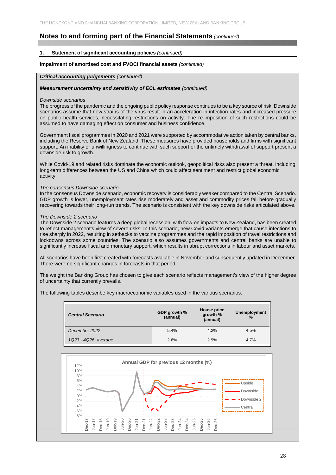#### **1. Statement of significant accounting policies** *(continued)*

#### **Impairment of amortised cost and FVOCI financial assets** *(continued)*

#### *Critical accounting judgements (continued)*

#### *Measurement uncertainty and sensitivity of ECL estimates (continued)*

#### *Downside scenarios*

The progress of the pandemic and the ongoing public policy response continues to be a key source of risk. Downside scenarios assume that new strains of the virus result in an acceleration in infection rates and increased pressure on public health services, necessitating restrictions on activity. The re-imposition of such restrictions could be assumed to have damaging effect on consumer and business confidence.

Government fiscal programmes in 2020 and 2021 were supported by accommodative action taken by central banks, including the Reserve Bank of New Zealand. These measures have provided households and firms with significant support. An inability or unwillingness to continue with such support or the untimely withdrawal of support present a downside risk to growth.

While Covid-19 and related risks dominate the economic outlook, geopolitical risks also present a threat, including long-term differences between the US and China which could affect sentiment and restrict global economic activity.

#### *The consensus Downside scenario*

In the consensus Downside scenario, economic recovery is considerably weaker compared to the Central Scenario. GDP growth is lower, unemployment rates rise moderately and asset and commodity prices fall before gradually recovering towards their long-run trends. The scenario is consistent with the key downside risks articulated above.

#### *The Downside 2 scenario*

The Downside 2 scenario features a deep global recession, with flow-on impacts to New Zealand, has been created to reflect management's view of severe risks. In this scenario, new Covid variants emerge that cause infections to rise sharply in 2022, resulting in setbacks to vaccine programmes and the rapid imposition of travel restrictions and lockdowns across some countries. The scenario also assumes governments and central banks are unable to significantly increase fiscal and monetary support, which results in abrupt corrections in labour and asset markets.

All scenarios have been first created with forecasts available in November and subsequently updated in December. There were no significant changes in forecasts in that period.

The weight the Banking Group has chosen to give each scenario reflects management's view of the higher degree of uncertainty that currently prevails.

The following tables describe key macroeconomic variables used in the various scenarios.

| <b>Central Scenario</b> | GDP growth %<br>(annual) | House price<br>growth %<br>(annual) | <b>Unemployment</b><br>$\%$ |
|-------------------------|--------------------------|-------------------------------------|-----------------------------|
| December 2022           | 5.4%                     | 4.2%                                | 4.5%                        |
| 1Q23 - 4Q26: average    | 2.6%                     | 2.9%                                | 4.7%                        |

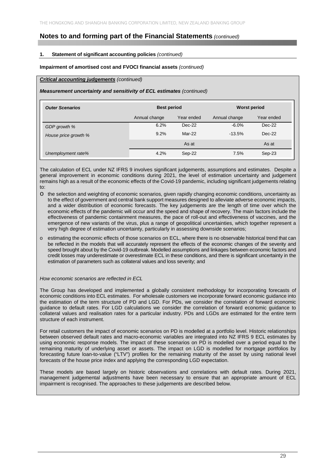#### **1. Statement of significant accounting policies** *(continued)*

#### **Impairment of amortised cost and FVOCI financial assets** *(continued)*

#### *Critical accounting judgements (continued)*

#### *Measurement uncertainty and sensitivity of ECL estimates (continued)*

| <b>Outer Scenarios</b> | <b>Best period</b> |            | <b>Worst period</b> |            |
|------------------------|--------------------|------------|---------------------|------------|
|                        | Annual change      | Year ended | Annual change       | Year ended |
| GDP growth %           | 6.2%               | $Dec-22$   | $-6.0\%$            | $Dec-22$   |
| House price growth %   | 9.2%               | Mar-22     | $-13.5%$            | $Dec-22$   |
|                        |                    | As at      |                     | As at      |
| Unemployment rate%     | 4.2%               | Sep-22     | 7.5%                | Sep-23     |

The calculation of ECL under NZ IFRS 9 involves significant judgements, assumptions and estimates. Despite a general improvement in economic conditions during 2021, the level of estimation uncertainty and judgement remains high as a result of the economic effects of the Covid-19 pandemic, including significant judgements relating to:

- o the selection and weighting of economic scenarios, given rapidly changing economic conditions, uncertainty as to the effect of government and central bank support measures designed to alleviate adverse economic impacts, and a wider distribution of economic forecasts. The key judgements are the length of time over which the economic effects of the pandemic will occur and the speed and shape of recovery. The main factors include the effectiveness of pandemic containment measures, the pace of roll-out and effectiveness of vaccines, and the emergence of new variants of the virus, plus a range of geopolitical uncertainties, which together represent a very high degree of estimation uncertainty, particularly in assessing downside scenarios;
- o estimating the economic effects of those scenarios on ECL, where there is no observable historical trend that can be reflected in the models that will accurately represent the effects of the economic changes of the severity and speed brought about by the Covid-19 outbreak. Modelled assumptions and linkages between economic factors and credit losses may underestimate or overestimate ECL in these conditions, and there is significant uncertainty in the estimation of parameters such as collateral values and loss severity; and

#### *How economic scenarios are reflected in ECL*

The Group has developed and implemented a globally consistent methodology for incorporating forecasts of economic conditions into ECL estimates. For wholesale customers we incorporate forward economic guidance into the estimation of the term structure of PD and LGD. For PDs, we consider the correlation of forward economic guidance to default rates. For LGD calculations we consider the correlation of forward economic guidance to collateral values and realisation rates for a particular industry. PDs and LGDs are estimated for the entire term structure of each instrument.

For retail customers the impact of economic scenarios on PD is modelled at a portfolio level. Historic relationships between observed default rates and macro-economic variables are integrated into NZ IFRS 9 ECL estimates by using economic response models. The impact of these scenarios on PD is modelled over a period equal to the remaining maturity of underlying asset or assets. The impact on LGD is modelled for mortgage portfolios by forecasting future loan-to-value ("LTV") profiles for the remaining maturity of the asset by using national level forecasts of the house price index and applying the corresponding LGD expectation.

These models are based largely on historic observations and correlations with default rates. During 2021, management judgemental adjustments have been necessary to ensure that an appropriate amount of ECL impairment is recognised. The approaches to these judgements are described below.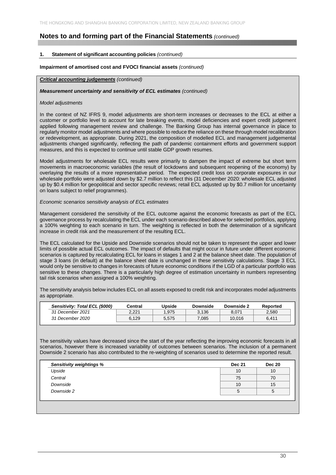#### **1. Statement of significant accounting policies** *(continued)*

#### **Impairment of amortised cost and FVOCI financial assets** *(continued)*

#### *Critical accounting judgements (continued)*

#### *Measurement uncertainty and sensitivity of ECL estimates (continued)*

#### *Model adjustments*

In the context of NZ IFRS 9, model adjustments are short-term increases or decreases to the ECL at either a customer or portfolio level to account for late breaking events, model deficiencies and expert credit judgement applied following management review and challenge. The Banking Group has internal governance in place to regularly monitor model adjustments and where possible to reduce the reliance on these through model recalibration or redevelopment, as appropriate. During 2021, the composition of modelled ECL and management judgemental adjustments changed significantly, reflecting the path of pandemic containment efforts and government support measures, and this is expected to continue until stable GDP growth resumes.

Model adjustments for wholesale ECL results were primarily to dampen the impact of extreme but short term movements in macroeconomic variables (the result of lockdowns and subsequent reopening of the economy) by overlaying the results of a more representative period. The expected credit loss on corporate exposures in our wholesale portfolio were adjusted down by \$2.7 million to reflect this (31 December 2020: wholesale ECL adjusted up by \$0.4 million for geopolitical and sector specific reviews; retail ECL adjusted up by \$0.7 million for uncertainty on loans subject to relief programmes).

#### *Economic scenarios sensitivity analysis of ECL estimates*

Management considered the sensitivity of the ECL outcome against the economic forecasts as part of the ECL governance process by recalculating the ECL under each scenario described above for selected portfolios, applying a 100% weighting to each scenario in turn. The weighting is reflected in both the determination of a significant increase in credit risk and the measurement of the resulting ECL.

The ECL calculated for the Upside and Downside scenarios should not be taken to represent the upper and lower limits of possible actual ECL outcomes. The impact of defaults that might occur in future under different economic scenarios is captured by recalculating ECL for loans in stages 1 and 2 at the balance sheet date. The population of stage 3 loans (in default) at the balance sheet date is unchanged in these sensitivity calculations. Stage 3 ECL would only be sensitive to changes in forecasts of future economic conditions if the LGD of a particular portfolio was sensitive to these changes. There is a particularly high degree of estimation uncertainty in numbers representing tail risk scenarios when assigned a 100% weighting.

The sensitivity analysis below includes ECL on all assets exposed to credit risk and incorporates model adjustments as appropriate.

| Sensitivity: Total ECL (\$000) | Central | Upside | Downside | Downside 2 | Reported |
|--------------------------------|---------|--------|----------|------------|----------|
| 31 December 2021               | 2.221   | .975   | 3.136    | 8.071      | 2.580    |
| 31 December 2020               | 6.129   | 5.575  | 7.085    | 10.016     | 6.411    |

The sensitivity values have decreased since the start of the year reflecting the improving economic forecasts in all scenarios, however there is increased variability of outcomes between scenarios. The inclusion of a permanent Downside 2 scenario has also contributed to the re-weighting of scenarios used to determine the reported result.

| <b>Sensitivity weightings %</b> | <b>Dec 21</b> | <b>Dec 20</b> |
|---------------------------------|---------------|---------------|
| Upside                          | 10            | 10            |
| Central                         | 75            | 70            |
| Downside                        | 10            | 15            |
| Downside 2                      | G             | 5             |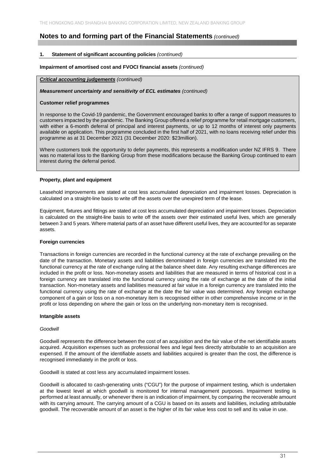#### **1. Statement of significant accounting policies** *(continued)*

#### **Impairment of amortised cost and FVOCI financial assets** *(continued)*

#### *Critical accounting judgements (continued)*

#### *Measurement uncertainty and sensitivity of ECL estimates (continued)*

#### **Customer relief programmes**

In response to the Covid-19 pandemic, the Government encouraged banks to offer a range of support measures to customers impacted by the pandemic. The Banking Group offered a relief programme for retail mortgage customers, with either a 6-month deferral of principal and interest payments, or up to 12 months of interest only payments available on application. This programme concluded in the first half of 2021, with no loans receiving relief under this programme as at 31 December 2021 (31 December 2020: \$23million).

Where customers took the opportunity to defer payments, this represents a modification under NZ IFRS 9. There was no material loss to the Banking Group from these modifications because the Banking Group continued to earn interest during the deferral period.

#### **Property, plant and equipment**

Leasehold improvements are stated at cost less accumulated depreciation and impairment losses. Depreciation is calculated on a straight-line basis to write off the assets over the unexpired term of the lease.

Equipment, fixtures and fittings are stated at cost less accumulated depreciation and impairment losses. Depreciation is calculated on the straight-line basis to write off the assets over their estimated useful lives, which are generally between 3 and 5 years. Where material parts of an asset have different useful lives, they are accounted for as separate assets.

#### **Foreign currencies**

Transactions in foreign currencies are recorded in the functional currency at the rate of exchange prevailing on the date of the transaction. Monetary assets and liabilities denominated in foreign currencies are translated into the functional currency at the rate of exchange ruling at the balance sheet date. Any resulting exchange differences are included in the profit or loss. Non-monetary assets and liabilities that are measured in terms of historical cost in a foreign currency are translated into the functional currency using the rate of exchange at the date of the initial transaction. Non-monetary assets and liabilities measured at fair value in a foreign currency are translated into the functional currency using the rate of exchange at the date the fair value was determined. Any foreign exchange component of a gain or loss on a non-monetary item is recognised either in other comprehensive income or in the profit or loss depending on where the gain or loss on the underlying non-monetary item is recognised.

#### **Intangible assets**

#### *Goodwill*

Goodwill represents the difference between the cost of an acquisition and the fair value of the net identifiable assets acquired. Acquisition expenses such as professional fees and legal fees directly attributable to an acquisition are expensed. If the amount of the identifiable assets and liabilities acquired is greater than the cost, the difference is recognised immediately in the profit or loss.

Goodwill is stated at cost less any accumulated impairment losses.

Goodwill is allocated to cash-generating units ("CGU") for the purpose of impairment testing, which is undertaken at the lowest level at which goodwill is monitored for internal management purposes. Impairment testing is performed at least annually, or whenever there is an indication of impairment, by comparing the recoverable amount with its carrying amount. The carrying amount of a CGU is based on its assets and liabilities, including attributable goodwill. The recoverable amount of an asset is the higher of its fair value less cost to sell and its value in use.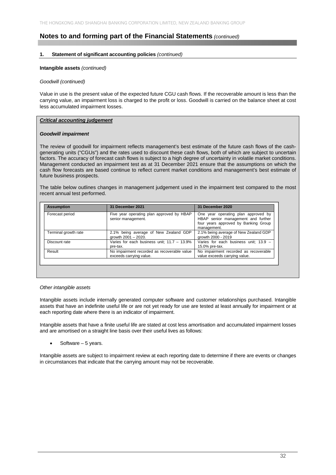#### **1. Statement of significant accounting policies** *(continued)*

#### **Intangible assets** *(continued)*

#### *Goodwill (continued)*

Value in use is the present value of the expected future CGU cash flows. If the recoverable amount is less than the carrying value, an impairment loss is charged to the profit or loss. Goodwill is carried on the balance sheet at cost less accumulated impairment losses.

#### *Critical accounting judgement*

#### *Goodwill impairment*

The review of goodwill for impairment reflects management's best estimate of the future cash flows of the cashgenerating units ("CGUs") and the rates used to discount these cash flows, both of which are subject to uncertain factors. The accuracy of forecast cash flows is subject to a high degree of uncertainty in volatile market conditions. Management conducted an impairment test as at 31 December 2021 ensure that the assumptions on which the cash flow forecasts are based continue to reflect current market conditions and management's best estimate of future business prospects.

The table below outlines changes in management judgement used in the impairment test compared to the most recent annual test performed.

| <b>Assumption</b>    | 31 December 2021                                                       | 31 December 2020                                                                                                                 |
|----------------------|------------------------------------------------------------------------|----------------------------------------------------------------------------------------------------------------------------------|
| Forecast period      | Five year operating plan approved by HBAP<br>senior management.        | One year operating plan approved by<br>HBAP senior management and further<br>four years approved by Banking Group<br>management. |
| Terminal growth rate | 2.1% being average of New Zealand GDP<br>growth $2001 - 2020$ .        | 2.1% being average of New Zealand GDP<br>growth 2000 - 2019                                                                      |
| Discount rate        | Varies for each business unit; $11.7 - 13.9\%$<br>pre-tax.             | Varies for each business unit; 13.9 -<br>15.0% pre-tax.                                                                          |
| Result               | No impairment recorded as recoverable value<br>exceeds carrying value. | No impairment recorded as recoverable<br>value exceeds carrying value.                                                           |

#### *Other intangible assets*

Intangible assets include internally generated computer software and customer relationships purchased. Intangible assets that have an indefinite useful life or are not yet ready for use are tested at least annually for impairment or at each reporting date where there is an indicator of impairment.

Intangible assets that have a finite useful life are stated at cost less amortisation and accumulated impairment losses and are amortised on a straight line basis over their useful lives as follows:

Software – 5 years.

Intangible assets are subject to impairment review at each reporting date to determine if there are events or changes in circumstances that indicate that the carrying amount may not be recoverable.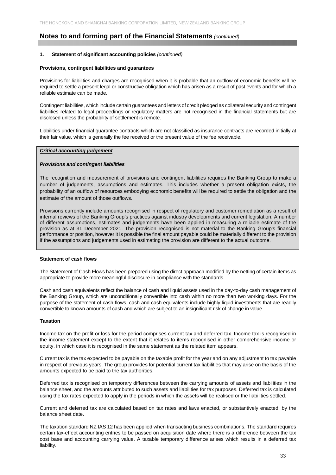#### **1. Statement of significant accounting policies** *(continued)*

#### **Provisions, contingent liabilities and guarantees**

Provisions for liabilities and charges are recognised when it is probable that an outflow of economic benefits will be required to settle a present legal or constructive obligation which has arisen as a result of past events and for which a reliable estimate can be made.

Contingent liabilities, which include certain guarantees and letters of credit pledged as collateral security and contingent liabilities related to legal proceedings or regulatory matters are not recognised in the financial statements but are disclosed unless the probability of settlement is remote.

Liabilities under financial guarantee contracts which are not classified as insurance contracts are recorded initially at their fair value, which is generally the fee received or the present value of the fee receivable.

#### *Critical accounting judgement*

#### *Provisions and contingent liabilities*

The recognition and measurement of provisions and contingent liabilities requires the Banking Group to make a number of judgements, assumptions and estimates. This includes whether a present obligation exists, the probability of an outflow of resources embodying economic benefits will be required to settle the obligation and the estimate of the amount of those outflows.

Provisions currently include amounts recognised in respect of regulatory and customer remediation as a result of internal reviews of the Banking Group's practices against industry developments and current legislation. A number of different assumptions, estimates and judgements have been applied in measuring a reliable estimate of the provision as at 31 December 2021. The provision recognised is not material to the Banking Group's financial performance or position, however it is possible the final amount payable could be materially different to the provision if the assumptions and judgements used in estimating the provision are different to the actual outcome.

#### **Statement of cash flows**

The Statement of Cash Flows has been prepared using the direct approach modified by the netting of certain items as appropriate to provide more meaningful disclosure in compliance with the standards.

Cash and cash equivalents reflect the balance of cash and liquid assets used in the day-to-day cash management of the Banking Group, which are unconditionally convertible into cash within no more than two working days. For the purpose of the statement of cash flows, cash and cash equivalents include highly liquid investments that are readily convertible to known amounts of cash and which are subject to an insignificant risk of change in value.

#### **Taxation**

Income tax on the profit or loss for the period comprises current tax and deferred tax. Income tax is recognised in the income statement except to the extent that it relates to items recognised in other comprehensive income or equity, in which case it is recognised in the same statement as the related item appears.

Current tax is the tax expected to be payable on the taxable profit for the year and on any adjustment to tax payable in respect of previous years. The group provides for potential current tax liabilities that may arise on the basis of the amounts expected to be paid to the tax authorities.

Deferred tax is recognised on temporary differences between the carrying amounts of assets and liabilities in the balance sheet, and the amounts attributed to such assets and liabilities for tax purposes. Deferred tax is calculated using the tax rates expected to apply in the periods in which the assets will be realised or the liabilities settled.

Current and deferred tax are calculated based on tax rates and laws enacted, or substantively enacted, by the balance sheet date.

The taxation standard NZ IAS 12 has been applied when transacting business combinations. The standard requires certain tax-effect accounting entries to be passed on acquisition date where there is a difference between the tax cost base and accounting carrying value. A taxable temporary difference arises which results in a deferred tax liability.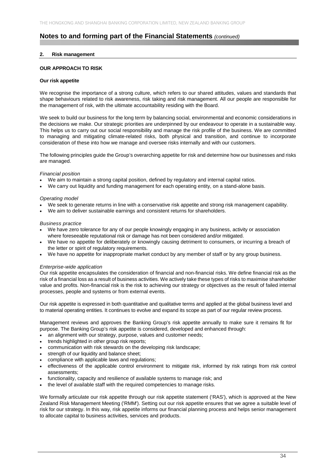#### **2. Risk management**

#### **OUR APPROACH TO RISK**

#### **Our risk appetite**

We recognise the importance of a strong culture, which refers to our shared attitudes, values and standards that shape behaviours related to risk awareness, risk taking and risk management. All our people are responsible for the management of risk, with the ultimate accountability residing with the Board.

We seek to build our business for the long term by balancing social, environmental and economic considerations in the decisions we make. Our strategic priorities are underpinned by our endeavour to operate in a sustainable way. This helps us to carry out our social responsibility and manage the risk profile of the business. We are committed to managing and mitigating climate-related risks, both physical and transition, and continue to incorporate consideration of these into how we manage and oversee risks internally and with our customers.

The following principles guide the Group's overarching appetite for risk and determine how our businesses and risks are managed.

#### *Financial position*

- We aim to maintain a strong capital position, defined by regulatory and internal capital ratios.
- We carry out liquidity and funding management for each operating entity, on a stand-alone basis.

#### *Operating model*

- We seek to generate returns in line with a conservative risk appetite and strong risk management capability.
- We aim to deliver sustainable earnings and consistent returns for shareholders.

#### *Business practice*

- We have zero tolerance for any of our people knowingly engaging in any business, activity or association where foreseeable reputational risk or damage has not been considered and/or mitigated.
- We have no appetite for deliberately or knowingly causing detriment to consumers, or incurring a breach of the letter or spirit of regulatory requirements.
- We have no appetite for inappropriate market conduct by any member of staff or by any group business.

#### *Enterprise-wide application*

Our risk appetite encapsulates the consideration of financial and non-financial risks. We define financial risk as the risk of a financial loss as a result of business activities. We actively take these types of risks to maximise shareholder value and profits. Non-financial risk is the risk to achieving our strategy or objectives as the result of failed internal processes, people and systems or from external events.

Our risk appetite is expressed in both quantitative and qualitative terms and applied at the global business level and to material operating entities. It continues to evolve and expand its scope as part of our regular review process.

Management reviews and approves the Banking Group's risk appetite annually to make sure it remains fit for purpose. The Banking Group's risk appetite is considered, developed and enhanced through:

- an alignment with our strategy, purpose, values and customer needs;
- trends highlighted in other group risk reports;
- communication with risk stewards on the developing risk landscape;
- strength of our liquidity and balance sheet:
- compliance with applicable laws and regulations;
- effectiveness of the applicable control environment to mitigate risk, informed by risk ratings from risk control assessments;
- functionality, capacity and resilience of available systems to manage risk; and
- the level of available staff with the required competencies to manage risks.

We formally articulate our risk appetite through our risk appetite statement ('RAS'), which is approved at the New Zealand Risk Management Meeting ('RMM'). Setting out our risk appetite ensures that we agree a suitable level of risk for our strategy. In this way, risk appetite informs our financial planning process and helps senior management to allocate capital to business activities, services and products.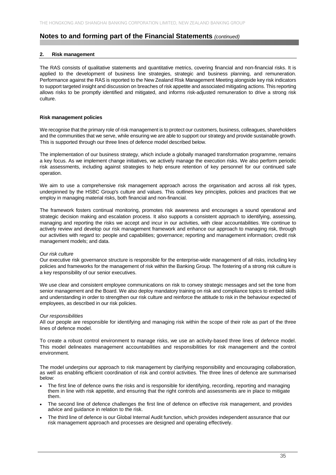#### **2. Risk management**

The RAS consists of qualitative statements and quantitative metrics, covering financial and non-financial risks. It is applied to the development of business line strategies, strategic and business planning, and remuneration. Performance against the RAS is reported to the New Zealand Risk Management Meeting alongside key risk indicators to support targeted insight and discussion on breaches of risk appetite and associated mitigating actions. This reporting allows risks to be promptly identified and mitigated, and informs risk-adjusted remuneration to drive a strong risk culture.

#### **Risk management policies**

We recognise that the primary role of risk management is to protect our customers, business, colleagues, shareholders and the communities that we serve, while ensuring we are able to support our strategy and provide sustainable growth. This is supported through our three lines of defence model described below.

The implementation of our business strategy, which include a globally managed transformation programme, remains a key focus. As we implement change initiatives, we actively manage the execution risks. We also perform periodic risk assessments, including against strategies to help ensure retention of key personnel for our continued safe operation.

We aim to use a comprehensive risk management approach across the organisation and across all risk types, underpinned by the HSBC Group's culture and values. This outlines key principles, policies and practices that we employ in managing material risks, both financial and non-financial.

The framework fosters continual monitoring, promotes risk awareness and encourages a sound operational and strategic decision making and escalation process. It also supports a consistent approach to identifying, assessing, managing and reporting the risks we accept and incur in our activities, with clear accountabilities. We continue to actively review and develop our risk management framework and enhance our approach to managing risk, through our activities with regard to: people and capabilities; governance; reporting and management information; credit risk management models; and data.

#### *Our risk culture*

Our executive risk governance structure is responsible for the enterprise-wide management of all risks, including key policies and frameworks for the management of risk within the Banking Group. The fostering of a strong risk culture is a key responsibility of our senior executives.

We use clear and consistent employee communications on risk to convey strategic messages and set the tone from senior management and the Board. We also deploy mandatory training on risk and compliance topics to embed skills and understanding in order to strengthen our risk culture and reinforce the attitude to risk in the behaviour expected of employees, as described in our risk policies.

#### *Our responsibilities*

All our people are responsible for identifying and managing risk within the scope of their role as part of the three lines of defence model.

To create a robust control environment to manage risks, we use an activity-based three lines of defence model. This model delineates management accountabilities and responsibilities for risk management and the control environment.

The model underpins our approach to risk management by clarifying responsibility and encouraging collaboration, as well as enabling efficient coordination of risk and control activities. The three lines of defence are summarised below:

- The first line of defence owns the risks and is responsible for identifying, recording, reporting and managing them in line with risk appetite, and ensuring that the right controls and assessments are in place to mitigate them.
- The second line of defence challenges the first line of defence on effective risk management, and provides advice and guidance in relation to the risk.
- The third line of defence is our Global Internal Audit function, which provides independent assurance that our risk management approach and processes are designed and operating effectively.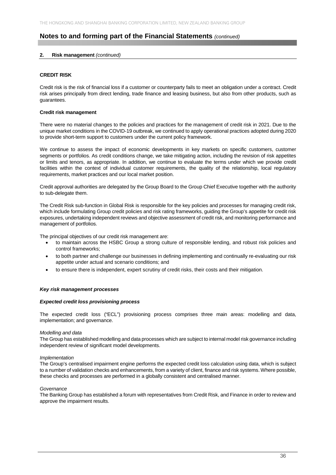## **2. Risk management** *(continued)*

## **CREDIT RISK**

Credit risk is the risk of financial loss if a customer or counterparty fails to meet an obligation under a contract. Credit risk arises principally from direct lending, trade finance and leasing business, but also from other products, such as guarantees.

## **Credit risk management**

There were no material changes to the policies and practices for the management of credit risk in 2021. Due to the unique market conditions in the COVID-19 outbreak, we continued to apply operational practices adopted during 2020 to provide short-term support to customers under the current policy framework.

We continue to assess the impact of economic developments in key markets on specific customers, customer segments or portfolios. As credit conditions change, we take mitigating action, including the revision of risk appetites or limits and tenors, as appropriate. In addition, we continue to evaluate the terms under which we provide credit facilities within the context of individual customer requirements, the quality of the relationship, local regulatory requirements, market practices and our local market position.

Credit approval authorities are delegated by the Group Board to the Group Chief Executive together with the authority to sub-delegate them.

The Credit Risk sub-function in Global Risk is responsible for the key policies and processes for managing credit risk, which include formulating Group credit policies and risk rating frameworks, guiding the Group's appetite for credit risk exposures, undertaking independent reviews and objective assessment of credit risk, and monitoring performance and management of portfolios.

The principal objectives of our credit risk management are:

- to maintain across the HSBC Group a strong culture of responsible lending, and robust risk policies and control frameworks;
- to both partner and challenge our businesses in defining implementing and continually re-evaluating our risk appetite under actual and scenario conditions; and
- to ensure there is independent, expert scrutiny of credit risks, their costs and their mitigation.

## *Key risk management processes*

## *Expected credit loss provisioning process*

The expected credit loss ("ECL") provisioning process comprises three main areas: modelling and data, implementation; and governance.

## *Modelling and data*

The Group has established modelling and data processes which are subject to internal model risk governance including independent review of significant model developments.

## *Implementation*

The Group's centralised impairment engine performs the expected credit loss calculation using data, which is subject to a number of validation checks and enhancements, from a variety of client, finance and risk systems. Where possible, these checks and processes are performed in a globally consistent and centralised manner.

## *Governance*

The Banking Group has established a forum with representatives from Credit Risk, and Finance in order to review and approve the impairment results.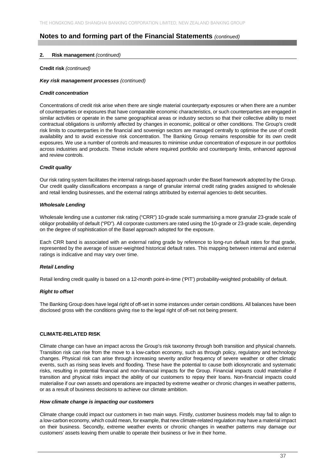## **2. Risk management** *(continued)*

### **Credit risk** *(continued)*

### *Key risk management processes (continued)*

### *Credit concentration*

Concentrations of credit risk arise when there are single material counterparty exposures or when there are a number of counterparties or exposures that have comparable economic characteristics, or such counterparties are engaged in similar activities or operate in the same geographical areas or industry sectors so that their collective ability to meet contractual obligations is uniformly affected by changes in economic, political or other conditions. The Group's credit risk limits to counterparties in the financial and sovereign sectors are managed centrally to optimise the use of credit availability and to avoid excessive risk concentration. The Banking Group remains responsible for its own credit exposures. We use a number of controls and measures to minimise undue concentration of exposure in our portfolios across industries and products. These include where required portfolio and counterparty limits, enhanced approval and review controls.

## *Credit quality*

Our risk rating system facilitates the internal ratings-based approach under the Basel framework adopted by the Group. Our credit quality classifications encompass a range of granular internal credit rating grades assigned to wholesale and retail lending businesses, and the external ratings attributed by external agencies to debt securities.

## *Wholesale Lending*

Wholesale lending use a customer risk rating ("CRR") 10-grade scale summarising a more granular 23-grade scale of obligor probability of default ("PD"). All corporate customers are rated using the 10-grade or 23-grade scale, depending on the degree of sophistication of the Basel approach adopted for the exposure.

Each CRR band is associated with an external rating grade by reference to long-run default rates for that grade, represented by the average of issuer-weighted historical default rates. This mapping between internal and external ratings is indicative and may vary over time.

## *Retail Lending*

Retail lending credit quality is based on a 12-month point-in-time ('PIT') probability-weighted probability of default.

## *Right to offset*

The Banking Group does have legal right of off-set in some instances under certain conditions. All balances have been disclosed gross with the conditions giving rise to the legal right of off-set not being present.

## **CLIMATE-RELATED RISK**

Climate change can have an impact across the Group's risk taxonomy through both transition and physical channels. Transition risk can rise from the move to a low-carbon economy, such as through policy, regulatory and technology changes. Physical risk can arise through increasing severity and/or frequency of severe weather or other climatic events, such as rising seas levels and flooding. These have the potential to cause both idiosyncratic and systematic risks, resulting in potential financial and non-financial impacts for the Group. Financial impacts could materialise if transition and physical risks impact the ability of our customers to repay their loans. Non-financial impacts could materialise if our own assets and operations are impacted by extreme weather or chronic changes in weather patterns, or as a result of business decisions to achieve our climate ambition.

#### *How climate change is impacting our customers*

Climate change could impact our customers in two main ways. Firstly, customer business models may fail to align to a low-carbon economy, which could mean, for example, that new climate-related regulation may have a material impact on their business. Secondly, extreme weather events or chronic changes in weather patterns may damage our customers' assets leaving them unable to operate their business or live in their home.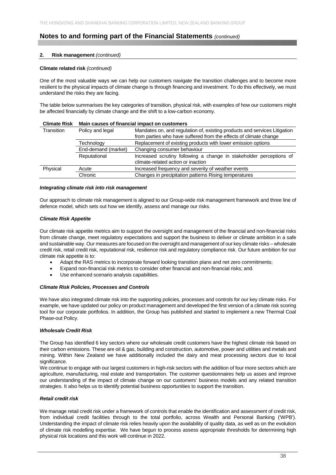## **2. Risk management** *(continued)*

### **Climate related risk** *(continued)*

One of the most valuable ways we can help our customers navigate the transition challenges and to become more resilient to the physical impacts of climate change is through financing and investment. To do this effectively, we must understand the risks they are facing.

The table below summarises the key categories of transition, physical risk, with examples of how our customers might be affected financially by climate change and the shift to a low-carbon economy.

| <b>UIIIIAIC NISR</b> |                     | Maill Causes Of Hilancial Impact Off Customers                            |
|----------------------|---------------------|---------------------------------------------------------------------------|
| Transition           | Policy and legal    | Mandates on, and regulation of, existing products and services Litigation |
|                      |                     | from parties who have suffered from the effects of climate change         |
|                      | Technology          | Replacement of existing products with lower emission options              |
|                      | End-demand (market) | Changing consumer behaviour                                               |
|                      | Reputational        | Increased scrutiny following a change in stakeholder perceptions of       |
|                      |                     | climate-related action or inaction                                        |
| Physical             | Acute               | Increased frequency and severity of weather events                        |
|                      | Chronic             | Changes in precipitation patterns Rising temperatures                     |
|                      |                     |                                                                           |

**Climate Risk Main causes of financial impact on customers** 

#### *Integrating climate risk into risk management*

Our approach to climate risk management is aligned to our Group-wide risk management framework and three line of defence model, which sets out how we identify, assess and manage our risks.

## *Climate Risk Appetite*

Our climate risk appetite metrics aim to support the oversight and management of the financial and non-financial risks from climate change, meet regulatory expectations and support the business to deliver or climate ambition in a safe and sustainable way. Our measures are focused on the oversight and management of our key climate risks – wholesale credit risk, retail credit risk, reputational risk, resilience risk and regulatory compliance risk. Our future ambition for our climate risk appetite is to:

- Adapt the RAS metrics to incorporate forward looking transition plans and net zero commitments;
- Expand non-financial risk metrics to consider other financial and non-financial risks; and.
- Use enhanced scenario analysis capabilities.

## *Climate Risk Policies, Processes and Controls*

We have also integrated climate risk into the supporting policies, processes and controls for our key climate risks. For example, we have updated our policy on product management and developed the first version of a climate risk scoring tool for our corporate portfolios. In addition, the Group has published and started to implement a new Thermal Coal Phase-out Policy.

## *Wholesale Credit Risk*

The Group has identified 6 key sectors where our wholesale credit customers have the highest climate risk based on their carbon emissions. These are oil & gas, building and construction, automotive, power and utilities and metals and mining. Within New Zealand we have additionally included the dairy and meat processing sectors due to local significance.

We continue to engage with our largest customers in high-risk sectors with the addition of four more sectors which are agriculture, manufacturing, real estate and transportation. The customer questionnaires help us asses and improve our understanding of the impact of climate change on our customers' business models and any related transition strategies. It also helps us to identify potential business opportunities to support the transition.

## *Retail credit risk*

We manage retail credit risk under a framework of controls that enable the identification and assessment of credit risk. from individual credit facilities through to the total portfolio, across Wealth and Personal Banking ('WPB'). Understanding the impact of climate risk relies heavily upon the availability of quality data, as well as on the evolution of climate risk modelling expertise. We have begun to process assess appropriate thresholds for determining high physical risk locations and this work will continue in 2022.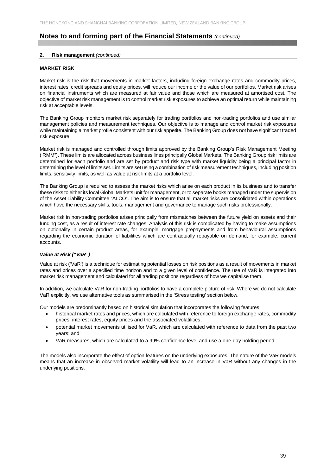## **2. Risk management** *(continued)*

## **MARKET RISK**

Market risk is the risk that movements in market factors, including foreign exchange rates and commodity prices, interest rates, credit spreads and equity prices, will reduce our income or the value of our portfolios. Market risk arises on financial instruments which are measured at fair value and those which are measured at amortised cost. The objective of market risk management is to control market risk exposures to achieve an optimal return while maintaining risk at acceptable levels.

The Banking Group monitors market risk separately for trading portfolios and non-trading portfolios and use similar management policies and measurement techniques. Our objective is to manage and control market risk exposures while maintaining a market profile consistent with our risk appetite. The Banking Group does not have significant traded risk exposure.

Market risk is managed and controlled through limits approved by the Banking Group's Risk Management Meeting ('RMM"). These limits are allocated across business lines principally Global Markets. The Banking Group risk limits are determined for each portfolio and are set by product and risk type with market liquidity being a principal factor in determining the level of limits set. Limits are set using a combination of risk measurement techniques, including position limits, sensitivity limits, as well as value at risk limits at a portfolio level.

The Banking Group is required to assess the market risks which arise on each product in its business and to transfer these risks to either its local Global Markets unit for management, or to separate books managed under the supervision of the Asset Liability Committee "ALCO". The aim is to ensure that all market risks are consolidated within operations which have the necessary skills, tools, management and governance to manage such risks professionally.

Market risk in non-trading portfolios arises principally from mismatches between the future yield on assets and their funding cost, as a result of interest rate changes. Analysis of this risk is complicated by having to make assumptions on optionality in certain product areas, for example, mortgage prepayments and from behavioural assumptions regarding the economic duration of liabilities which are contractually repayable on demand, for example, current accounts.

## *Value at Risk ("VaR")*

Value at risk ('VaR') is a technique for estimating potential losses on risk positions as a result of movements in market rates and prices over a specified time horizon and to a given level of confidence. The use of VaR is integrated into market risk management and calculated for all trading positions regardless of how we capitalise them.

In addition, we calculate VaR for non-trading portfolios to have a complete picture of risk. Where we do not calculate VaR explicitly, we use alternative tools as summarised in the 'Stress testing' section below.

Our models are predominantly based on historical simulation that incorporates the following features:

- historical market rates and prices, which are calculated with reference to foreign exchange rates, commodity prices, interest rates, equity prices and the associated volatilities;
- potential market movements utilised for VaR, which are calculated with reference to data from the past two years; and
- VaR measures, which are calculated to a 99% confidence level and use a one-day holding period.

The models also incorporate the effect of option features on the underlying exposures. The nature of the VaR models means that an increase in observed market volatility will lead to an increase in VaR without any changes in the underlying positions.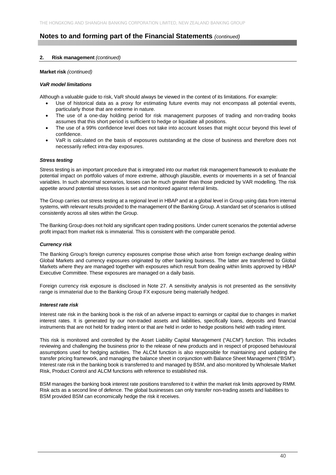## **2. Risk management** *(continued)*

## **Market risk** *(continued)*

### *VaR model limitations*

Although a valuable guide to risk, VaR should always be viewed in the context of its limitations. For example:

- Use of historical data as a proxy for estimating future events may not encompass all potential events, particularly those that are extreme in nature.
- The use of a one-day holding period for risk management purposes of trading and non-trading books assumes that this short period is sufficient to hedge or liquidate all positions.
- The use of a 99% confidence level does not take into account losses that might occur beyond this level of confidence.
- VaR is calculated on the basis of exposures outstanding at the close of business and therefore does not necessarily reflect intra-day exposures.

### *Stress testing*

Stress testing is an important procedure that is integrated into our market risk management framework to evaluate the potential impact on portfolio values of more extreme, although plausible, events or movements in a set of financial variables. In such abnormal scenarios, losses can be much greater than those predicted by VAR modelling. The risk appetite around potential stress losses is set and monitored against referral limits.

The Group carries out stress testing at a regional level in HBAP and at a global level in Group using data from internal systems, with relevant results provided to the management of the Banking Group. A standard set of scenarios is utilised consistently across all sites within the Group.

The Banking Group does not hold any significant open trading positions. Under current scenarios the potential adverse profit impact from market risk is immaterial. This is consistent with the comparable period.

## *Currency risk*

The Banking Group's foreign currency exposures comprise those which arise from foreign exchange dealing within Global Markets and currency exposures originated by other banking business. The latter are transferred to Global Markets where they are managed together with exposures which result from dealing within limits approved by HBAP Executive Committee. These exposures are managed on a daily basis.

Foreign currency risk exposure is disclosed in Note 27. A sensitivity analysis is not presented as the sensitivity range is immaterial due to the Banking Group FX exposure being materially hedged.

## *Interest rate risk*

Interest rate risk in the banking book is the risk of an adverse impact to earnings or capital due to changes in market interest rates. It is generated by our non-traded assets and liabilities, specifically loans, deposits and financial instruments that are not held for trading intent or that are held in order to hedge positions held with trading intent.

This risk is monitored and controlled by the Asset Liability Capital Management ("ALCM") function. This includes reviewing and challenging the business prior to the release of new products and in respect of proposed behavioural assumptions used for hedging activities. The ALCM function is also responsible for maintaining and updating the transfer pricing framework, and managing the balance sheet in conjunction with Balance Sheet Management ("BSM"). Interest rate risk in the banking book is transferred to and managed by BSM, and also monitored by Wholesale Market Risk, Product Control and ALCM functions with reference to established risk.

BSM manages the banking book interest rate positions transferred to it within the market risk limits approved by RMM. Risk acts as a second line of defence. The global businesses can only transfer non-trading assets and liabilities to BSM provided BSM can economically hedge the risk it receives.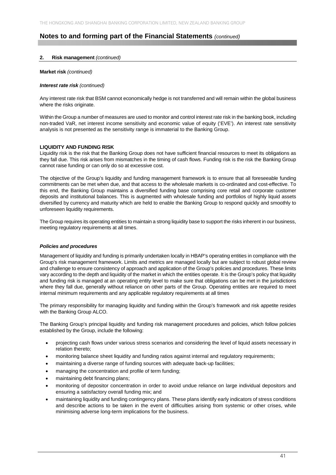## **2. Risk management** *(continued)*

## **Market risk** *(continued)*

### *Interest rate risk (continued)*

Any interest rate risk that BSM cannot economically hedge is not transferred and will remain within the global business where the risks originate.

Within the Group a number of measures are used to monitor and control interest rate risk in the banking book, including non-traded VaR, net interest income sensitivity and economic value of equity ('EVE'). An interest rate sensitivity analysis is not presented as the sensitivity range is immaterial to the Banking Group.

## **LIQUIDITY AND FUNDING RISK**

Liquidity risk is the risk that the Banking Group does not have sufficient financial resources to meet its obligations as they fall due. This risk arises from mismatches in the timing of cash flows. Funding risk is the risk the Banking Group cannot raise funding or can only do so at excessive cost.

The objective of the Group's liquidity and funding management framework is to ensure that all foreseeable funding commitments can be met when due, and that access to the wholesale markets is co-ordinated and cost-effective. To this end, the Banking Group maintains a diversified funding base comprising core retail and corporate customer deposits and institutional balances. This is augmented with wholesale funding and portfolios of highly liquid assets diversified by currency and maturity which are held to enable the Banking Group to respond quickly and smoothly to unforeseen liquidity requirements.

The Group requires its operating entities to maintain a strong liquidity base to support the risks inherent in our business, meeting regulatory requirements at all times.

## *Policies and procedures*

Management of liquidity and funding is primarily undertaken locally in HBAP's operating entities in compliance with the Group's risk management framework. Limits and metrics are managed locally but are subject to robust global review and challenge to ensure consistency of approach and application of the Group's policies and procedures. These limits vary according to the depth and liquidity of the market in which the entities operate. It is the Group's policy that liquidity and funding risk is managed at an operating entity level to make sure that obligations can be met in the jurisdictions where they fall due, generally without reliance on other parts of the Group. Operating entities are required to meet internal minimum requirements and any applicable regulatory requirements at all times

The primary responsibility for managing liquidity and funding within the Group's framework and risk appetite resides with the Banking Group ALCO.

The Banking Group's principal liquidity and funding risk management procedures and policies, which follow policies established by the Group, include the following:

- projecting cash flows under various stress scenarios and considering the level of liquid assets necessary in relation thereto;
- monitoring balance sheet liquidity and funding ratios against internal and regulatory requirements;
- maintaining a diverse range of funding sources with adequate back-up facilities;
- managing the concentration and profile of term funding;
- maintaining debt financing plans;
- monitoring of depositor concentration in order to avoid undue reliance on large individual depositors and ensuring a satisfactory overall funding mix; and
- maintaining liquidity and funding contingency plans. These plans identify early indicators of stress conditions and describe actions to be taken in the event of difficulties arising from systemic or other crises, while minimising adverse long-term implications for the business.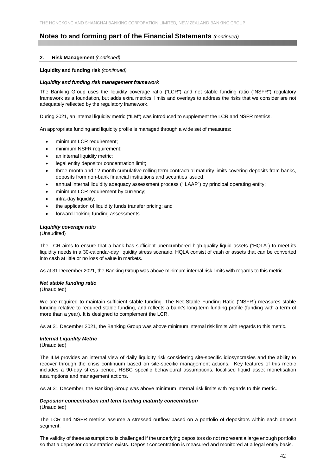## **2. Risk Management** *(continued)*

## **Liquidity and funding risk** *(continued)*

## *Liquidity and funding risk management framework*

The Banking Group uses the liquidity coverage ratio ("LCR") and net stable funding ratio ("NSFR") regulatory framework as a foundation, but adds extra metrics, limits and overlays to address the risks that we consider are not adequately reflected by the regulatory framework.

During 2021, an internal liquidity metric ("ILM") was introduced to supplement the LCR and NSFR metrics.

An appropriate funding and liquidity profile is managed through a wide set of measures:

- minimum LCR requirement;
- minimum NSFR requirement;
- an internal liquidity metric;
- legal entity depositor concentration limit;
- three-month and 12-month cumulative rolling term contractual maturity limits covering deposits from banks, deposits from non-bank financial institutions and securities issued;
- annual internal liquidity adequacy assessment process ("ILAAP") by principal operating entity;
- minimum LCR requirement by currency:
- intra-day liquidity;
- the application of liquidity funds transfer pricing; and
- forward-looking funding assessments.

## *Liquidity coverage ratio*

(Unaudited)

The LCR aims to ensure that a bank has sufficient unencumbered high-quality liquid assets ("HQLA") to meet its liquidity needs in a 30-calendar-day liquidity stress scenario. HQLA consist of cash or assets that can be converted into cash at little or no loss of value in markets.

As at 31 December 2021, the Banking Group was above minimum internal risk limits with regards to this metric.

## *Net stable funding ratio*

(Unaudited)

We are required to maintain sufficient stable funding. The Net Stable Funding Ratio ('NSFR') measures stable funding relative to required stable funding, and reflects a bank's long-term funding profile (funding with a term of more than a year). It is designed to complement the LCR.

As at 31 December 2021, the Banking Group was above minimum internal risk limits with regards to this metric.

## *Internal Liquidity Metric*

(Unaudited)

The ILM provides an internal view of daily liquidity risk considering site-specific idiosyncrasies and the ability to recover through the crisis continuum based on site-specific management actions. Key features of this metric includes a 90-day stress period, HSBC specific behavioural assumptions, localised liquid asset monetisation assumptions and management actions.

As at 31 December, the Banking Group was above minimum internal risk limits with regards to this metric.

## *Depositor concentration and term funding maturity concentration*

(Unaudited)

The LCR and NSFR metrics assume a stressed outflow based on a portfolio of depositors within each deposit segment.

The validity of these assumptions is challenged if the underlying depositors do not represent a large enough portfolio so that a depositor concentration exists. Deposit concentration is measured and monitored at a legal entity basis.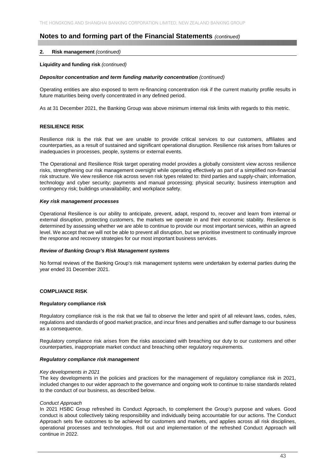## **2. Risk management** *(continued)*

## **Liquidity and funding risk** *(continued)*

### **Depositor concentration and term funding maturity concentration (continued)**

Operating entities are also exposed to term re-financing concentration risk if the current maturity profile results in future maturities being overly concentrated in any defined period.

As at 31 December 2021, the Banking Group was above minimum internal risk limits with regards to this metric.

## **RESILIENCE RISK**

Resilience risk is the risk that we are unable to provide critical services to our customers, affiliates and counterparties, as a result of sustained and significant operational disruption. Resilience risk arises from failures or inadequacies in processes, people, systems or external events.

The Operational and Resilience Risk target operating model provides a globally consistent view across resilience risks, strengthening our risk management oversight while operating effectively as part of a simplified non-financial risk structure. We view resilience risk across seven risk types related to: third parties and supply-chain; information, technology and cyber security; payments and manual processing; physical security; business interruption and contingency risk; buildings unavailability; and workplace safety.

## *Key risk management processes*

Operational Resilience is our ability to anticipate, prevent, adapt, respond to, recover and learn from internal or external disruption, protecting customers, the markets we operate in and their economic stability. Resilience is determined by assessing whether we are able to continue to provide our most important services, within an agreed level. We accept that we will not be able to prevent all disruption, but we prioritise investment to continually improve the response and recovery strategies for our most important business services.

### *Review of Banking Group's Risk Management systems*

No formal reviews of the Banking Group's risk management systems were undertaken by external parties during the year ended 31 December 2021.

## **COMPLIANCE RISK**

#### **Regulatory compliance risk**

Regulatory compliance risk is the risk that we fail to observe the letter and spirit of all relevant laws, codes, rules, regulations and standards of good market practice, and incur fines and penalties and suffer damage to our business as a consequence.

Regulatory compliance risk arises from the risks associated with breaching our duty to our customers and other counterparties, inappropriate market conduct and breaching other regulatory requirements.

#### *Regulatory compliance risk management*

#### *Key developments in 2021*

The key developments in the policies and practices for the management of regulatory compliance risk in 2021, included changes to our wider approach to the governance and ongoing work to continue to raise standards related to the conduct of our business, as described below.

#### *Conduct Approach*

In 2021 HSBC Group refreshed its Conduct Approach, to complement the Group's purpose and values. Good conduct is about collectively taking responsibility and individually being accountable for our actions. The Conduct Approach sets five outcomes to be achieved for customers and markets, and applies across all risk disciplines, operational processes and technologies. Roll out and implementation of the refreshed Conduct Approach will continue in 2022.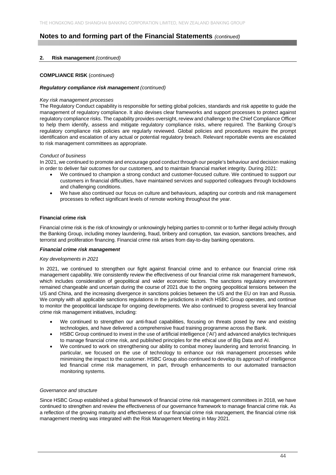## **2. Risk management** *(continued)*

## **COMPLIANCE RISK** (*continued)*

## *Regulatory compliance risk management (continued)*

## *Key risk management processes*

The Regulatory Conduct capability is responsible for setting global policies, standards and risk appetite to guide the management of regulatory compliance. It also devises clear frameworks and support processes to protect against regulatory compliance risks. The capability provides oversight, review and challenge to the Chief Compliance Officer to help them identify, assess and mitigate regulatory compliance risks, where required. The Banking Group's regulatory compliance risk policies are regularly reviewed. Global policies and procedures require the prompt identification and escalation of any actual or potential regulatory breach. Relevant reportable events are escalated to risk management committees as appropriate.

## *Conduct of business*

In 2021, we continued to promote and encourage good conduct through our people's behaviour and decision making in order to deliver fair outcomes for our customers, and to maintain financial market integrity. During 2021:

- We continued to champion a strong conduct and customer-focused culture. We continued to support our customers in financial difficulties, have maintained services and supported colleagues through lockdowns and challenging conditions.
- We have also continued our focus on culture and behaviours, adapting our controls and risk management processes to reflect significant levels of remote working throughout the year.

## **Financial crime risk**

Financial crime risk is the risk of knowingly or unknowingly helping parties to commit or to further illegal activity through the Banking Group, including money laundering, fraud, bribery and corruption, tax evasion, sanctions breaches, and terrorist and proliferation financing. Financial crime risk arises from day-to-day banking operations.

## *Financial crime risk management*

#### *Key developments in 2021*

In 2021, we continued to strengthen our fight against financial crime and to enhance our financial crime risk management capability. We consistently review the effectiveness of our financial crime risk management framework, which includes consideration of geopolitical and wider economic factors. The sanctions regulatory environment remained changeable and uncertain during the course of 2021 due to the ongoing geopolitical tensions between the US and China, and the increasing divergence in sanctions policies between the US and the EU on Iran and Russia. We comply with all applicable sanctions regulations in the jurisdictions in which HSBC Group operates, and continue to monitor the geopolitical landscape for ongoing developments. We also continued to progress several key financial crime risk management initiatives, including:

- We continued to strengthen our anti-fraud capabilities, focusing on threats posed by new and existing technologies, and have delivered a comprehensive fraud training programme across the Bank.
- HSBC Group continued to invest in the use of artificial intelligence ('AI') and advanced analytics techniques to manage financial crime risk, and published principles for the ethical use of Big Data and AI.
- We continued to work on strengthening our ability to combat money laundering and terrorist financing. In particular, we focused on the use of technology to enhance our risk management processes while minimising the impact to the customer. HSBC Group also continued to develop its approach of intelligence led financial crime risk management, in part, through enhancements to our automated transaction monitoring systems.

## *Governance and structure*

Since HSBC Group established a global framework of financial crime risk management committees in 2018, we have continued to strengthen and review the effectiveness of our governance framework to manage financial crime risk. As a reflection of the growing maturity and effectiveness of our financial crime risk management, the financial crime risk management meeting was integrated with the Risk Management Meeting in May 2021.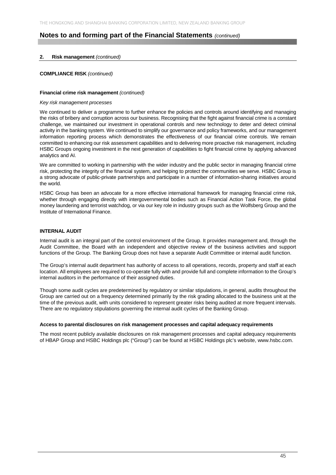## **2. Risk management** *(continued)*

### **COMPLIANCE RISK** *(continued)*

#### **Financial crime risk management** *(continued)*

### *Key risk management processes*

We continued to deliver a programme to further enhance the policies and controls around identifying and managing the risks of bribery and corruption across our business. Recognising that the fight against financial crime is a constant challenge, we maintained our investment in operational controls and new technology to deter and detect criminal activity in the banking system. We continued to simplify our governance and policy frameworks, and our management information reporting process which demonstrates the effectiveness of our financial crime controls. We remain committed to enhancing our risk assessment capabilities and to delivering more proactive risk management, including HSBC Groups ongoing investment in the next generation of capabilities to fight financial crime by applying advanced analytics and AI.

We are committed to working in partnership with the wider industry and the public sector in managing financial crime risk, protecting the integrity of the financial system, and helping to protect the communities we serve. HSBC Group is a strong advocate of public-private partnerships and participate in a number of information-sharing initiatives around the world.

HSBC Group has been an advocate for a more effective international framework for managing financial crime risk, whether through engaging directly with intergovernmental bodies such as Financial Action Task Force, the global money laundering and terrorist watchdog, or via our key role in industry groups such as the Wolfsberg Group and the Institute of International Finance.

## **INTERNAL AUDIT**

Internal audit is an integral part of the control environment of the Group. It provides management and, through the Audit Committee, the Board with an independent and objective review of the business activities and support functions of the Group. The Banking Group does not have a separate Audit Committee or internal audit function.

The Group's internal audit department has authority of access to all operations, records, property and staff at each location. All employees are required to co-operate fully with and provide full and complete information to the Group's internal auditors in the performance of their assigned duties.

Though some audit cycles are predetermined by regulatory or similar stipulations, in general, audits throughout the Group are carried out on a frequency determined primarily by the risk grading allocated to the business unit at the time of the previous audit, with units considered to represent greater risks being audited at more frequent intervals. There are no regulatory stipulations governing the internal audit cycles of the Banking Group.

## **Access to parental disclosures on risk management processes and capital adequacy requirements**

The most recent publicly available disclosures on risk management processes and capital adequacy requirements of HBAP Group and HSBC Holdings plc ("Group") can be found at HSBC Holdings plc's website, www.hsbc.com.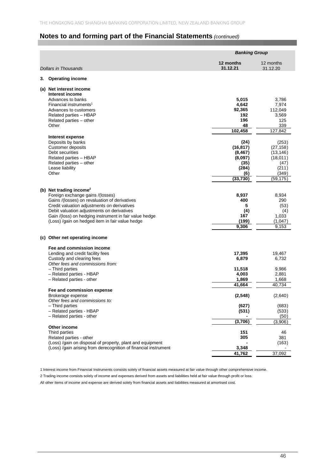|                                                                 | <b>Banking Group</b>  |                        |  |
|-----------------------------------------------------------------|-----------------------|------------------------|--|
| <b>Dollars in Thousands</b>                                     | 12 months<br>31.12.21 | 12 months<br>31.12.20  |  |
| <b>Operating income</b><br>3.                                   |                       |                        |  |
| (a) Net interest income                                         |                       |                        |  |
| Interest income                                                 |                       |                        |  |
| Advances to banks                                               | 5,015                 | 3,786                  |  |
| Financial instruments <sup>1</sup><br>Advances to customers     | 4,642<br>92,365       | 7,974<br>112,049       |  |
| Related parties - HBAP                                          | 192                   | 3,569                  |  |
| Related parties - other                                         | 196                   | 125                    |  |
| Other                                                           | 48                    | 339                    |  |
|                                                                 | 102,458               | 127,842                |  |
| Interest expense                                                |                       |                        |  |
| Deposits by banks                                               | (24)                  | (253)                  |  |
| <b>Customer deposits</b><br>Debt securities                     | (16, 817)<br>(8, 467) | (27, 158)<br>(13, 146) |  |
| Related parties - HBAP                                          | (8,097)               | (18,011)               |  |
| Related parties - other                                         | (35)                  | (47)                   |  |
| Lease liability                                                 | (284)                 | (211)                  |  |
| Other                                                           | (6)                   | (349)                  |  |
|                                                                 | (33, 730)             | (59, 175)              |  |
| (b) Net trading income <sup>2</sup>                             |                       |                        |  |
| Foreign exchange gains /(losses)                                | 8,937                 | 8,934                  |  |
| Gains /(losses) on revaluation of derivatives                   | 400                   | 290                    |  |
| Credit valuation adjustments on derivatives                     | 5                     | (53)                   |  |
| Debit valuation adjustments on derivatives                      | (4)                   | (4)                    |  |
| Gain /(loss) on hedging instrument in fair value hedge          | 167                   | 1,033                  |  |
| (Loss) /gain on hedged item in fair value hedge                 | (199)<br>9,306        | (1,047)<br>9,153       |  |
|                                                                 |                       |                        |  |
| (c) Other net operating income                                  |                       |                        |  |
| Fee and commission income                                       |                       |                        |  |
| Lending and credit facility fees                                | 17,395                | 19,467                 |  |
| Custody and clearing fees                                       | 6,879                 | 6,732                  |  |
| Other fees and commissions from:<br>- Third parties             | 11,518                | 9,986                  |  |
| - Related parties - HBAP                                        | 4,003                 | 2,881                  |  |
| - Related parties - other                                       | 1,869                 | 1,668                  |  |
|                                                                 | 41,664                | 40,734                 |  |
| Fee and commission expense                                      |                       |                        |  |
| Brokerage expense<br>Other fees and commissions to:             | (2, 548)              | (2,640)                |  |
| - Third parties                                                 | (627)                 | (683)                  |  |
| - Related parties - HBAP                                        | (531)                 | (533)                  |  |
| - Related parties - other                                       |                       | (50)                   |  |
|                                                                 | (3,706)               | (3,906)                |  |
| Other income<br>Third parties                                   | 151                   | 46                     |  |
| Related parties - other                                         | 305                   | 381                    |  |
| (Loss) /gain on disposal of property, plant and equipment       |                       | (163)                  |  |
| (Loss) /gain arising from derecognition of financial instrument | 3,348                 |                        |  |
|                                                                 | 41,762                | 37,092                 |  |

1 Interest income from Financial Instruments consists solely of financial assets measured at fair value through other comprehensive income.

2 Trading income consists solely of income and expenses derived from assets and liabilities held at fair value through profit or loss.

All other items of income and expense are derived solely from financial assets and liabilities measured at amortised cost.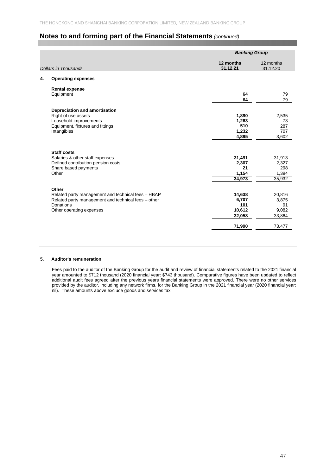|    |                                                     | <b>Banking Group</b>  |                       |
|----|-----------------------------------------------------|-----------------------|-----------------------|
|    | <b>Dollars in Thousands</b>                         | 12 months<br>31.12.21 | 12 months<br>31.12.20 |
| 4. | <b>Operating expenses</b>                           |                       |                       |
|    | <b>Rental expense</b>                               |                       |                       |
|    | Equipment                                           | 64                    | 79                    |
|    |                                                     | 64                    | $\overline{79}$       |
|    | Depreciation and amortisation                       |                       |                       |
|    | Right of use assets                                 | 1,890                 | 2,535                 |
|    | Leasehold improvements                              | 1,263                 | 73                    |
|    | Equipment, fixtures and fittings                    | 510                   | 287                   |
|    | Intangibles                                         | 1,232                 | 707                   |
|    |                                                     | 4,895                 | 3,602                 |
|    | <b>Staff costs</b>                                  |                       |                       |
|    | Salaries & other staff expenses                     | 31,491                | 31,913                |
|    | Defined contribution pension costs                  | 2,307                 | 2,327                 |
|    | Share based payments                                | 21                    | 298                   |
|    | Other                                               | 1,154                 | 1,394                 |
|    |                                                     | 34,973                | 35,932                |
|    | Other                                               |                       |                       |
|    | Related party management and technical fees - HBAP  | 14,638                | 20,816                |
|    | Related party management and technical fees - other | 6,707                 | 3,875                 |
|    | Donations                                           | 101                   | 91                    |
|    | Other operating expenses                            | 10,612                | 9,082                 |
|    |                                                     | 32,058                | 33,864                |
|    |                                                     | 71,990                | 73,477                |

#### **5. Auditor's remuneration**

Fees paid to the auditor of the Banking Group for the audit and review of financial statements related to the 2021 financial year amounted to \$712 thousand (2020 financial year: \$743 thousand). Comparative figures have been updated to reflect additional audit fees agreed after the previous years financial statements were approved. There were no other services provided by the auditor, including any network firms, for the Banking Group in the 2021 financial year (2020 financial year: nil). These amounts above exclude goods and services tax.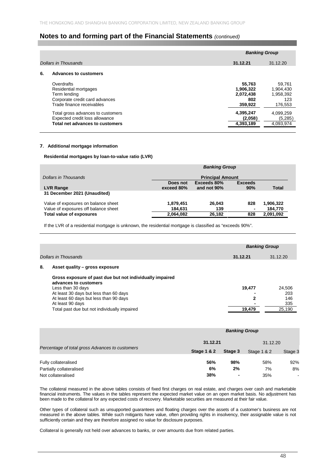|    |                                                                                                                    | <b>Banking Group</b>                               |                                                    |
|----|--------------------------------------------------------------------------------------------------------------------|----------------------------------------------------|----------------------------------------------------|
|    | Dollars in Thousands                                                                                               | 31.12.21                                           | 31.12.20                                           |
| 6. | <b>Advances to customers</b>                                                                                       |                                                    |                                                    |
|    | Overdrafts<br>Residential mortgages<br>Term lending<br>Corporate credit card advances<br>Trade finance receivables | 55,763<br>1,906,322<br>2,072,438<br>802<br>359,922 | 59.761<br>1.904.430<br>1,958,392<br>123<br>176,553 |
|    | Total gross advances to customers<br>Expected credit loss allowance<br>Total net advances to customers             | 4,395,247<br>(2,058)<br>4,393,189                  | 4,099,259<br>(5,285)<br>4,093,974                  |

### **7. Additional mortgage information**

### **Residential mortgages by loan-to-value ratio (LVR)**

|                                      | <b>Banking Group</b>    |                       |       |           |  |
|--------------------------------------|-------------------------|-----------------------|-------|-----------|--|
| Dollars in Thousands                 | <b>Principal Amount</b> |                       |       |           |  |
| <b>LVR Range</b>                     | Does not<br>exceed 80%  | <b>Exceeds</b><br>90% | Total |           |  |
| 31 December 2021 (Unaudited)         |                         |                       |       |           |  |
| Value of exposures on balance sheet  | 1,879,451               | 26.043                | 828   | 1,906,322 |  |
| Value of exposures off balance sheet | 184.631                 | 139                   |       | 184.770   |  |
| <b>Total value of exposures</b>      | 2,064,082               | 26,182                | 828   | 2,091,092 |  |

If the LVR of a residential mortgage is unknown, the residential mortgage is classified as "exceeds 90%".

|    |                                                                                                        | <b>Banking Group</b> |                   |
|----|--------------------------------------------------------------------------------------------------------|----------------------|-------------------|
|    | Dollars in Thousands                                                                                   | 31.12.21             | 31.12.20          |
| 8. | Asset quality - gross exposure                                                                         |                      |                   |
|    | Gross exposure of past due but not individually impaired<br>advances to customers<br>Less than 30 days | 19,477               | 24.506            |
|    | At least 30 days but less than 60 days<br>At least 60 days but less than 90 days<br>At least 90 days   | 2                    | 203<br>146<br>335 |
|    | Total past due but not individually impaired                                                           | 19,479               | 25,190            |

|                                                 | <b>Banking Group</b>   |                          |             |                |  |
|-------------------------------------------------|------------------------|--------------------------|-------------|----------------|--|
|                                                 | 31.12.21               |                          | 31.12.20    |                |  |
| Percentage of total gross Advances to customers | <b>Stage 1 &amp; 2</b> | Stage 3                  | Stage 1 & 2 | Stage 3        |  |
| Fully collateralised                            | 56%                    | 98%                      | 58%         | 92%            |  |
| Partially collateralised                        | 6%                     | 2%                       | 7%          | 8%             |  |
| Not collateralised                              | 38%                    | $\overline{\phantom{0}}$ | 35%         | $\blacksquare$ |  |

The collateral measured in the above tables consists of fixed first charges on real estate, and charges over cash and marketable financial instruments. The values in the tables represent the expected market value on an open market basis. No adjustment has been made to the collateral for any expected costs of recovery. Marketable securities are measured at their fair value.

Other types of collateral such as unsupported guarantees and floating charges over the assets of a customer's business are not measured in the above tables. While such mitigants have value, often providing rights in insolvency, their assignable value is not sufficiently certain and they are therefore assigned no value for disclosure purposes.

Collateral is generally not held over advances to banks, or over amounts due from related parties.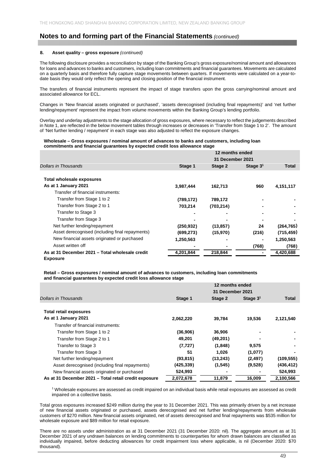#### **8. Asset quality – gross exposure** *(continued)*

The following disclosure provides a reconciliation by stage of the Banking Group's gross exposure/nominal amount and allowances for loans and advances to banks and customers, including loan commitments and financial guarantees. Movements are calculated on a quarterly basis and therefore fully capture stage movements between quarters. If movements were calculated on a year-todate basis they would only reflect the opening and closing position of the financial instrument.

The transfers of financial instruments represent the impact of stage transfers upon the gross carrying/nominal amount and associated allowance for ECL.

Changes in 'New financial assets originated or purchased', 'assets derecognised (including final repayments)' and 'net further lending/repayment' represent the impact from volume movements within the Banking Group's lending portfolio.

Overlay and underlay adjustments to the stage allocation of gross exposures, where necessary to reflect the judgements described in Note 1, are reflected in the below movement tables through increases or decreases in 'Transfer from Stage 1 to 2'. The amount of 'Net further lending / repayment' in each stage was also adjusted to reflect the exposure changes.

#### **Wholesale – Gross exposures / nominal amount of advances to banks and customers, including loan commitments and financial guarantees by expected credit loss allowance stage**

|                                                 |            | 12 months ended  |            |            |
|-------------------------------------------------|------------|------------------|------------|------------|
|                                                 |            | 31 December 2021 |            |            |
| Dollars in Thousands                            | Stage 1    | Stage 2          | Stage $31$ | Total      |
|                                                 |            |                  |            |            |
| Total wholesale exposures                       |            |                  |            |            |
| As at 1 January 2021                            | 3,987,444  | 162,713          | 960        | 4,151,117  |
| Transfer of financial instruments:              |            |                  |            |            |
| Transfer from Stage 1 to 2                      | (789, 172) | 789,172          |            |            |
| Transfer from Stage 2 to 1                      | 703,214    | (703, 214)       |            |            |
| Transfer to Stage 3                             |            |                  |            |            |
| Transfer from Stage 3                           |            |                  |            |            |
| Net further lending/repayment                   | (250, 932) | (13, 857)        | 24         | (264, 765) |
| Asset derecognised (including final repayments) | (699, 273) | (15,970)         | (216)      | (715, 459) |
| New financial assets originated or purchased    | 1,250,563  |                  |            | 1,250,563  |
| Asset written off                               |            |                  | (768)      | (768)      |
| As at 31 December 2021 - Total wholesale credit | 4,201,844  | 218,844          |            | 4,420,688  |
| Exposure                                        |            |                  |            |            |

**Retail – Gross exposures / nominal amount of advances to customers, including loan commitments and financial guarantees by expected credit loss allowance stage**

|                                                       | 12 months ended<br>31 December 2021 |           |            |            |  |
|-------------------------------------------------------|-------------------------------------|-----------|------------|------------|--|
|                                                       |                                     |           |            |            |  |
| Dollars in Thousands                                  | Stage 1                             | Stage 2   | Stage $31$ | Total      |  |
|                                                       |                                     |           |            |            |  |
| <b>Total retail exposures</b>                         |                                     |           |            |            |  |
| As at 1 January 2021                                  | 2,062,220                           | 39,784    | 19,536     | 2,121,540  |  |
| Transfer of financial instruments:                    |                                     |           |            |            |  |
| Transfer from Stage 1 to 2                            | (36,906)                            | 36,906    |            |            |  |
| Transfer from Stage 2 to 1                            | 49,201                              | (49, 201) |            |            |  |
| Transfer to Stage 3                                   | (7, 727)                            | (1,848)   | 9,575      |            |  |
| Transfer from Stage 3                                 | 51                                  | 1.026     | (1,077)    |            |  |
| Net further lending/repayment                         | (93, 815)                           | (13, 243) | (2, 497)   | (109, 555) |  |
| Asset derecognised (including final repayments)       | (425, 339)                          | (1, 545)  | (9,528)    | (436, 412) |  |
| New financial assets originated or purchased          | 524,993                             |           |            | 524,993    |  |
| As at 31 December 2021 - Total retail credit exposure | 2,072,678                           | 11,879    | 16,009     | 2,100,566  |  |

1 Wholesale exposures are assessed as credit impaired on an individual basis while retail exposures are assessed as credit impaired on a collective basis.

Total gross exposures increased \$249 million during the year to 31 December 2021. This was primarily driven by a net increase of new financial assets originated or purchased, assets derecognised and net further lending/repayments from wholesale customers of \$270 million. New financial assets originated, net of assets derecognised and final repayments was \$535 million for wholesale exposure and \$89 million for retail exposure.

There are no assets under administration as at 31 December 2021 (31 December 2020: nil). The aggregate amount as at 31 December 2021 of any undrawn balances on lending commitments to counterparties for whom drawn balances are classified as individually impaired, before deducting allowances for credit impairment loss where applicable, is nil (December 2020: \$70 thousand).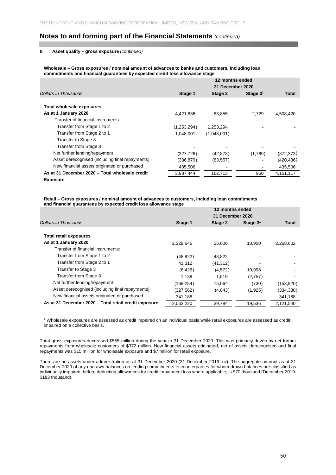#### **8. Asset quality – gross exposure** *(continued)*

**Wholesale – Gross exposures / nominal amount of advances to banks and customers, including loan commitments and financial guarantees by expected credit loss allowance stage**

|                                                 | 12 months ended<br>31 December 2020 |             |            |            |
|-------------------------------------------------|-------------------------------------|-------------|------------|------------|
| Dollars in Thousands                            | Stage 1                             | Stage 2     | Stage $31$ | Total      |
|                                                 |                                     |             |            |            |
| Total wholesale exposures                       |                                     |             |            |            |
| As at 1 January 2020                            | 4,421,836                           | 83.855      | 2.729      | 4,508,420  |
| Transfer of financial instruments:              |                                     |             |            |            |
| Transfer from Stage 1 to 2                      | (1,253,294)                         | 1,253,294   |            |            |
| Transfer from Stage 2 to 1                      | 1.048.001                           | (1,048,001) |            |            |
| Transfer to Stage 3                             |                                     |             |            |            |
| Transfer from Stage 3                           |                                     |             |            |            |
| Net further lending/repayment                   | (327, 726)                          | (42, 878)   | (1,769)    | (372, 373) |
| Asset derecognised (including final repayments) | (336, 879)                          | (83, 557)   | ۰          | (420, 436) |
| New financial assets originated or purchased    | 435,506                             |             | ۰          | 435.506    |
| As at 31 December 2020 - Total wholesale credit | 3,987,444                           | 162,713     | 960        | 4,151,117  |
| <b>Exposure</b>                                 |                                     |             |            |            |

**Retail – Gross exposures / nominal amount of advances to customers, including loan commitments and financial guarantees by expected credit loss allowance stage**

|                                                       | 12 months ended<br>31 December 2020 |           |            |            |  |
|-------------------------------------------------------|-------------------------------------|-----------|------------|------------|--|
| Dollars in Thousands                                  | Stage 1                             | Stage 2   | Stage $31$ | Total      |  |
| <b>Total retail exposures</b>                         |                                     |           |            |            |  |
| As at 1 January 2020                                  | 2,229,646                           | 25,006    | 13,950     | 2,268,602  |  |
| Transfer of financial instruments:                    |                                     |           |            |            |  |
| Transfer from Stage 1 to 2                            | (48, 822)                           | 48,822    |            |            |  |
| Transfer from Stage 2 to 1                            | 41,312                              | (41, 312) |            |            |  |
| Transfer to Stage 3                                   | (6, 426)                            | (4,572)   | 10,998     |            |  |
| Transfer from Stage 3                                 | 1.138                               | 1.619     | (2,757)    |            |  |
| Net further lending/repayment                         | (168, 254)                          | 15,064    | (730)      | (153,920)  |  |
| Asset derecognised (including final repayments)       | (327, 562)                          | (4, 843)  | (1,925)    | (334, 330) |  |
| New financial assets originated or purchased          | 341,188                             |           |            | 341,188    |  |
| As at 31 December 2020 - Total retail credit exposure | 2.062.220                           | 39.784    | 19,536     | 2.121.540  |  |

1 Wholesale exposures are assessed as credit impaired on an individual basis while retail exposures are assessed as credit impaired on a collective basis.

Total gross exposures decreased \$555 million during the year to 31 December 2020. This was primarily driven by net further repayments from wholesale customers of \$372 million. New financial assets originated, net of assets derecognised and final repayments was \$15 million for wholesale exposure and \$7 million for retail exposure.

There are no assets under administration as at 31 December 2020 (31 December 2019: nil). The aggregate amount as at 31 December 2020 of any undrawn balances on lending commitments to counterparties for whom drawn balances are classified as individually impaired, before deducting allowances for credit impairment loss where applicable, is \$70 thousand (December 2019: \$183 thousand).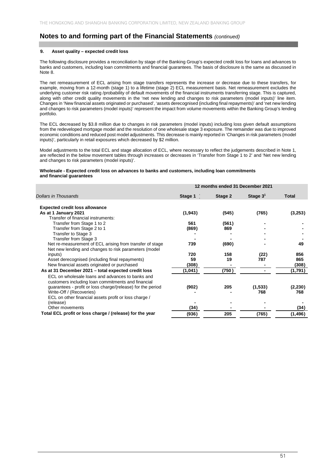## **9. Asset quality – expected credit loss**

The following disclosure provides a reconciliation by stage of the Banking Group's expected credit loss for loans and advances to banks and customers, including loan commitments and financial guarantees. The basis of disclosure is the same as discussed in Note 8.

The net remeasurement of ECL arising from stage transfers represents the increase or decrease due to these transfers, for example, moving from a 12-month (stage 1) to a lifetime (stage 2) ECL measurement basis. Net remeasurement excludes the underlying customer risk rating /probability of default movements of the financial instruments transferring stage. This is captured, along with other credit quality movements in the 'net new lending and changes to risk parameters (model inputs)' line item. Changes in 'New financial assets originated or purchased', 'assets derecognised (including final repayments)' and 'net new lending and changes to risk parameters (model inputs)' represent the impact from volume movements within the Banking Group's lending portfolio.

The ECL decreased by \$3.8 million due to changes in risk parameters (model inputs) including loss given default assumptions from the redeveloped mortgage model and the resolution of one wholesale stage 3 exposure. The remainder was due to improved economic conditions and reduced post model adjustments. This decrease is mainly reported in 'Changes in risk parameters (model inputs)', particularly in retail exposures which decreased by \$2 million.

Model adjustments to the total ECL and stage allocation of ECL, where necessary to reflect the judgements described in Note 1, are reflected in the below movement tables through increases or decreases in 'Transfer from Stage 1 to 2' and 'Net new lending and changes to risk parameters (model inputs)'.

#### **Wholesale - Expected credit loss on advances to banks and customers, including loan commitments and financial guarantees**

|                                                             | 12 months ended 31 December 2021 |         |            |              |
|-------------------------------------------------------------|----------------------------------|---------|------------|--------------|
| <b>Dollars in Thousands</b>                                 | Stage 1                          | Stage 2 | Stage $31$ | <b>Total</b> |
|                                                             |                                  |         |            |              |
| <b>Expected credit loss allowance</b>                       |                                  |         |            |              |
| As at 1 January 2021<br>Transfer of financial instruments:  | (1, 943)                         | (545)   | (765)      | (3,253)      |
| Transfer from Stage 1 to 2                                  | 561                              | (561)   |            |              |
| Transfer from Stage 2 to 1                                  | (869)                            | 869     |            |              |
| Transfer to Stage 3                                         |                                  |         |            |              |
| Transfer from Stage 3                                       |                                  |         |            |              |
| Net re-measurement of ECL arising from transfer of stage    | 739                              | (690)   |            | 49           |
| Net new lending and changes to risk parameters (model       |                                  |         |            |              |
| inputs)                                                     | 720                              | 158     | (22)       | 856          |
| Asset derecognised (including final repayments)             | 59                               | 19      | 787        | 865          |
| New financial assets originated or purchased                | (308)                            |         |            | (308)        |
| As at 31 December 2021 - total expected credit loss         | (1,041)                          | (750)   |            | (1,791)      |
| ECL on wholesale loans and advances to banks and            |                                  |         |            |              |
| customers including loan commitments and financial          |                                  |         |            |              |
| guarantees - profit or loss charge/(release) for the period | (902)                            | 205     | (1, 533)   | (2, 230)     |
| Write-Off / (Recoveries)                                    |                                  |         | 768        | 768          |
| ECL on other financial assets profit or loss charge /       |                                  |         |            |              |
| (release)<br>Other movements                                | (34)                             |         |            | (34)         |
| Total ECL profit or loss charge / (release) for the year    |                                  |         |            |              |
|                                                             | (936)                            | 205     | (765)      | (1,496)      |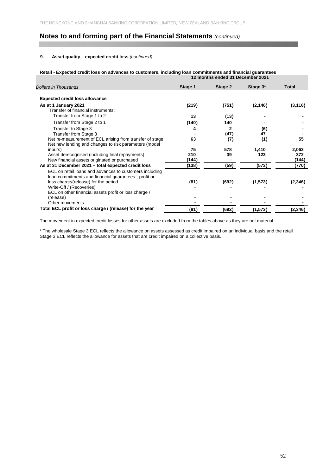### **9. Asset quality – expected credit loss** *(continued)*

**Retail - Expected credit loss on advances to customers, including loan commitments and financial guarantees**

|                                                          | 12 months ended 31 December 2021 |         |            |              |  |  |
|----------------------------------------------------------|----------------------------------|---------|------------|--------------|--|--|
| <b>Dollars in Thousands</b>                              | Stage 1                          | Stage 2 | Stage $31$ | <b>Total</b> |  |  |
| <b>Expected credit loss allowance</b>                    |                                  |         |            |              |  |  |
| As at 1 January 2021                                     | (219)                            | (751)   | (2, 146)   | (3, 116)     |  |  |
| Transfer of financial instruments:                       |                                  |         |            |              |  |  |
| Transfer from Stage 1 to 2                               | 13                               | (13)    |            |              |  |  |
| Transfer from Stage 2 to 1                               | (140)                            | 140     |            |              |  |  |
| Transfer to Stage 3                                      | 4                                | 2       | (6)        |              |  |  |
| Transfer from Stage 3                                    |                                  | (47)    | 47         |              |  |  |
| Net re-measurement of ECL arising from transfer of stage | 63                               | (7)     | (1)        | 55           |  |  |
| Net new lending and changes to risk parameters (model    |                                  |         |            |              |  |  |
| inputs)                                                  | 75                               | 578     | 1,410      | 2,063        |  |  |
| Asset derecognised (including final repayments)          | 210                              | 39      | 123        | 372          |  |  |
| New financial assets originated or purchased             | (144)                            |         |            | (144)        |  |  |
| As at 31 December 2021 - total expected credit loss      | (138)                            | (59)    | (573)      | (770)        |  |  |
| ECL on retail loans and advances to customers including  |                                  |         |            |              |  |  |
| loan commitments and financial guarantees - profit or    |                                  |         |            |              |  |  |
| loss charge/(release) for the period                     | (81)                             | (692)   | (1, 573)   | (2,346)      |  |  |
| Write-Off / (Recoveries)                                 |                                  |         |            |              |  |  |
| ECL on other financial assets profit or loss charge /    |                                  |         |            |              |  |  |
| (release)                                                |                                  |         |            |              |  |  |
| Other movements                                          |                                  |         |            |              |  |  |
| Total ECL profit or loss charge / (release) for the year | (81)                             | (692)   | (1, 573)   | (2,346)      |  |  |

The movement in expected credit losses for other assets are excluded from the tables above as they are not material.

1 The wholesale Stage 3 ECL reflects the allowance on assets assessed as credit impaired on an individual basis and the retail Stage 3 ECL reflects the allowance for assets that are credit impaired on a collective basis.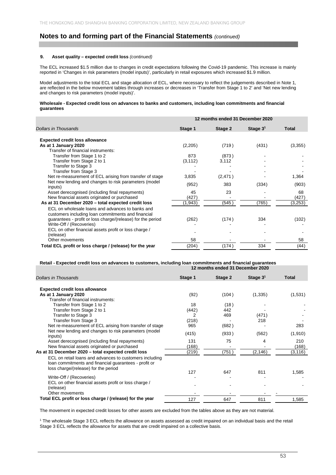#### **9. Asset quality – expected credit loss** *(continued)*

The ECL increased \$1.5 million due to changes in credit expectations following the Covid-19 pandemic. This increase is mainly reported in 'Changes in risk parameters (model inputs)', particularly in retail exposures which increased \$1.9 million.

Model adjustments to the total ECL and stage allocation of ECL, where necessary to reflect the judgements described in Note 1, are reflected in the below movement tables through increases or decreases in 'Transfer from Stage 1 to 2' and 'Net new lending and changes to risk parameters (model inputs)'.

### **Wholesale - Expected credit loss on advances to banks and customers, including loan commitments and financial guarantees**

|                                                                                                                                                                       | 12 months ended 31 December 2020 |         |            |              |  |  |  |
|-----------------------------------------------------------------------------------------------------------------------------------------------------------------------|----------------------------------|---------|------------|--------------|--|--|--|
| <b>Dollars in Thousands</b>                                                                                                                                           | Stage 1                          | Stage 2 | Stage $31$ | <b>Total</b> |  |  |  |
|                                                                                                                                                                       |                                  |         |            |              |  |  |  |
| <b>Expected credit loss allowance</b>                                                                                                                                 |                                  |         |            |              |  |  |  |
| As at 1 January 2020                                                                                                                                                  | (2,205)                          | (719)   | (431)      | (3,355)      |  |  |  |
| Transfer of financial instruments:                                                                                                                                    |                                  |         |            |              |  |  |  |
| Transfer from Stage 1 to 2                                                                                                                                            | 873                              | (873)   |            |              |  |  |  |
| Transfer from Stage 2 to 1                                                                                                                                            | (3, 112)                         | 3,112   |            |              |  |  |  |
| Transfer to Stage 3                                                                                                                                                   |                                  |         |            |              |  |  |  |
| Transfer from Stage 3                                                                                                                                                 |                                  |         |            |              |  |  |  |
| Net re-measurement of ECL arising from transfer of stage                                                                                                              | 3,835                            | (2,471) |            | 1,364        |  |  |  |
| Net new lending and changes to risk parameters (model                                                                                                                 | (952)                            | 383     | (334)      | (903)        |  |  |  |
| inputs)                                                                                                                                                               |                                  |         |            |              |  |  |  |
| Asset derecognised (including final repayments)                                                                                                                       | 45                               | 23      |            | 68           |  |  |  |
| New financial assets originated or purchased                                                                                                                          | (427)                            |         |            | (427)        |  |  |  |
| As at 31 December 2020 - total expected credit loss                                                                                                                   | (1,943)                          | (545)   | (765)      | (3,253)      |  |  |  |
| ECL on wholesale loans and advances to banks and<br>customers including loan commitments and financial<br>guarantees - profit or loss charge/(release) for the period | (262)                            | (174)   | 334        | (102)        |  |  |  |
| Write-Off / (Recoveries)                                                                                                                                              |                                  |         |            |              |  |  |  |
| ECL on other financial assets profit or loss charge /                                                                                                                 |                                  |         |            |              |  |  |  |
| (release)                                                                                                                                                             |                                  |         |            |              |  |  |  |
| Other movements                                                                                                                                                       | 58                               |         |            | 58           |  |  |  |
| Total ECL profit or loss charge / (release) for the year                                                                                                              | (204)                            | (174)   | 334        | (44)         |  |  |  |

#### **Retail - Expected credit loss on advances to customers, including loan commitments and financial guarantees 12 months ended 31 December 2020**

| <b>Dollars in Thousands</b>                                                                                                                              | Stage 1 | Stage 2 | Stage $31$ | <b>Total</b> |
|----------------------------------------------------------------------------------------------------------------------------------------------------------|---------|---------|------------|--------------|
| <b>Expected credit loss allowance</b>                                                                                                                    |         |         |            |              |
| As at 1 January 2020                                                                                                                                     | (92)    | (104)   | (1, 335)   | (1,531)      |
| Transfer of financial instruments:                                                                                                                       |         |         |            |              |
| Transfer from Stage 1 to 2                                                                                                                               | 18      | (18)    |            |              |
| Transfer from Stage 2 to 1                                                                                                                               | (442)   | 442     |            |              |
| Transfer to Stage 3                                                                                                                                      | 2       | 469     | (471)      |              |
| Transfer from Stage 3                                                                                                                                    | (218)   |         | 218        |              |
| Net re-measurement of ECL arising from transfer of stage                                                                                                 | 965     | (682)   |            | 283          |
| Net new lending and changes to risk parameters (model                                                                                                    |         |         |            |              |
| inputs)                                                                                                                                                  | (415)   | (933)   | (562)      | (1,910)      |
| Asset derecognised (including final repayments)                                                                                                          | 131     | 75      | 4          | 210          |
| New financial assets originated or purchased                                                                                                             | (168)   |         |            | (168)        |
| As at 31 December 2020 - total expected credit loss                                                                                                      | (219)   | (751)   | (2, 146)   | (3, 116)     |
| ECL on retail loans and advances to customers including<br>loan commitments and financial guarantees - profit or<br>loss charge/(release) for the period |         |         |            |              |
|                                                                                                                                                          | 127     | 647     | 811        | 1,585        |
| Write-Off / (Recoveries)                                                                                                                                 |         |         |            |              |
| ECL on other financial assets profit or loss charge /<br>(release)                                                                                       |         |         |            |              |
| Other movements                                                                                                                                          |         |         |            |              |
| Total ECL profit or loss charge / (release) for the year                                                                                                 | 127     | 647     | 811        | 1,585        |

The movement in expected credit losses for other assets are excluded from the tables above as they are not material.

1 The wholesale Stage 3 ECL reflects the allowance on assets assessed as credit impaired on an individual basis and the retail Stage 3 ECL reflects the allowance for assets that are credit impaired on a collective basis.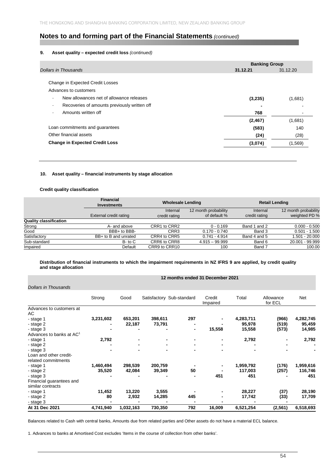## **9. Asset quality – expected credit loss** *(continued)*

|                                                        | <b>Banking Group</b> |                |
|--------------------------------------------------------|----------------------|----------------|
| Dollars in Thousands                                   | 31.12.21             | 31.12.20       |
|                                                        |                      |                |
| Change in Expected Credit Losses                       |                      |                |
| Advances to customers                                  |                      |                |
| New allowances net of allowance releases<br>$\sim$     | (3,235)              | (1,681)        |
| Recoveries of amounts previously written off<br>$\sim$ |                      |                |
| Amounts written off<br>$\overline{\phantom{a}}$        | 768                  | $\blacksquare$ |
|                                                        | (2, 467)             | (1,681)        |
| Loan commitments and guarantees                        | (583)                | 140            |
| Other financial assets                                 | (24)                 | (28)           |
| <b>Change in Expected Credit Loss</b>                  | (3,074)              | (1, 569)       |
|                                                        |                      |                |

### **10. Asset quality – financial instruments by stage allocation**

## **Credit quality classification**

|                               | <b>Financial</b><br>Investments | <b>Wholesale Lending</b> |                      | <b>Retail Lending</b> |                      |
|-------------------------------|---------------------------------|--------------------------|----------------------|-----------------------|----------------------|
|                               |                                 | Internal                 | 12 month probability | Internal              | 12 month probability |
|                               | External credit rating          | credit rating            | of default %         | credit rating         | weighted PD %        |
| <b>Quality classification</b> |                                 |                          |                      |                       |                      |
| Strong                        | A- and above                    | CRR1 to CRR2             | $0 - 0.169$          | Band 1 and 2          | $0.000 - 0.500$      |
| Good                          | BBB+ to BBB-                    | CRR3                     | $0.170 - 0.740$      | Band 3                | $0.501 - 1.500$      |
| Satisfactory                  | BB+ to B and unrated            | CRR4 to CRR5             | $0.741 - 4.914$      | Band 4 and 5          | 1.501 - 20.000       |
| Sub-standard                  | $B$ - to $C$                    | CRR6 to CRR8             | $4.915 - 99.999$     | Band 6                | 20.001 - 99.999      |
| Impaired                      | Default                         | CRR9 to CRR10            | 100                  | Band 7                | 100.00               |

### **Distribution of financial instruments to which the impairment requirements in NZ IFRS 9 are applied, by credit quality and stage allocation**

## **12 months ended 31 December 2021**

### *Dollars in Thousands*

|                                      | Strong    | Good      |         | Satisfactory Sub-standard | Credit<br>Impaired       | Total     | Allowance<br>for ECL | Net       |
|--------------------------------------|-----------|-----------|---------|---------------------------|--------------------------|-----------|----------------------|-----------|
| Advances to customers at             |           |           |         |                           |                          |           |                      |           |
| AC                                   |           |           |         |                           |                          |           |                      |           |
| - stage 1                            | 3,231,602 | 653,201   | 398,611 | 297                       | ۰                        | 4,283,711 | (966)                | 4,282,745 |
| - stage 2                            |           | 22,187    | 73,791  |                           |                          | 95,978    | (519)                | 95,459    |
| - stage 3                            |           |           |         | ٠                         | 15,558                   | 15,558    | (573)                | 14,985    |
| Advances to banks at AC <sup>1</sup> |           |           |         |                           |                          |           |                      |           |
| - stage 1                            | 2,792     |           |         | ٠                         | $\blacksquare$           | 2,792     |                      | 2,792     |
| - stage 2                            |           |           |         | -<br>$\blacksquare$       | $\overline{\phantom{0}}$ |           |                      |           |
| - stage 3                            |           |           |         |                           |                          |           |                      |           |
| Loan and other credit-               |           |           |         |                           |                          |           |                      |           |
| related commitments                  |           |           |         |                           |                          |           |                      |           |
| - stage 1                            | 1,460,494 | 298,539   | 200,759 |                           | $\blacksquare$           | 1,959,792 | (176)                | 1,959,616 |
| - stage 2                            | 35,520    | 42,084    | 39,349  | 50                        |                          | 117,003   | (257)                | 116,746   |
| - stage 3                            |           |           |         |                           | 451                      | 451       |                      | 451       |
| Financial guarantees and             |           |           |         |                           |                          |           |                      |           |
| similar contracts                    |           |           |         |                           |                          |           |                      |           |
| - stage 1                            | 11,452    | 13,220    | 3,555   |                           |                          | 28,227    | (37)                 | 28,190    |
| - stage 2                            | 80        | 2,932     | 14,285  | 445                       |                          | 17,742    | (33)                 | 17,709    |
| - stage 3                            |           |           |         |                           |                          |           |                      |           |
| At 31 Dec 2021                       | 4,741,940 | 1,032,163 | 730,350 | 792                       | 16,009                   | 6,521,254 | (2, 561)             | 6,518,693 |

Balances related to Cash with central banks, Amounts due from related parties and Other assets do not have a material ECL balance.

1. Advances to banks at Amortised Cost excludes 'Items in the course of collection from other banks'.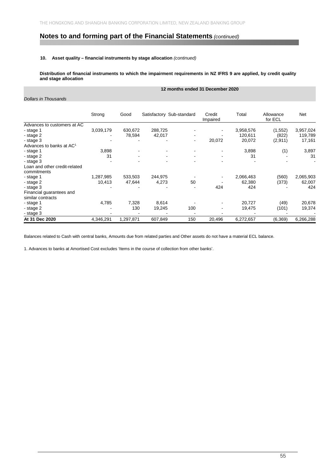### **10. Asset quality – financial instruments by stage allocation** *(continued)*

**Distribution of financial instruments to which the impairment requirements in NZ IFRS 9 are applied, by credit quality and stage allocation** 

## **12 months ended 31 December 2020**

*Dollars in Thousands*

|                                              | Strong    | Good      |         | Satisfactory Sub-standard | Credit<br>Impaired | Total     | Allowance<br>for ECL | Net       |
|----------------------------------------------|-----------|-----------|---------|---------------------------|--------------------|-----------|----------------------|-----------|
| Advances to customers at AC                  |           |           |         |                           |                    |           |                      |           |
| - stage 1                                    | 3,039,179 | 630,672   | 288,725 |                           |                    | 3,958,576 | (1, 552)             | 3,957,024 |
| - stage 2                                    |           | 78,594    | 42,017  |                           |                    | 120,611   | (822)                | 119,789   |
| - stage 3                                    |           |           |         |                           | 20,072             | 20,072    | (2,911)              | 17,161    |
| Advances to banks at AC <sup>1</sup>         |           |           |         |                           |                    |           |                      |           |
| - stage 1                                    | 3,898     |           |         |                           |                    | 3,898     | (1)                  | 3,897     |
| - stage 2                                    | 31        |           |         |                           |                    | 31        |                      | 31        |
| - stage 3                                    |           |           |         |                           |                    |           |                      |           |
| Loan and other credit-related<br>commitments |           |           |         |                           |                    |           |                      |           |
| - stage 1                                    | 1,287,985 | 533,503   | 244,975 |                           |                    | 2,066,463 | (560)                | 2,065,903 |
| - stage 2                                    | 10,413    | 47,644    | 4,273   | 50                        |                    | 62,380    | (373)                | 62,007    |
| - stage 3                                    |           |           |         |                           | 424                | 424       |                      | 424       |
| Financial guarantees and                     |           |           |         |                           |                    |           |                      |           |
| similar contracts                            |           |           |         |                           |                    |           |                      |           |
| - stage 1                                    | 4,785     | 7,328     | 8,614   |                           |                    | 20,727    | (49)                 | 20,678    |
| - stage 2                                    |           | 130       | 19,245  | 100                       |                    | 19,475    | (101)                | 19,374    |
| - stage 3                                    |           |           |         |                           |                    |           |                      |           |
| At 31 Dec 2020                               | 4,346,291 | 1,297,871 | 607,849 | 150                       | 20,496             | 6,272,657 | (6, 369)             | 6,266,288 |

Balances related to Cash with central banks, Amounts due from related parties and Other assets do not have a material ECL balance.

1. Advances to banks at Amortised Cost excludes 'Items in the course of collection from other banks'.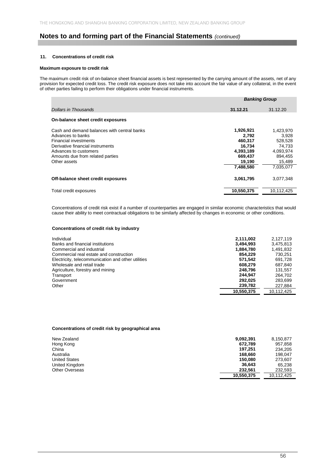### **11. Concentrations of credit risk**

#### **Maximum exposure to credit risk**

The maximum credit risk of on-balance sheet financial assets is best represented by the carrying amount of the assets, net of any provision for expected credit loss. The credit risk exposure does not take into account the fair value of any collateral, in the event of other parties failing to perform their obligations under financial instruments.

|                                                                                                                                                                                                            | <b>Banking Group</b>                                                                   |                                                                                        |
|------------------------------------------------------------------------------------------------------------------------------------------------------------------------------------------------------------|----------------------------------------------------------------------------------------|----------------------------------------------------------------------------------------|
| Dollars in Thousands                                                                                                                                                                                       | 31.12.21                                                                               | 31.12.20                                                                               |
| On-balance sheet credit exposures                                                                                                                                                                          |                                                                                        |                                                                                        |
| Cash and demand balances with central banks<br>Advances to banks<br>Financial investments<br>Derivative financial instruments<br>Advances to customers<br>Amounts due from related parties<br>Other assets | 1,926,921<br>2,792<br>460.317<br>16.734<br>4,393,189<br>669.437<br>19,190<br>7,488,580 | 1,423,970<br>3.928<br>528,528<br>74.733<br>4,093,974<br>894,455<br>15,489<br>7.035.077 |
| Off-balance sheet credit exposures                                                                                                                                                                         | 3,061,795                                                                              | 3,077,348                                                                              |
| Total credit exposures                                                                                                                                                                                     | 10,550,375                                                                             | 10,112,425                                                                             |

Concentrations of credit risk exist if a number of counterparties are engaged in similar economic characteristics that would cause their ability to meet contractual obligations to be similarly affected by changes in economic or other conditions.

## **Concentrations of credit risk by industry**

| Individual                                         | 2,111,002  | 2.127.119  |
|----------------------------------------------------|------------|------------|
| Banks and financial institutions                   | 3,494,993  | 3,475,813  |
| Commercial and industrial                          | 1,884,780  | 1,491,832  |
| Commercial real estate and construction            | 854.229    | 730.251    |
| Electricity, telecommunication and other utilities | 571.542    | 691.728    |
| Wholesale and retail trade                         | 608.279    | 687,840    |
| Agriculture, forestry and mining                   | 248.796    | 131.557    |
| Transport                                          | 244.947    | 264.702    |
| Government                                         | 292.025    | 283.699    |
| Other                                              | 239.782    | 227,884    |
|                                                    | 10,550,375 | 10.112.425 |

### **Concentrations of credit risk by geographical area**

| New Zealand          | 9,092,391  | 8,150,877  |
|----------------------|------------|------------|
| Hong Kong            | 672,789    | 957,858    |
| China                | 197.251    | 234.205    |
| Australia            | 168,660    | 198.047    |
| <b>United States</b> | 150,080    | 273.607    |
| United Kingdom       | 36.643     | 65.238     |
| Other Overseas       | 232.561    | 232.593    |
|                      | 10.550.375 | 10.112.425 |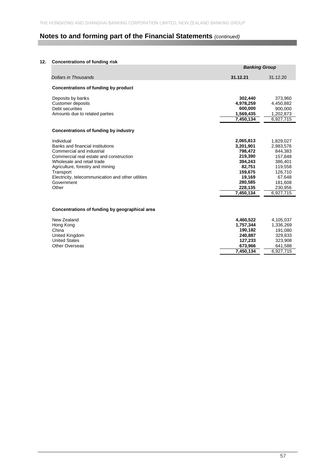### **12. Concentrations of funding risk**

|                                                                                                                                                                                                                                                                                    | <b>Banking Group</b>                                                                                                      |                                                                                                                            |
|------------------------------------------------------------------------------------------------------------------------------------------------------------------------------------------------------------------------------------------------------------------------------------|---------------------------------------------------------------------------------------------------------------------------|----------------------------------------------------------------------------------------------------------------------------|
| <b>Dollars in Thousands</b>                                                                                                                                                                                                                                                        | 31.12.21                                                                                                                  | 31.12.20                                                                                                                   |
| Concentrations of funding by product                                                                                                                                                                                                                                               |                                                                                                                           |                                                                                                                            |
| Deposits by banks<br><b>Customer deposits</b><br>Debt securities<br>Amounts due to related parties                                                                                                                                                                                 | 302,440<br>4,978,259<br>600.000<br>1,569,435<br>7,450,134                                                                 | 373,960<br>4,450,882<br>900.000<br>1,202,873<br>6,927,715                                                                  |
| Concentrations of funding by industry                                                                                                                                                                                                                                              |                                                                                                                           |                                                                                                                            |
| Individual<br>Banks and financial institutions<br>Commercial and industrial<br>Commercial real estate and construction<br>Wholesale and retail trade<br>Agriculture, forestry and mining<br>Transport<br>Electricity, telecommunication and other utilities<br>Government<br>Other | 2,065,813<br>3,201,901<br>798,472<br>219,390<br>394.243<br>82,751<br>159,675<br>19,169<br>280,585<br>228,135<br>7,450,134 | 1,829,027<br>2,983,576<br>844.383<br>157,848<br>386,401<br>119,558<br>126,710<br>67,648<br>181,608<br>230.956<br>6,927,715 |
| Concentrations of funding by geographical area                                                                                                                                                                                                                                     |                                                                                                                           |                                                                                                                            |
| New Zealand<br>Hong Kong<br>China<br>United Kingdom<br><b>United States</b><br><b>Other Overseas</b>                                                                                                                                                                               | 4,460,522<br>1,757,344<br>190,182<br>240,887<br>127,233<br>673,966<br>7.450.134                                           | 4,105,037<br>1,336,269<br>191,080<br>329,833<br>323,908<br>641,588<br>6.927.715                                            |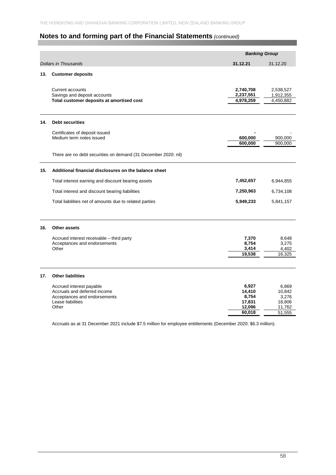|     |                                                                                                                        | <b>Banking Group</b>                                   |                                                        |
|-----|------------------------------------------------------------------------------------------------------------------------|--------------------------------------------------------|--------------------------------------------------------|
|     | <b>Dollars in Thousands</b>                                                                                            | 31.12.21                                               | 31.12.20                                               |
| 13. | <b>Customer deposits</b>                                                                                               |                                                        |                                                        |
|     | Current accounts<br>Savings and deposit accounts<br>Total customer deposits at amortised cost                          | 2,740,708<br>2,237,551<br>4,978,259                    | 2,538,527<br>1,912,355<br>4,450,882                    |
| 14. | <b>Debt securities</b>                                                                                                 |                                                        |                                                        |
|     | Certificates of deposit issued<br>Medium term notes issued                                                             | 600,000<br>600,000                                     | 900,000<br>900,000                                     |
|     | There are no debt securities on demand (31 December 2020: nil)                                                         |                                                        |                                                        |
| 15. | Additional financial disclosures on the balance sheet                                                                  |                                                        |                                                        |
|     | Total interest earning and discount bearing assets                                                                     | 7,452,657                                              | 6,944,855                                              |
|     | Total interest and discount bearing liabilities                                                                        | 7,250,963                                              | 6,734,108                                              |
|     | Total liabilities net of amounts due to related parties                                                                | 5,949,233                                              | 5,841,157                                              |
| 16. | Other assets                                                                                                           |                                                        |                                                        |
|     | Accrued interest receivable - third party<br>Acceptances and endorsements<br>Other                                     | 7,370<br>8,754<br>3,414<br>19,538                      | 8,648<br>3,275<br>4,402<br>16,325                      |
| 17. | <b>Other liabilities</b>                                                                                               |                                                        |                                                        |
|     | Accrued interest payable<br>Accruals and deferred income<br>Acceptances and endorsements<br>Lease liabilities<br>Other | 6,927<br>14,410<br>8,754<br>17,831<br>12,096<br>60,018 | 6,869<br>10,842<br>3,276<br>18,806<br>11.762<br>51,555 |

Accruals as at 31 December 2021 include \$7.5 million for employee entitlements (December 2020: \$6.3 million).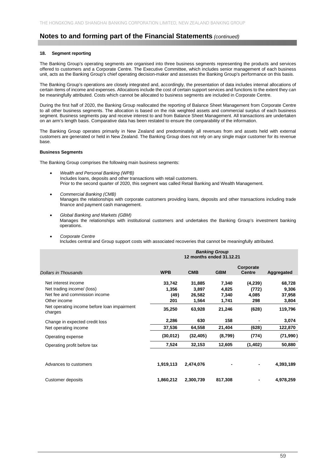#### **18. Segment reporting**

The Banking Group's operating segments are organised into three business segments representing the products and services offered to customers and a Corporate Centre. The Executive Committee, which includes senior management of each business unit, acts as the Banking Group's chief operating decision-maker and assesses the Banking Group's performance on this basis.

The Banking Group's operations are closely integrated and, accordingly, the presentation of data includes internal allocations of certain items of income and expenses. Allocations include the cost of certain support services and functions to the extent they can be meaningfully attributed. Costs which cannot be allocated to business segments are included in Corporate Centre.

During the first half of 2020, the Banking Group reallocated the reporting of Balance Sheet Management from Corporate Centre to all other business segments. The allocation is based on the risk weighted assets and commercial surplus of each business segment. Business segments pay and receive interest to and from Balance Sheet Management. All transactions are undertaken on an arm's length basis. Comparative data has been restated to ensure the comparability of the information.

The Banking Group operates primarily in New Zealand and predominately all revenues from and assets held with external customers are generated or held in New Zealand. The Banking Group does not rely on any single major customer for its revenue base.

#### **Business Segments**

The Banking Group comprises the following main business segments:

- *Wealth and Personal Banking (WPB)*  Includes loans, deposits and other transactions with retail customers. Prior to the second quarter of 2020, this segment was called Retail Banking and Wealth Management.
- *Commercial Banking (CMB)*  Manages the relationships with corporate customers providing loans, deposits and other transactions including trade finance and payment cash management.
- *Global Banking and Markets (GBM)* Manages the relationships with institutional customers and undertakes the Banking Group's investment banking operations.
- *Corporate Centre*

Includes central and Group support costs with associated recoveries that cannot be meaningfully attributed.

| <b>Dollars in Thousands</b>                                                                                                                                  | <b>WPB</b>                               | <b>CMB</b>                                   | <b>GBM</b>                                 | Corporate<br><b>Centre</b>                | Aggregated                                    |
|--------------------------------------------------------------------------------------------------------------------------------------------------------------|------------------------------------------|----------------------------------------------|--------------------------------------------|-------------------------------------------|-----------------------------------------------|
| Net interest income<br>Net trading income/ (loss)<br>Net fee and commission income<br>Other income<br>Net operating income before loan impairment<br>charges | 33,742<br>1,356<br>(49)<br>201<br>35,250 | 31,885<br>3,897<br>26,582<br>1,564<br>63,928 | 7,340<br>4,825<br>7,340<br>1,741<br>21,246 | (4,239)<br>(772)<br>4,085<br>298<br>(628) | 68,728<br>9,306<br>37,958<br>3,804<br>119,796 |
| Change in expected credit loss<br>Net operating income                                                                                                       | 2,286<br>37,536                          | 630<br>64,558                                | 158<br>21,404                              | (628)                                     | 3,074<br>122,870                              |
| Operating expense                                                                                                                                            | (30,012)                                 | (32, 405)                                    | (8,799)                                    | (774)                                     | (71, 990)                                     |
| Operating profit before tax                                                                                                                                  | 7,524                                    | 32,153                                       | 12,605                                     | (1, 402)                                  | 50,880                                        |
| Advances to customers                                                                                                                                        | 1,919,113                                | 2,474,076                                    | -                                          |                                           | 4,393,189                                     |
| Customer deposits                                                                                                                                            | 1,860,212                                | 2,300,739                                    | 817,308                                    |                                           | 4,978,259                                     |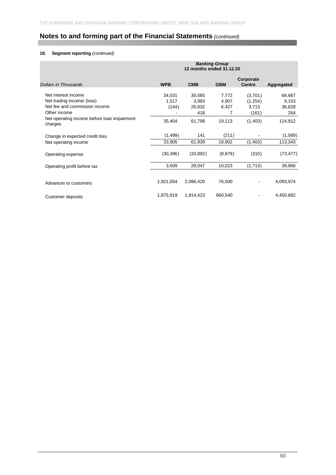## **18. Segment reporting** *(continued)*

| Dollars in Thousands                                                                               | <b>WPB</b>               | <b>CMB</b>                       | <b>GBM</b>                   | Corporate<br><b>Centre</b>            | Aggregated                       |
|----------------------------------------------------------------------------------------------------|--------------------------|----------------------------------|------------------------------|---------------------------------------|----------------------------------|
| Net interest income<br>Net trading income/ (loss)<br>Net fee and commission income<br>Other income | 34,031<br>1,517<br>(144) | 30,565<br>3,983<br>26,832<br>418 | 7,772<br>4,907<br>6,427<br>7 | (3,701)<br>(1, 254)<br>3,713<br>(161) | 68,667<br>9,153<br>36,828<br>264 |
| Net operating income before loan impairment<br>charges                                             | 35,404                   | 61,798                           | 19,113                       | (1,403)                               | 114,912                          |
| Change in expected credit loss                                                                     | (1,499)                  | 141                              | (211)                        |                                       | (1,569)                          |
| Net operating income                                                                               | 33,905                   | 61,939                           | 18,902                       | (1,403)                               | 113,343                          |
| Operating expense                                                                                  | (30, 396)                | (33, 892)                        | (8, 879)                     | (310)                                 | (73, 477)                        |
| Operating profit before tax                                                                        | 3,509                    | 28,047                           | 10,023                       | (1,713)                               | 39,866                           |
| Advances to customers                                                                              | 1,921,054                | 2,096,420                        | 76,500                       | $\qquad \qquad \blacksquare$          | 4,093,974                        |
| Customer deposits                                                                                  | 1,875,919                | 1,914,423                        | 660,540                      |                                       | 4,450,882                        |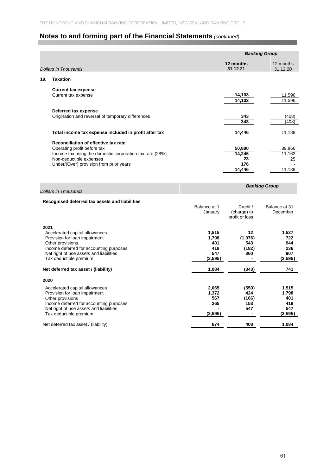|      |                                                                     |                         | <b>Banking Group</b>                      |                           |  |
|------|---------------------------------------------------------------------|-------------------------|-------------------------------------------|---------------------------|--|
|      | <b>Dollars in Thousands</b>                                         |                         | 12 months<br>31.12.21                     | 12 months<br>31.12.20     |  |
| 19.  | <b>Taxation</b>                                                     |                         |                                           |                           |  |
|      | <b>Current tax expense</b>                                          |                         |                                           |                           |  |
|      | Current tax expense                                                 |                         | 14,103<br>14,103                          | 11,596<br>11,596          |  |
|      | Deferred tax expense                                                |                         |                                           |                           |  |
|      | Origination and reversal of temporary differences                   |                         | 343<br>343                                | (408)<br>(408)            |  |
|      | Total income tax expense included in profit after tax               |                         | 14,446                                    | 11,188                    |  |
|      | Reconciliation of effective tax rate<br>Operating profit before tax |                         | 50,880                                    |                           |  |
|      | Income tax using the domestic corporation tax rate (28%)            |                         | 14,246                                    | 39,866<br>11,163          |  |
|      | Non-deductible expenses<br>Under/(Over) provision from prior years  |                         | 23<br>176                                 | 25                        |  |
|      |                                                                     |                         | 14,446                                    | 11,188                    |  |
|      | <b>Dollars in Thousands</b>                                         |                         |                                           | <b>Banking Group</b>      |  |
|      | Recognised deferred tax assets and liabilities                      |                         |                                           |                           |  |
|      |                                                                     | Balance at 1<br>January | Credit /<br>(charge) to<br>profit or loss | Balance at 31<br>December |  |
| 2021 |                                                                     |                         |                                           |                           |  |
|      | Accelerated capital allowances<br>Provision for loan impairment     | 1,515<br>1,798          | 12<br>(1,076)                             | 1,527<br>722              |  |
|      | Other provisions<br>Income deferred for accounting purposes         | 401<br>418              | 543<br>(182)                              | 944<br>236                |  |
|      | Net right of use assets and liabilities                             | 547                     | 360                                       | 907                       |  |
|      | Tax deductible premium                                              | (3, 595)                | $\blacksquare$                            | (3, 595)                  |  |
|      | Net deferred tax asset / (liability)                                | 1,084                   | (343)                                     | 741                       |  |
| 2020 |                                                                     |                         |                                           |                           |  |
|      | Accelerated capital allowances<br>Provision for loan impairment     | 2,065<br>1,372          | (550)<br>424                              | 1,515<br>1,798            |  |
|      | Other provisions                                                    | 567                     | (166)                                     | 401                       |  |
|      | Income deferred for accounting purposes                             | 265                     | 153                                       | 418                       |  |
|      | Net right of use assets and liabilities<br>Tax deductible premium   | (3, 595)                | 547                                       | 547<br>(3, 595)           |  |
|      | Net deferred tax asset / (liability)                                | 674                     | 408                                       | 1.084                     |  |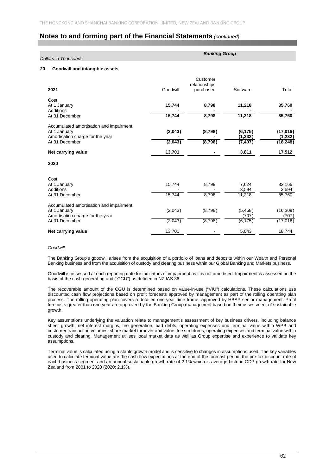| <b>Dollars in Thousands</b>             |          | <b>Banking Group</b> |          |           |  |  |
|-----------------------------------------|----------|----------------------|----------|-----------|--|--|
| Goodwill and intangible assets<br>20.   |          |                      |          |           |  |  |
|                                         |          | Customer             |          |           |  |  |
|                                         |          | relationships        |          |           |  |  |
| 2021                                    | Goodwill | purchased            | Software | Total     |  |  |
| Cost                                    |          |                      |          |           |  |  |
| At 1 January                            | 15,744   | 8,798                | 11,218   | 35,760    |  |  |
| Additions                               |          |                      |          |           |  |  |
| At 31 December                          | 15,744   | 8,798                | 11,218   | 35,760    |  |  |
| Accumulated amortisation and impairment |          |                      |          |           |  |  |
| At 1 January                            | (2,043)  | (8,798)              | (6, 175) | (17,016)  |  |  |
| Amortisation charge for the year        |          |                      | (1, 232) | (1,232)   |  |  |
| At 31 December                          | (2,043)  | (8,798)              | (7, 407) | (18, 248) |  |  |
| Net carrying value                      | 13,701   |                      | 3,811    | 17,512    |  |  |
| 2020                                    |          |                      |          |           |  |  |
| Cost                                    |          |                      |          |           |  |  |
| At 1 January                            | 15,744   | 8,798                | 7,624    | 32,166    |  |  |
| <b>Additions</b>                        |          |                      | 3,594    | 3,594     |  |  |
| At 31 December                          | 15.744   | 8.798                | 11,218   | 35,760    |  |  |
| Accumulated amortisation and impairment |          |                      |          |           |  |  |
| At 1 January                            | (2,043)  | (8,798)              | (5,468)  | (16, 309) |  |  |
| Amortisation charge for the year        |          |                      | (707)    | (707)     |  |  |
| At 31 December                          | (2,043)  | (8,798)              | (6, 175) | (17, 016) |  |  |
| Net carrying value                      | 13,701   |                      | 5,043    | 18,744    |  |  |

#### *Goodwill*

The Banking Group's goodwill arises from the acquisition of a portfolio of loans and deposits within our Wealth and Personal Banking business and from the acquisition of custody and clearing business within our Global Banking and Markets business.

Goodwill is assessed at each reporting date for indicators of impairment as it is not amortised. Impairment is assessed on the basis of the cash-generating unit ("CGU") as defined in NZ IAS 36.

The recoverable amount of the CGU is determined based on value-in-use ("VIU") calculations. These calculations use discounted cash flow projections based on profit forecasts approved by management as part of the rolling operating plan process. The rolling operating plan covers a detailed one-year time frame, approved by HBAP senior management. Profit forecasts greater than one year are approved by the Banking Group management based on their assessment of sustainable growth.

Key assumptions underlying the valuation relate to management's assessment of key business drivers, including balance sheet growth, net interest margins, fee generation, bad debts, operating expenses and terminal value within WPB and customer transaction volumes, share market turnover and value, fee structures, operating expenses and terminal value within custody and clearing. Management utilises local market data as well as Group expertise and experience to validate key assumptions.

Terminal value is calculated using a stable growth model and is sensitive to changes in assumptions used. The key variables used to calculate terminal value are the cash flow expectations at the end of the forecast period, the pre-tax discount rate of each business segment and an annual sustainable growth rate of 2.1% which is average historic GDP growth rate for New Zealand from 2001 to 2020 (2020: 2.1%).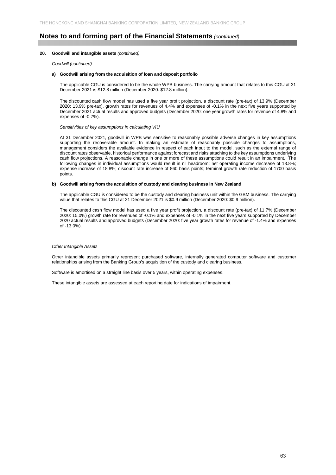#### **20. Goodwill and intangible assets** *(continued)*

*Goodwill (continued)* 

#### **a) Goodwill arising from the acquisition of loan and deposit portfolio**

The applicable CGU is considered to be the whole WPB business. The carrying amount that relates to this CGU at 31 December 2021 is \$12.8 million (December 2020: \$12.8 million).

The discounted cash flow model has used a five year profit projection, a discount rate (pre-tax) of 13.9% (December 2020: 13.9% pre-tax), growth rates for revenues of 4.4% and expenses of -0.1% in the next five years supported by December 2021 actual results and approved budgets (December 2020: one year growth rates for revenue of 4.8% and expenses of -0.7%).

*Sensitivities of key assumptions in calculating VIU* 

At 31 December 2021, goodwill in WPB was sensitive to reasonably possible adverse changes in key assumptions supporting the recoverable amount. In making an estimate of reasonably possible changes to assumptions, management considers the available evidence in respect of each input to the model, such as the external range of discount rates observable, historical performance against forecast and risks attaching to the key assumptions underlying cash flow projections. A reasonable change in one or more of these assumptions could result in an impairment. The following changes in individual assumptions would result in nil headroom: net operating income decrease of 13.8%; expense increase of 18.8%; discount rate increase of 860 basis points; terminal growth rate reduction of 1700 basis points.

#### **b) Goodwill arising from the acquisition of custody and clearing business in New Zealand**

The applicable CGU is considered to be the custody and clearing business unit within the GBM business. The carrying value that relates to this CGU at 31 December 2021 is \$0.9 million (December 2020: \$0.9 million).

The discounted cash flow model has used a five year profit projection, a discount rate (pre-tax) of 11.7% (December 2020: 15.0%) growth rate for revenues of -0.1% and expenses of -0.1% in the next five years supported by December 2020 actual results and approved budgets (December 2020: five year growth rates for revenue of -1.4% and expenses of -13.0%).

#### *Other Intangible Assets*

Other intangible assets primarily represent purchased software, internally generated computer software and customer relationships arising from the Banking Group's acquisition of the custody and clearing business.

Software is amortised on a straight line basis over 5 years, within operating expenses.

These intangible assets are assessed at each reporting date for indications of impairment.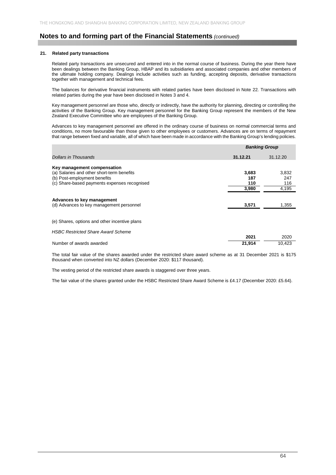#### **21. Related party transactions**

Related party transactions are unsecured and entered into in the normal course of business. During the year there have been dealings between the Banking Group, HBAP and its subsidiaries and associated companies and other members of the ultimate holding company. Dealings include activities such as funding, accepting deposits, derivative transactions together with management and technical fees.

The balances for derivative financial instruments with related parties have been disclosed in Note 22. Transactions with related parties during the year have been disclosed in Notes 3 and 4.

Key management personnel are those who, directly or indirectly, have the authority for planning, directing or controlling the activities of the Banking Group. Key management personnel for the Banking Group represent the members of the New Zealand Executive Committee who are employees of the Banking Group.

Advances to key management personnel are offered in the ordinary course of business on normal commercial terms and conditions, no more favourable than those given to other employees or customers. Advances are on terms of repayment that range between fixed and variable, all of which have been made in accordance with the Banking Group's lending policies.

|                                                                              | <b>Banking Group</b> |                     |  |  |
|------------------------------------------------------------------------------|----------------------|---------------------|--|--|
| <b>Dollars in Thousands</b>                                                  | 31.12.21             | 31.12.20            |  |  |
| Key management compensation<br>(a) Salaries and other short-term benefits    | 3,683                | 3,832               |  |  |
| (b) Post-employment benefits<br>(c) Share-based payments expenses recognised | 187<br>110<br>3,980  | 247<br>116<br>4,195 |  |  |
| Advances to key management<br>(d) Advances to key management personnel       | 3,571                | 1,355               |  |  |
| (e) Shares, options and other incentive plans                                |                      |                     |  |  |
| <b>HSBC Restricted Share Award Scheme</b>                                    | 2021                 | 2020                |  |  |
| Number of awards awarded                                                     | 21.914               | 10.423              |  |  |

The total fair value of the shares awarded under the restricted share award scheme as at 31 December 2021 is \$175 thousand when converted into NZ dollars (December 2020: \$117 thousand).

The vesting period of the restricted share awards is staggered over three years.

The fair value of the shares granted under the HSBC Restricted Share Award Scheme is £4.17 (December 2020: £5.64).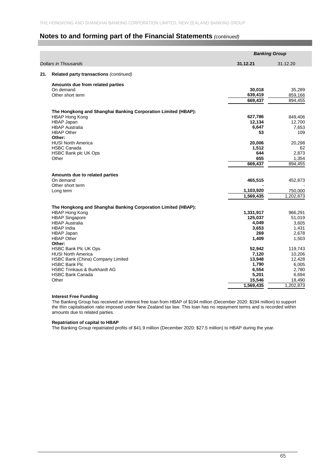|                             |                                                               |           | <b>Banking Group</b> |
|-----------------------------|---------------------------------------------------------------|-----------|----------------------|
| <b>Dollars in Thousands</b> |                                                               | 31.12.21  | 31.12.20             |
| 21.                         | Related party transactions (continued)                        |           |                      |
|                             | Amounts due from related parties                              |           |                      |
| On demand                   |                                                               | 30,018    | 35,289               |
| Other short term            |                                                               | 639,419   | 859,166              |
|                             |                                                               | 669,437   | 894,455              |
|                             | The Hongkong and Shanghai Banking Corporation Limited (HBAP): |           |                      |
| <b>HBAP Hong Kong</b>       |                                                               | 627,786   | 849,406              |
| HBAP Japan                  |                                                               | 12,134    | 12,700               |
| <b>HBAP Australia</b>       |                                                               | 6,647     | 7,653                |
| <b>HBAP Other</b><br>Other: |                                                               | 53        | 109                  |
| <b>HUSI North America</b>   |                                                               | 20,006    | 20,298               |
| <b>HSBC Canada</b>          |                                                               | 1,512     | 62                   |
|                             | <b>HSBC Bank plc UK Ops</b>                                   | 644       | 2.873                |
| Other                       |                                                               | 655       | 1,354                |
|                             |                                                               | 669,437   | 894,455              |
|                             | Amounts due to related parties                                |           |                      |
| On demand                   |                                                               | 465,515   | 452,873              |
| Other short term            |                                                               |           |                      |
| Long term                   |                                                               | 1,103,920 | 750,000              |
|                             |                                                               | 1,569,435 | 1,202,873            |
|                             | The Hongkong and Shanghai Banking Corporation Limited (HBAP): |           |                      |
| <b>HBAP Hong Kong</b>       |                                                               | 1,331,917 | 966,291              |
| <b>HBAP Singapore</b>       |                                                               | 125,037   | 51,019               |
| <b>HBAP Australia</b>       |                                                               | 4,049     | 3,605                |
| HBAP India                  |                                                               | 3,653     | 1,431                |
| <b>HBAP Japan</b>           |                                                               | 269       | 2.678                |
| <b>HBAP Other</b>           |                                                               | 1,409     | 1,503                |
| Other:                      |                                                               |           |                      |
|                             | <b>HSBC Bank Plc UK Ops</b>                                   | 52,942    | 119,743              |
| <b>HUSI North America</b>   |                                                               | 7,120     | 10,206               |
|                             | HSBC Bank (China) Company Limited                             | 13,948    | 12,428               |
| <b>HSBC Bank Plc</b>        |                                                               | 1,790     | 6,005                |
|                             | <b>HSBC Trinkaus &amp; Burkhardt AG</b>                       | 6,554     | 2.780                |
| <b>HSBC Bank Canada</b>     |                                                               | 5,201     | 6,694                |
| Other                       |                                                               | 15,546    | 18,490               |
|                             |                                                               | 1,569,435 | 1,202,873            |

#### **Interest Free Funding**

The Banking Group has received an interest free loan from HBAP of \$194 million (December 2020: \$194 million) to support the thin capitalisation ratio imposed under New Zealand tax law. This loan has no repayment terms and is recorded within amounts due to related parties.

### **Repatriation of capital to HBAP**

The Banking Group repatriated profits of \$41.9 million (December 2020: \$27.5 million) to HBAP during the year.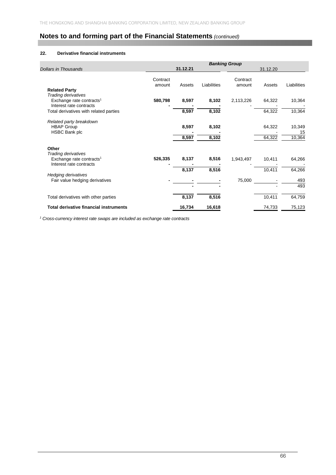## **22. Derivative financial instruments**

|                                                                                                 |                    |                |                | <b>Banking Group</b> |                  |                        |
|-------------------------------------------------------------------------------------------------|--------------------|----------------|----------------|----------------------|------------------|------------------------|
| <b>Dollars in Thousands</b>                                                                     |                    | 31.12.21       |                |                      | 31.12.20         |                        |
| <b>Related Party</b>                                                                            | Contract<br>amount | Assets         | Liabilities    | Contract<br>amount   | Assets           | Liabilities            |
| Trading derivatives<br>Exchange rate contracts <sup>1</sup><br>Interest rate contracts          | 580,798            | 8,597          | 8,102          | 2,113,226            | 64,322           | 10,364                 |
| Total derivatives with related parties                                                          |                    | 8,597          | 8,102          |                      | 64,322           | 10,364                 |
| Related party breakdown<br><b>HBAP Group</b><br>HSBC Bank plc                                   |                    | 8,597<br>8,597 | 8,102<br>8,102 |                      | 64,322<br>64,322 | 10,349<br>15<br>10,364 |
| Other<br>Trading derivatives<br>Exchange rate contracts <sup>1</sup><br>Interest rate contracts | 526,335            | 8,137          | 8,516          | 1,943,497            | 10,411           | 64,266                 |
| <b>Hedging derivatives</b>                                                                      |                    | 8,137          | 8,516          |                      | 10,411           | 64,266                 |
| Fair value hedging derivatives                                                                  |                    |                |                | 75,000               |                  | 493<br>493             |
| Total derivatives with other parties                                                            |                    | 8,137          | 8,516          |                      | 10,411           | 64,759                 |
| <b>Total derivative financial instruments</b>                                                   |                    | 16,734         | 16,618         |                      | 74,733           | 75,123                 |

<sup>1</sup> Cross-currency interest rate swaps are included as exchange rate contracts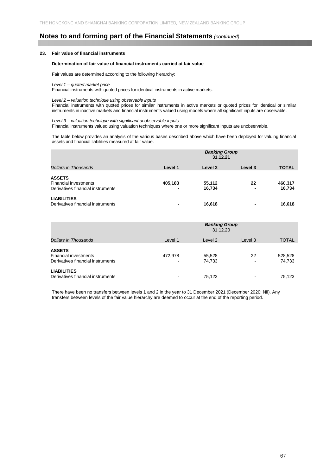### **23. Fair value of financial instruments**

#### **Determination of fair value of financial instruments carried at fair value**

Fair values are determined according to the following hierarchy:

#### *Level 1 – quoted market price*

Financial instruments with quoted prices for identical instruments in active markets.

## *Level 2 – valuation technique using observable inputs*

Financial instruments with quoted prices for similar instruments in active markets or quoted prices for identical or similar instruments in inactive markets and financial instruments valued using models where all significant inputs are observable.

#### *Level 3 – valuation technique with significant unobservable inputs*

Financial instruments valued using valuation techniques where one or more significant inputs are unobservable.

The table below provides an analysis of the various bases described above which have been deployed for valuing financial assets and financial liabilities measured at fair value.

|                                                                                    | <b>Banking Group</b><br>31.12.21 |                  |                                |                   |  |
|------------------------------------------------------------------------------------|----------------------------------|------------------|--------------------------------|-------------------|--|
| Dollars in Thousands                                                               | Level 1                          | Level 2          | Level 3                        | <b>TOTAL</b>      |  |
| <b>ASSETS</b><br><b>Financial investments</b><br>Derivatives financial instruments | 405,183<br>-                     | 55,112<br>16,734 | 22<br>$\overline{\phantom{0}}$ | 460,317<br>16,734 |  |
| <b>LIABILITIES</b><br>Derivatives financial instruments                            | -                                | 16,618           |                                | 16,618            |  |

|                                                                                    | <b>Banking Group</b><br>31.12.20    |                  |         |                   |
|------------------------------------------------------------------------------------|-------------------------------------|------------------|---------|-------------------|
| Dollars in Thousands                                                               | Level 1                             | Level 2          | Level 3 | <b>TOTAL</b>      |
| <b>ASSETS</b><br><b>Financial investments</b><br>Derivatives financial instruments | 472,978<br>$\overline{\phantom{a}}$ | 55,528<br>74,733 | 22      | 528,528<br>74,733 |
| <b>LIABILITIES</b><br>Derivatives financial instruments                            | -                                   | 75,123           |         | 75.123            |

There have been no transfers between levels 1 and 2 in the year to 31 December 2021 (December 2020: Nil). Any transfers between levels of the fair value hierarchy are deemed to occur at the end of the reporting period.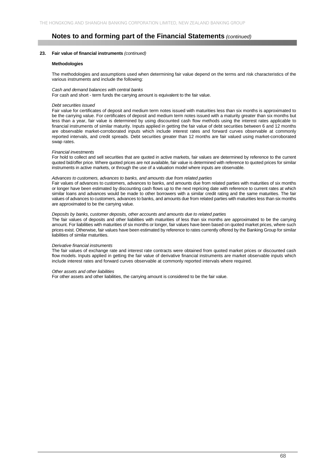#### **23. Fair value of financial instruments** *(continued)*

#### **Methodologies**

The methodologies and assumptions used when determining fair value depend on the terms and risk characteristics of the various instruments and include the following:

#### *Cash and demand balances with central banks*

For cash and short - term funds the carrying amount is equivalent to the fair value.

#### *Debt securities issued*

Fair value for certificates of deposit and medium term notes issued with maturities less than six months is approximated to be the carrying value. For certificates of deposit and medium term notes issued with a maturity greater than six months but less than a year, fair value is determined by using discounted cash flow methods using the interest rates applicable to financial instruments of similar maturity. Inputs applied in getting the fair value of debt securities between 6 and 12 months are observable market-corroborated inputs which include interest rates and forward curves observable at commonly reported intervals, and credit spreads. Debt securities greater than 12 months are fair valued using market-corroborated swap rates.

#### *Financial investments*

For hold to collect and sell securities that are quoted in active markets, fair values are determined by reference to the current quoted bid/offer price. Where quoted prices are not available, fair value is determined with reference to quoted prices for similar instruments in active markets, or through the use of a valuation model where inputs are observable.

#### *Advances to customers, advances to banks, and amounts due from related parties*

Fair values of advances to customers, advances to banks, and amounts due from related parties with maturities of six months or longer have been estimated by discounting cash flows up to the next repricing date with reference to current rates at which similar loans and advances would be made to other borrowers with a similar credit rating and the same maturities. The fair values of advances to customers, advances to banks, and amounts due from related parties with maturities less than six months are approximated to be the carrying value.

#### *Deposits by banks, customer deposits, other accounts and amounts due to related parties*

The fair values of deposits and other liabilities with maturities of less than six months are approximated to be the carrying amount. For liabilities with maturities of six months or longer, fair values have been based on quoted market prices, where such prices exist. Otherwise, fair values have been estimated by reference to rates currently offered by the Banking Group for similar liabilities of similar maturities.

#### *Derivative financial instruments*

The fair values of exchange rate and interest rate contracts were obtained from quoted market prices or discounted cash flow models. Inputs applied in getting the fair value of derivative financial instruments are market observable inputs which include interest rates and forward curves observable at commonly reported intervals where required.

#### *Other assets and other liabilities*

For other assets and other liabilities, the carrying amount is considered to be the fair value.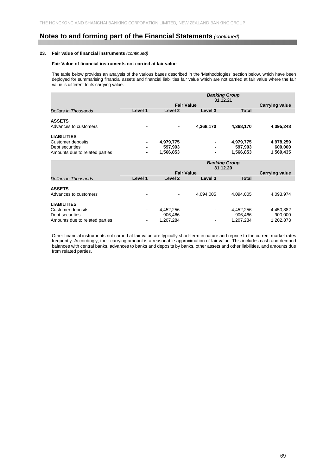## **23. Fair value of financial instruments** *(continued)*

#### **Fair Value of financial instruments not carried at fair value**

The table below provides an analysis of the various bases described in the 'Methodologies' section below, which have been deployed for summarising financial assets and financial liabilities fair value which are not carried at fair value where the fair value is different to its carrying value.

|                                                                                                     |         | <b>Banking Group</b><br>31.12.21  |           |                                   |                                   |
|-----------------------------------------------------------------------------------------------------|---------|-----------------------------------|-----------|-----------------------------------|-----------------------------------|
|                                                                                                     |         | <b>Fair Value</b>                 |           |                                   | <b>Carrying value</b>             |
| Dollars in Thousands                                                                                | Level 1 | Level 2                           | Level 3   | <b>Total</b>                      |                                   |
| <b>ASSETS</b><br>Advances to customers                                                              |         |                                   | 4,368,170 | 4,368,170                         | 4,395,248                         |
| <b>LIABILITIES</b><br><b>Customer deposits</b><br>Debt securities<br>Amounts due to related parties |         | 4,979,775<br>597,993<br>1,566,853 | -         | 4,979,775<br>597,993<br>1,566,853 | 4,978,259<br>600,000<br>1,569,435 |
|                                                                                                     |         |                                   |           |                                   |                                   |
|                                                                                                     |         |                                   | 31.12.20  | <b>Banking Group</b>              |                                   |
| Dollars in Thousands                                                                                | Level 1 | <b>Fair Value</b><br>Level 2      | Level 3   | <b>Total</b>                      | <b>Carrying value</b>             |
| <b>ASSETS</b><br>Advances to customers                                                              |         |                                   | 4,094,005 | 4,094,005                         | 4,093,974                         |

Other financial instruments not carried at fair value are typically short-term in nature and reprice to the current market rates frequently. Accordingly, their carrying amount is a reasonable approximation of fair value. This includes cash and demand balances with central banks, advances to banks and deposits by banks, other assets and other liabilities, and amounts due from related parties.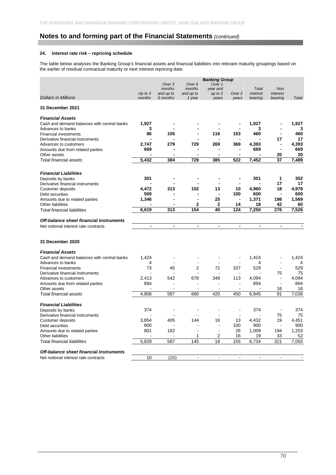## **24. Interest rate risk – repricing schedule**

The table below analyses the Banking Group's financial assets and financial liabilities into relevant maturity groupings based on the earlier of residual contractual maturity or next interest repricing date.

| Over <sub>6</sub><br>Over 1<br>Over <sub>3</sub><br>months<br>months<br>year and<br><b>Total</b><br><b>Non</b><br>Up to $3$<br>and up to<br>and up to<br>$up$ to $2$<br>Over <sub>2</sub><br>interest<br>interest<br><b>Dollars in Millions</b><br>months<br>6 months<br>1 year<br>years<br>bearing<br>bearing<br>Total<br>years<br>31 December 2021<br><b>Financial Assets</b><br>1,927<br>1,927<br>Cash and demand balances with central banks<br>1,927<br>Advances to banks<br>3<br>3<br>3<br>Ĭ.<br>86<br>460<br>105<br>116<br>153<br>460<br><b>Financial investments</b><br>$\blacksquare$<br>17<br>17<br>Derivative financial instruments<br>729<br>269<br>369<br>4,393<br>4,393<br>2,747<br>279<br>Advances to customers<br>٠<br>669<br>669<br>669<br>Amounts due from related parties<br>20<br>Other assets<br>20<br>$\overline{\phantom{a}}$<br>$\overline{\phantom{a}}$<br>$\blacksquare$<br>$\blacksquare$<br>729<br>522<br>7,452<br>5,432<br>384<br>385<br>37<br>7,489<br>Total financial assets<br><b>Financial Liabilities</b><br>1<br>301<br>301<br>302<br>Deposits by banks<br>۰<br>17<br>17<br>Derivative financial instruments<br>4,472<br>313<br>152<br>13<br>10<br>4,960<br>4,978<br>18<br>Customer deposits<br>500<br>100<br>600<br>600<br>Debt securities<br>1,346<br>25<br>1,371<br>198<br>1,569<br>Amounts due to related parties<br>$\blacksquare$<br>$\mathbf{2}$<br>$\mathbf{2}$<br>42<br>60<br>14<br>18<br><b>Other liabilities</b><br>6,619<br>313<br>154<br>40<br>124<br>7,250<br>276<br>7,526<br><b>Total financial liabilities</b><br>Off-balance sheet financial instruments<br>Net notional interest rate contracts<br>$\blacksquare$<br>$\blacksquare$<br>$\overline{\phantom{a}}$<br>$\blacksquare$<br>$\overline{\phantom{a}}$<br>$\blacksquare$<br>$\overline{\phantom{a}}$<br>31 December 2020<br><b>Financial Assets</b><br>1,424<br>1,424<br>1,424<br>Cash and demand balances with central banks<br>÷,<br>$\overline{a}$<br>Advances to banks<br>4<br>4<br>4<br>73<br>529<br>529<br>45<br>2<br>72<br>337<br>$\overline{a}$<br><b>Financial investments</b><br>75<br>Derivative financial instruments<br>75<br>2,413<br>542<br>4,094<br>4,094<br>678<br>348<br>113<br>Advances to customers<br>L.<br>894<br>894<br>894<br>Amounts due from related parties<br>L,<br>16<br>16<br>Other assets<br>7.036<br>4.808<br>587<br>420<br>450<br>6.945<br>91<br>Total financial assets<br>680<br><b>Financial Liabilities</b><br>374<br>374<br>374<br>Deposits by banks<br>L,<br>Derivative financial instruments<br>75<br>75<br>3,854<br>405<br>144<br>16<br>13<br>4,432<br>19<br>4,451<br><b>Customer deposits</b><br>100<br>900<br>900<br>Debt securities<br>800<br>$\overline{a}$<br>1,009<br>1,203<br>801<br>182<br>26<br>194<br>Amounts due to related parties<br>$\overline{\phantom{a}}$<br>2<br>52<br><b>Other liabilities</b><br>1<br>16<br>19<br>33<br><b>Total financial liabilities</b><br>5,829<br>587<br>145<br>18<br>155<br>6,734<br>321<br>7,055<br>Off-balance sheet financial instruments<br>10<br>(10)<br>Net notional interest rate contracts<br>ä,<br>$\blacksquare$<br>ä,<br>$\overline{a}$<br>$\overline{a}$ |  |  | <b>Banking Group</b> |  |  |
|--------------------------------------------------------------------------------------------------------------------------------------------------------------------------------------------------------------------------------------------------------------------------------------------------------------------------------------------------------------------------------------------------------------------------------------------------------------------------------------------------------------------------------------------------------------------------------------------------------------------------------------------------------------------------------------------------------------------------------------------------------------------------------------------------------------------------------------------------------------------------------------------------------------------------------------------------------------------------------------------------------------------------------------------------------------------------------------------------------------------------------------------------------------------------------------------------------------------------------------------------------------------------------------------------------------------------------------------------------------------------------------------------------------------------------------------------------------------------------------------------------------------------------------------------------------------------------------------------------------------------------------------------------------------------------------------------------------------------------------------------------------------------------------------------------------------------------------------------------------------------------------------------------------------------------------------------------------------------------------------------------------------------------------------------------------------------------------------------------------------------------------------------------------------------------------------------------------------------------------------------------------------------------------------------------------------------------------------------------------------------------------------------------------------------------------------------------------------------------------------------------------------------------------------------------------------------------------------------------------------------------------------------------------------------------------------------------------------------------------------------------------------------------------------------------------------------------------------------------------------------------------------------------------------------------------------------------------------------------------------------------------------------------------------------------------------------------------------------------------------------------------------------------------------|--|--|----------------------|--|--|
|                                                                                                                                                                                                                                                                                                                                                                                                                                                                                                                                                                                                                                                                                                                                                                                                                                                                                                                                                                                                                                                                                                                                                                                                                                                                                                                                                                                                                                                                                                                                                                                                                                                                                                                                                                                                                                                                                                                                                                                                                                                                                                                                                                                                                                                                                                                                                                                                                                                                                                                                                                                                                                                                                                                                                                                                                                                                                                                                                                                                                                                                                                                                                                    |  |  |                      |  |  |
|                                                                                                                                                                                                                                                                                                                                                                                                                                                                                                                                                                                                                                                                                                                                                                                                                                                                                                                                                                                                                                                                                                                                                                                                                                                                                                                                                                                                                                                                                                                                                                                                                                                                                                                                                                                                                                                                                                                                                                                                                                                                                                                                                                                                                                                                                                                                                                                                                                                                                                                                                                                                                                                                                                                                                                                                                                                                                                                                                                                                                                                                                                                                                                    |  |  |                      |  |  |
|                                                                                                                                                                                                                                                                                                                                                                                                                                                                                                                                                                                                                                                                                                                                                                                                                                                                                                                                                                                                                                                                                                                                                                                                                                                                                                                                                                                                                                                                                                                                                                                                                                                                                                                                                                                                                                                                                                                                                                                                                                                                                                                                                                                                                                                                                                                                                                                                                                                                                                                                                                                                                                                                                                                                                                                                                                                                                                                                                                                                                                                                                                                                                                    |  |  |                      |  |  |
|                                                                                                                                                                                                                                                                                                                                                                                                                                                                                                                                                                                                                                                                                                                                                                                                                                                                                                                                                                                                                                                                                                                                                                                                                                                                                                                                                                                                                                                                                                                                                                                                                                                                                                                                                                                                                                                                                                                                                                                                                                                                                                                                                                                                                                                                                                                                                                                                                                                                                                                                                                                                                                                                                                                                                                                                                                                                                                                                                                                                                                                                                                                                                                    |  |  |                      |  |  |
|                                                                                                                                                                                                                                                                                                                                                                                                                                                                                                                                                                                                                                                                                                                                                                                                                                                                                                                                                                                                                                                                                                                                                                                                                                                                                                                                                                                                                                                                                                                                                                                                                                                                                                                                                                                                                                                                                                                                                                                                                                                                                                                                                                                                                                                                                                                                                                                                                                                                                                                                                                                                                                                                                                                                                                                                                                                                                                                                                                                                                                                                                                                                                                    |  |  |                      |  |  |
|                                                                                                                                                                                                                                                                                                                                                                                                                                                                                                                                                                                                                                                                                                                                                                                                                                                                                                                                                                                                                                                                                                                                                                                                                                                                                                                                                                                                                                                                                                                                                                                                                                                                                                                                                                                                                                                                                                                                                                                                                                                                                                                                                                                                                                                                                                                                                                                                                                                                                                                                                                                                                                                                                                                                                                                                                                                                                                                                                                                                                                                                                                                                                                    |  |  |                      |  |  |
|                                                                                                                                                                                                                                                                                                                                                                                                                                                                                                                                                                                                                                                                                                                                                                                                                                                                                                                                                                                                                                                                                                                                                                                                                                                                                                                                                                                                                                                                                                                                                                                                                                                                                                                                                                                                                                                                                                                                                                                                                                                                                                                                                                                                                                                                                                                                                                                                                                                                                                                                                                                                                                                                                                                                                                                                                                                                                                                                                                                                                                                                                                                                                                    |  |  |                      |  |  |
|                                                                                                                                                                                                                                                                                                                                                                                                                                                                                                                                                                                                                                                                                                                                                                                                                                                                                                                                                                                                                                                                                                                                                                                                                                                                                                                                                                                                                                                                                                                                                                                                                                                                                                                                                                                                                                                                                                                                                                                                                                                                                                                                                                                                                                                                                                                                                                                                                                                                                                                                                                                                                                                                                                                                                                                                                                                                                                                                                                                                                                                                                                                                                                    |  |  |                      |  |  |
|                                                                                                                                                                                                                                                                                                                                                                                                                                                                                                                                                                                                                                                                                                                                                                                                                                                                                                                                                                                                                                                                                                                                                                                                                                                                                                                                                                                                                                                                                                                                                                                                                                                                                                                                                                                                                                                                                                                                                                                                                                                                                                                                                                                                                                                                                                                                                                                                                                                                                                                                                                                                                                                                                                                                                                                                                                                                                                                                                                                                                                                                                                                                                                    |  |  |                      |  |  |
|                                                                                                                                                                                                                                                                                                                                                                                                                                                                                                                                                                                                                                                                                                                                                                                                                                                                                                                                                                                                                                                                                                                                                                                                                                                                                                                                                                                                                                                                                                                                                                                                                                                                                                                                                                                                                                                                                                                                                                                                                                                                                                                                                                                                                                                                                                                                                                                                                                                                                                                                                                                                                                                                                                                                                                                                                                                                                                                                                                                                                                                                                                                                                                    |  |  |                      |  |  |
|                                                                                                                                                                                                                                                                                                                                                                                                                                                                                                                                                                                                                                                                                                                                                                                                                                                                                                                                                                                                                                                                                                                                                                                                                                                                                                                                                                                                                                                                                                                                                                                                                                                                                                                                                                                                                                                                                                                                                                                                                                                                                                                                                                                                                                                                                                                                                                                                                                                                                                                                                                                                                                                                                                                                                                                                                                                                                                                                                                                                                                                                                                                                                                    |  |  |                      |  |  |
|                                                                                                                                                                                                                                                                                                                                                                                                                                                                                                                                                                                                                                                                                                                                                                                                                                                                                                                                                                                                                                                                                                                                                                                                                                                                                                                                                                                                                                                                                                                                                                                                                                                                                                                                                                                                                                                                                                                                                                                                                                                                                                                                                                                                                                                                                                                                                                                                                                                                                                                                                                                                                                                                                                                                                                                                                                                                                                                                                                                                                                                                                                                                                                    |  |  |                      |  |  |
|                                                                                                                                                                                                                                                                                                                                                                                                                                                                                                                                                                                                                                                                                                                                                                                                                                                                                                                                                                                                                                                                                                                                                                                                                                                                                                                                                                                                                                                                                                                                                                                                                                                                                                                                                                                                                                                                                                                                                                                                                                                                                                                                                                                                                                                                                                                                                                                                                                                                                                                                                                                                                                                                                                                                                                                                                                                                                                                                                                                                                                                                                                                                                                    |  |  |                      |  |  |
|                                                                                                                                                                                                                                                                                                                                                                                                                                                                                                                                                                                                                                                                                                                                                                                                                                                                                                                                                                                                                                                                                                                                                                                                                                                                                                                                                                                                                                                                                                                                                                                                                                                                                                                                                                                                                                                                                                                                                                                                                                                                                                                                                                                                                                                                                                                                                                                                                                                                                                                                                                                                                                                                                                                                                                                                                                                                                                                                                                                                                                                                                                                                                                    |  |  |                      |  |  |
|                                                                                                                                                                                                                                                                                                                                                                                                                                                                                                                                                                                                                                                                                                                                                                                                                                                                                                                                                                                                                                                                                                                                                                                                                                                                                                                                                                                                                                                                                                                                                                                                                                                                                                                                                                                                                                                                                                                                                                                                                                                                                                                                                                                                                                                                                                                                                                                                                                                                                                                                                                                                                                                                                                                                                                                                                                                                                                                                                                                                                                                                                                                                                                    |  |  |                      |  |  |
|                                                                                                                                                                                                                                                                                                                                                                                                                                                                                                                                                                                                                                                                                                                                                                                                                                                                                                                                                                                                                                                                                                                                                                                                                                                                                                                                                                                                                                                                                                                                                                                                                                                                                                                                                                                                                                                                                                                                                                                                                                                                                                                                                                                                                                                                                                                                                                                                                                                                                                                                                                                                                                                                                                                                                                                                                                                                                                                                                                                                                                                                                                                                                                    |  |  |                      |  |  |
|                                                                                                                                                                                                                                                                                                                                                                                                                                                                                                                                                                                                                                                                                                                                                                                                                                                                                                                                                                                                                                                                                                                                                                                                                                                                                                                                                                                                                                                                                                                                                                                                                                                                                                                                                                                                                                                                                                                                                                                                                                                                                                                                                                                                                                                                                                                                                                                                                                                                                                                                                                                                                                                                                                                                                                                                                                                                                                                                                                                                                                                                                                                                                                    |  |  |                      |  |  |
|                                                                                                                                                                                                                                                                                                                                                                                                                                                                                                                                                                                                                                                                                                                                                                                                                                                                                                                                                                                                                                                                                                                                                                                                                                                                                                                                                                                                                                                                                                                                                                                                                                                                                                                                                                                                                                                                                                                                                                                                                                                                                                                                                                                                                                                                                                                                                                                                                                                                                                                                                                                                                                                                                                                                                                                                                                                                                                                                                                                                                                                                                                                                                                    |  |  |                      |  |  |
|                                                                                                                                                                                                                                                                                                                                                                                                                                                                                                                                                                                                                                                                                                                                                                                                                                                                                                                                                                                                                                                                                                                                                                                                                                                                                                                                                                                                                                                                                                                                                                                                                                                                                                                                                                                                                                                                                                                                                                                                                                                                                                                                                                                                                                                                                                                                                                                                                                                                                                                                                                                                                                                                                                                                                                                                                                                                                                                                                                                                                                                                                                                                                                    |  |  |                      |  |  |
|                                                                                                                                                                                                                                                                                                                                                                                                                                                                                                                                                                                                                                                                                                                                                                                                                                                                                                                                                                                                                                                                                                                                                                                                                                                                                                                                                                                                                                                                                                                                                                                                                                                                                                                                                                                                                                                                                                                                                                                                                                                                                                                                                                                                                                                                                                                                                                                                                                                                                                                                                                                                                                                                                                                                                                                                                                                                                                                                                                                                                                                                                                                                                                    |  |  |                      |  |  |
|                                                                                                                                                                                                                                                                                                                                                                                                                                                                                                                                                                                                                                                                                                                                                                                                                                                                                                                                                                                                                                                                                                                                                                                                                                                                                                                                                                                                                                                                                                                                                                                                                                                                                                                                                                                                                                                                                                                                                                                                                                                                                                                                                                                                                                                                                                                                                                                                                                                                                                                                                                                                                                                                                                                                                                                                                                                                                                                                                                                                                                                                                                                                                                    |  |  |                      |  |  |
|                                                                                                                                                                                                                                                                                                                                                                                                                                                                                                                                                                                                                                                                                                                                                                                                                                                                                                                                                                                                                                                                                                                                                                                                                                                                                                                                                                                                                                                                                                                                                                                                                                                                                                                                                                                                                                                                                                                                                                                                                                                                                                                                                                                                                                                                                                                                                                                                                                                                                                                                                                                                                                                                                                                                                                                                                                                                                                                                                                                                                                                                                                                                                                    |  |  |                      |  |  |
|                                                                                                                                                                                                                                                                                                                                                                                                                                                                                                                                                                                                                                                                                                                                                                                                                                                                                                                                                                                                                                                                                                                                                                                                                                                                                                                                                                                                                                                                                                                                                                                                                                                                                                                                                                                                                                                                                                                                                                                                                                                                                                                                                                                                                                                                                                                                                                                                                                                                                                                                                                                                                                                                                                                                                                                                                                                                                                                                                                                                                                                                                                                                                                    |  |  |                      |  |  |
|                                                                                                                                                                                                                                                                                                                                                                                                                                                                                                                                                                                                                                                                                                                                                                                                                                                                                                                                                                                                                                                                                                                                                                                                                                                                                                                                                                                                                                                                                                                                                                                                                                                                                                                                                                                                                                                                                                                                                                                                                                                                                                                                                                                                                                                                                                                                                                                                                                                                                                                                                                                                                                                                                                                                                                                                                                                                                                                                                                                                                                                                                                                                                                    |  |  |                      |  |  |
|                                                                                                                                                                                                                                                                                                                                                                                                                                                                                                                                                                                                                                                                                                                                                                                                                                                                                                                                                                                                                                                                                                                                                                                                                                                                                                                                                                                                                                                                                                                                                                                                                                                                                                                                                                                                                                                                                                                                                                                                                                                                                                                                                                                                                                                                                                                                                                                                                                                                                                                                                                                                                                                                                                                                                                                                                                                                                                                                                                                                                                                                                                                                                                    |  |  |                      |  |  |
|                                                                                                                                                                                                                                                                                                                                                                                                                                                                                                                                                                                                                                                                                                                                                                                                                                                                                                                                                                                                                                                                                                                                                                                                                                                                                                                                                                                                                                                                                                                                                                                                                                                                                                                                                                                                                                                                                                                                                                                                                                                                                                                                                                                                                                                                                                                                                                                                                                                                                                                                                                                                                                                                                                                                                                                                                                                                                                                                                                                                                                                                                                                                                                    |  |  |                      |  |  |
|                                                                                                                                                                                                                                                                                                                                                                                                                                                                                                                                                                                                                                                                                                                                                                                                                                                                                                                                                                                                                                                                                                                                                                                                                                                                                                                                                                                                                                                                                                                                                                                                                                                                                                                                                                                                                                                                                                                                                                                                                                                                                                                                                                                                                                                                                                                                                                                                                                                                                                                                                                                                                                                                                                                                                                                                                                                                                                                                                                                                                                                                                                                                                                    |  |  |                      |  |  |
|                                                                                                                                                                                                                                                                                                                                                                                                                                                                                                                                                                                                                                                                                                                                                                                                                                                                                                                                                                                                                                                                                                                                                                                                                                                                                                                                                                                                                                                                                                                                                                                                                                                                                                                                                                                                                                                                                                                                                                                                                                                                                                                                                                                                                                                                                                                                                                                                                                                                                                                                                                                                                                                                                                                                                                                                                                                                                                                                                                                                                                                                                                                                                                    |  |  |                      |  |  |
|                                                                                                                                                                                                                                                                                                                                                                                                                                                                                                                                                                                                                                                                                                                                                                                                                                                                                                                                                                                                                                                                                                                                                                                                                                                                                                                                                                                                                                                                                                                                                                                                                                                                                                                                                                                                                                                                                                                                                                                                                                                                                                                                                                                                                                                                                                                                                                                                                                                                                                                                                                                                                                                                                                                                                                                                                                                                                                                                                                                                                                                                                                                                                                    |  |  |                      |  |  |
|                                                                                                                                                                                                                                                                                                                                                                                                                                                                                                                                                                                                                                                                                                                                                                                                                                                                                                                                                                                                                                                                                                                                                                                                                                                                                                                                                                                                                                                                                                                                                                                                                                                                                                                                                                                                                                                                                                                                                                                                                                                                                                                                                                                                                                                                                                                                                                                                                                                                                                                                                                                                                                                                                                                                                                                                                                                                                                                                                                                                                                                                                                                                                                    |  |  |                      |  |  |
|                                                                                                                                                                                                                                                                                                                                                                                                                                                                                                                                                                                                                                                                                                                                                                                                                                                                                                                                                                                                                                                                                                                                                                                                                                                                                                                                                                                                                                                                                                                                                                                                                                                                                                                                                                                                                                                                                                                                                                                                                                                                                                                                                                                                                                                                                                                                                                                                                                                                                                                                                                                                                                                                                                                                                                                                                                                                                                                                                                                                                                                                                                                                                                    |  |  |                      |  |  |
|                                                                                                                                                                                                                                                                                                                                                                                                                                                                                                                                                                                                                                                                                                                                                                                                                                                                                                                                                                                                                                                                                                                                                                                                                                                                                                                                                                                                                                                                                                                                                                                                                                                                                                                                                                                                                                                                                                                                                                                                                                                                                                                                                                                                                                                                                                                                                                                                                                                                                                                                                                                                                                                                                                                                                                                                                                                                                                                                                                                                                                                                                                                                                                    |  |  |                      |  |  |
|                                                                                                                                                                                                                                                                                                                                                                                                                                                                                                                                                                                                                                                                                                                                                                                                                                                                                                                                                                                                                                                                                                                                                                                                                                                                                                                                                                                                                                                                                                                                                                                                                                                                                                                                                                                                                                                                                                                                                                                                                                                                                                                                                                                                                                                                                                                                                                                                                                                                                                                                                                                                                                                                                                                                                                                                                                                                                                                                                                                                                                                                                                                                                                    |  |  |                      |  |  |
|                                                                                                                                                                                                                                                                                                                                                                                                                                                                                                                                                                                                                                                                                                                                                                                                                                                                                                                                                                                                                                                                                                                                                                                                                                                                                                                                                                                                                                                                                                                                                                                                                                                                                                                                                                                                                                                                                                                                                                                                                                                                                                                                                                                                                                                                                                                                                                                                                                                                                                                                                                                                                                                                                                                                                                                                                                                                                                                                                                                                                                                                                                                                                                    |  |  |                      |  |  |
|                                                                                                                                                                                                                                                                                                                                                                                                                                                                                                                                                                                                                                                                                                                                                                                                                                                                                                                                                                                                                                                                                                                                                                                                                                                                                                                                                                                                                                                                                                                                                                                                                                                                                                                                                                                                                                                                                                                                                                                                                                                                                                                                                                                                                                                                                                                                                                                                                                                                                                                                                                                                                                                                                                                                                                                                                                                                                                                                                                                                                                                                                                                                                                    |  |  |                      |  |  |
|                                                                                                                                                                                                                                                                                                                                                                                                                                                                                                                                                                                                                                                                                                                                                                                                                                                                                                                                                                                                                                                                                                                                                                                                                                                                                                                                                                                                                                                                                                                                                                                                                                                                                                                                                                                                                                                                                                                                                                                                                                                                                                                                                                                                                                                                                                                                                                                                                                                                                                                                                                                                                                                                                                                                                                                                                                                                                                                                                                                                                                                                                                                                                                    |  |  |                      |  |  |
|                                                                                                                                                                                                                                                                                                                                                                                                                                                                                                                                                                                                                                                                                                                                                                                                                                                                                                                                                                                                                                                                                                                                                                                                                                                                                                                                                                                                                                                                                                                                                                                                                                                                                                                                                                                                                                                                                                                                                                                                                                                                                                                                                                                                                                                                                                                                                                                                                                                                                                                                                                                                                                                                                                                                                                                                                                                                                                                                                                                                                                                                                                                                                                    |  |  |                      |  |  |
|                                                                                                                                                                                                                                                                                                                                                                                                                                                                                                                                                                                                                                                                                                                                                                                                                                                                                                                                                                                                                                                                                                                                                                                                                                                                                                                                                                                                                                                                                                                                                                                                                                                                                                                                                                                                                                                                                                                                                                                                                                                                                                                                                                                                                                                                                                                                                                                                                                                                                                                                                                                                                                                                                                                                                                                                                                                                                                                                                                                                                                                                                                                                                                    |  |  |                      |  |  |
|                                                                                                                                                                                                                                                                                                                                                                                                                                                                                                                                                                                                                                                                                                                                                                                                                                                                                                                                                                                                                                                                                                                                                                                                                                                                                                                                                                                                                                                                                                                                                                                                                                                                                                                                                                                                                                                                                                                                                                                                                                                                                                                                                                                                                                                                                                                                                                                                                                                                                                                                                                                                                                                                                                                                                                                                                                                                                                                                                                                                                                                                                                                                                                    |  |  |                      |  |  |
|                                                                                                                                                                                                                                                                                                                                                                                                                                                                                                                                                                                                                                                                                                                                                                                                                                                                                                                                                                                                                                                                                                                                                                                                                                                                                                                                                                                                                                                                                                                                                                                                                                                                                                                                                                                                                                                                                                                                                                                                                                                                                                                                                                                                                                                                                                                                                                                                                                                                                                                                                                                                                                                                                                                                                                                                                                                                                                                                                                                                                                                                                                                                                                    |  |  |                      |  |  |
|                                                                                                                                                                                                                                                                                                                                                                                                                                                                                                                                                                                                                                                                                                                                                                                                                                                                                                                                                                                                                                                                                                                                                                                                                                                                                                                                                                                                                                                                                                                                                                                                                                                                                                                                                                                                                                                                                                                                                                                                                                                                                                                                                                                                                                                                                                                                                                                                                                                                                                                                                                                                                                                                                                                                                                                                                                                                                                                                                                                                                                                                                                                                                                    |  |  |                      |  |  |
|                                                                                                                                                                                                                                                                                                                                                                                                                                                                                                                                                                                                                                                                                                                                                                                                                                                                                                                                                                                                                                                                                                                                                                                                                                                                                                                                                                                                                                                                                                                                                                                                                                                                                                                                                                                                                                                                                                                                                                                                                                                                                                                                                                                                                                                                                                                                                                                                                                                                                                                                                                                                                                                                                                                                                                                                                                                                                                                                                                                                                                                                                                                                                                    |  |  |                      |  |  |
|                                                                                                                                                                                                                                                                                                                                                                                                                                                                                                                                                                                                                                                                                                                                                                                                                                                                                                                                                                                                                                                                                                                                                                                                                                                                                                                                                                                                                                                                                                                                                                                                                                                                                                                                                                                                                                                                                                                                                                                                                                                                                                                                                                                                                                                                                                                                                                                                                                                                                                                                                                                                                                                                                                                                                                                                                                                                                                                                                                                                                                                                                                                                                                    |  |  |                      |  |  |
|                                                                                                                                                                                                                                                                                                                                                                                                                                                                                                                                                                                                                                                                                                                                                                                                                                                                                                                                                                                                                                                                                                                                                                                                                                                                                                                                                                                                                                                                                                                                                                                                                                                                                                                                                                                                                                                                                                                                                                                                                                                                                                                                                                                                                                                                                                                                                                                                                                                                                                                                                                                                                                                                                                                                                                                                                                                                                                                                                                                                                                                                                                                                                                    |  |  |                      |  |  |
|                                                                                                                                                                                                                                                                                                                                                                                                                                                                                                                                                                                                                                                                                                                                                                                                                                                                                                                                                                                                                                                                                                                                                                                                                                                                                                                                                                                                                                                                                                                                                                                                                                                                                                                                                                                                                                                                                                                                                                                                                                                                                                                                                                                                                                                                                                                                                                                                                                                                                                                                                                                                                                                                                                                                                                                                                                                                                                                                                                                                                                                                                                                                                                    |  |  |                      |  |  |
|                                                                                                                                                                                                                                                                                                                                                                                                                                                                                                                                                                                                                                                                                                                                                                                                                                                                                                                                                                                                                                                                                                                                                                                                                                                                                                                                                                                                                                                                                                                                                                                                                                                                                                                                                                                                                                                                                                                                                                                                                                                                                                                                                                                                                                                                                                                                                                                                                                                                                                                                                                                                                                                                                                                                                                                                                                                                                                                                                                                                                                                                                                                                                                    |  |  |                      |  |  |
|                                                                                                                                                                                                                                                                                                                                                                                                                                                                                                                                                                                                                                                                                                                                                                                                                                                                                                                                                                                                                                                                                                                                                                                                                                                                                                                                                                                                                                                                                                                                                                                                                                                                                                                                                                                                                                                                                                                                                                                                                                                                                                                                                                                                                                                                                                                                                                                                                                                                                                                                                                                                                                                                                                                                                                                                                                                                                                                                                                                                                                                                                                                                                                    |  |  |                      |  |  |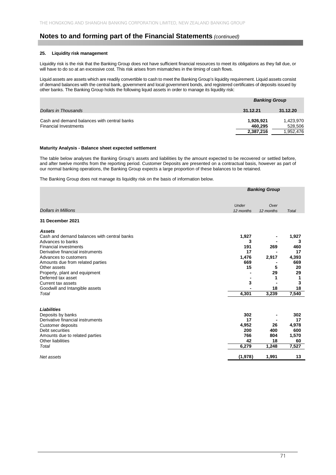### **25. Liquidity risk management**

Liquidity risk is the risk that the Banking Group does not have sufficient financial resources to meet its obligations as they fall due, or will have to do so at an excessive cost. This risk arises from mismatches in the timing of cash flows.

Liquid assets are assets which are readily convertible to cash to meet the Banking Group's liquidity requirement. Liquid assets consist of demand balances with the central bank, government and local government bonds, and registered certificates of deposits issued by other banks. The Banking Group holds the following liquid assets in order to manage its liquidity risk:

|                                             |           | <b>Banking Group</b> |  |  |
|---------------------------------------------|-----------|----------------------|--|--|
| Dollars in Thousands                        | 31.12.21  | 31.12.20             |  |  |
| Cash and demand balances with central banks | 1,926,921 | 1,423,970            |  |  |
| <b>Financial Investments</b>                | 460.295   | 528,506              |  |  |
|                                             | 2,387,216 | 1,952,476            |  |  |

#### **Maturity Analysis - Balance sheet expected settlement**

The table below analyses the Banking Group's assets and liabilities by the amount expected to be recovered or settled before, and after twelve months from the reporting period. Customer Deposits are presented on a contractual basis, however as part of our normal banking operations, the Banking Group expects a large proportion of these balances to be retained.

The Banking Group does not manage its liquidity risk on the basis of information below.

|                                             | <b>Banking Group</b> |                   |              |
|---------------------------------------------|----------------------|-------------------|--------------|
| <b>Dollars in Millions</b>                  | Under<br>12 months   | Over<br>12 months | <b>Total</b> |
| 31 December 2021                            |                      |                   |              |
| <b>Assets</b>                               |                      |                   |              |
| Cash and demand balances with central banks | 1,927                |                   | 1,927        |
| Advances to banks                           | 3                    |                   | 3            |
| <b>Financial investments</b>                | 191                  | 269               | 460          |
| Derivative financial instruments            | 17                   |                   | 17           |
| Advances to customers                       | 1,476                | 2,917             | 4,393        |
| Amounts due from related parties            | 669                  |                   | 669          |
| Other assets                                | 15                   | 5                 | 20           |
| Property, plant and equipment               |                      | 29                | 29           |
| Deferred tax asset                          |                      | 1                 | 1            |
| Current tax assets                          | 3                    |                   | 3            |
| Goodwill and Intangible assets              |                      | 18                | 18           |
| Total                                       | 4,301                | 3,239             | 7,540        |
| <b>Liabilities</b>                          |                      |                   |              |
| Deposits by banks                           | 302                  |                   | 302          |
| Derivative financial instruments            | 17                   |                   | 17           |
| <b>Customer deposits</b>                    | 4,952                | 26                | 4,978        |
| Debt securities                             | 200                  | 400               | 600          |
| Amounts due to related parties              | 766                  | 804               | 1,570        |
| <b>Other liabilities</b>                    | 42                   | 18                | 60           |
| Total                                       | 6,279                | 1,248             | 7,527        |
| Net assets                                  | (1,978)              | 1,991             | 13           |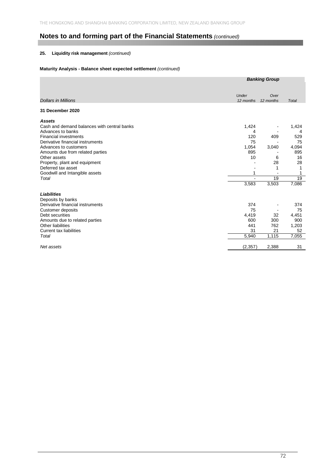# **25. Liquidity risk management** *(continued)*

#### **Maturity Analysis - Balance sheet expected settlement** *(continued)*

|                                             | <b>Banking Group</b> |                   |       |
|---------------------------------------------|----------------------|-------------------|-------|
| <b>Dollars in Millions</b>                  | Under<br>12 months   | Over<br>12 months | Total |
|                                             |                      |                   |       |
| 31 December 2020                            |                      |                   |       |
| <b>Assets</b>                               |                      |                   |       |
| Cash and demand balances with central banks | 1,424                |                   | 1,424 |
| Advances to banks                           | 4                    |                   | 4     |
| <b>Financial investments</b>                | 120                  | 409               | 529   |
| Derivative financial instruments            | 75                   |                   | 75    |
| Advances to customers                       | 1,054                | 3,040             | 4,094 |
| Amounts due from related parties            | 895                  |                   | 895   |
| Other assets                                | 10                   | 6                 | 16    |
| Property, plant and equipment               |                      | 28                | 28    |
| Deferred tax asset                          |                      | 1                 |       |
| Goodwill and Intangible assets              |                      |                   |       |
| Total                                       | ÷.                   | 19                | 19    |
|                                             | 3,583                | 3,503             | 7,086 |
| <b>Liabilities</b>                          |                      |                   |       |
| Deposits by banks                           |                      |                   |       |
| Derivative financial instruments            | 374                  |                   | 374   |
| <b>Customer deposits</b>                    | 75                   |                   | 75    |
| Debt securities                             | 4,419                | 32                | 4,451 |
| Amounts due to related parties              | 600                  | 300               | 900   |
| Other liabilities                           | 441                  | 762               | 1,203 |
| <b>Current tax liabilities</b>              | 31                   | 21                | 52    |
| Total                                       | 5,940                | 1,115             | 7,055 |
| Net assets                                  | (2, 357)             | 2,388             | 31    |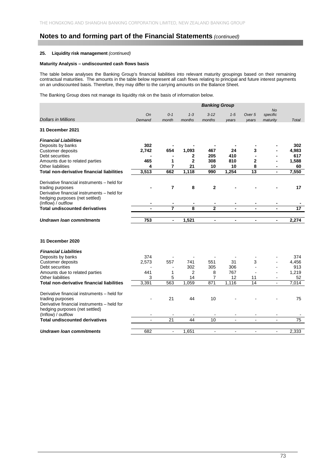#### **25. Liquidity risk management** *(continued)*

#### **Maturity Analysis – undiscounted cash flows basis**

The table below analyses the Banking Group's financial liabilities into relevant maturity groupings based on their remaining contractual maturities. The amounts in the table below represent all cash flows relating to principal and future interest payments on an undiscounted basis. Therefore, they may differ to the carrying amounts on the Balance Sheet.

The Banking Group does not manage its liquidity risk on the basis of information below.

|                                                   | <b>Banking Group</b> |                          |              |                          |                |                          |                          |                 |
|---------------------------------------------------|----------------------|--------------------------|--------------|--------------------------|----------------|--------------------------|--------------------------|-----------------|
|                                                   | <b>On</b>            | $0 - 1$                  | $1 - 3$      | $3 - 12$                 | $1 - 5$        | Over <sub>5</sub>        | <b>No</b><br>specific    |                 |
| <b>Dollars in Millions</b>                        | Demand               | month                    | months       | months                   | years          | years                    | maturity                 | Total           |
| <b>31 December 2021</b>                           |                      |                          |              |                          |                |                          |                          |                 |
| <b>Financial Liabilities</b>                      |                      |                          |              |                          |                |                          |                          |                 |
| Deposits by banks                                 | 302                  |                          |              |                          |                |                          |                          | 302             |
| <b>Customer deposits</b>                          | 2,742                | 654                      | 1,093        | 467                      | 24             | 3                        |                          | 4,983           |
| Debt securities                                   |                      |                          | 2            | 205                      | 410            |                          |                          | 617             |
| Amounts due to related parties                    | 465                  | 1                        | $\mathbf{2}$ | 308                      | 810            | $\mathbf{2}$             |                          | 1,588           |
| <b>Other liabilities</b>                          | 4                    | $\overline{7}$           | 21           | 10                       | 10             | 8                        |                          | 60              |
| <b>Total non-derivative financial liabilities</b> | 3,513                | 662                      | 1,118        | 990                      | 1,254          | $\overline{13}$          |                          | 7,550           |
| Derivative financial instruments - held for       |                      |                          |              |                          |                |                          |                          |                 |
| trading purposes                                  |                      | $\overline{7}$           | 8            | $\mathbf{2}$             |                |                          |                          | 17              |
| Derivative financial instruments - held for       |                      |                          |              |                          |                |                          |                          |                 |
| hedging purposes (net settled)                    |                      |                          |              |                          |                |                          |                          |                 |
| (Inflow) / outflow                                |                      |                          |              |                          |                |                          |                          |                 |
| <b>Total undiscounted derivatives</b>             |                      | 7                        | 8            | $\overline{2}$           |                |                          |                          | $\overline{17}$ |
|                                                   |                      |                          |              |                          |                |                          |                          |                 |
| <b>Undrawn loan commitments</b>                   | 753                  | $\overline{\phantom{a}}$ | 1,521        | $\overline{\phantom{a}}$ | $\blacksquare$ | $\overline{\phantom{a}}$ | $\overline{\phantom{a}}$ | 2,274           |
| 31 December 2020                                  |                      |                          |              |                          |                |                          |                          |                 |
|                                                   |                      |                          |              |                          |                |                          |                          |                 |
| <b>Financial Liabilities</b>                      |                      |                          |              |                          |                |                          |                          |                 |
| Deposits by banks                                 | 374                  |                          |              |                          |                |                          |                          | 374             |
| <b>Customer deposits</b><br>Debt securities       | 2,573                | 557                      | 741<br>302   | 551<br>305               | 31<br>306      | 3                        | $\overline{\phantom{a}}$ | 4,456<br>913    |
| Amounts due to related parties                    | 441                  | $\blacksquare$<br>1      | 2            | 8                        | 767            |                          |                          | 1,219           |
| <b>Other liabilities</b>                          | 3                    | 5                        | 14           | $\overline{7}$           | 12             | 11                       |                          | 52              |
| <b>Total non-derivative financial liabilities</b> | 3.391                | 563                      | 1.059        | 871                      | 1.116          | 14                       | $\blacksquare$           | 7.014           |
|                                                   |                      |                          |              |                          |                |                          |                          |                 |
| Derivative financial instruments - held for       |                      |                          |              |                          |                |                          |                          |                 |
| trading purposes                                  |                      | 21                       | 44           | 10                       |                |                          |                          | 75              |
| Derivative financial instruments - held for       |                      |                          |              |                          |                |                          |                          |                 |
| hedging purposes (net settled)                    |                      |                          |              |                          |                |                          |                          |                 |
| (Inflow) / outflow                                |                      |                          |              |                          |                |                          |                          |                 |
| <b>Total undiscounted derivatives</b>             | ÷,                   | 21                       | 44           | 10                       | $\blacksquare$ | $\overline{\phantom{a}}$ | $\overline{\phantom{a}}$ | $\overline{75}$ |
| <b>Undrawn loan commitments</b>                   | 682                  | $\blacksquare$           | 1,651        | $\blacksquare$           | $\blacksquare$ | $\blacksquare$           | $\blacksquare$           | 2,333           |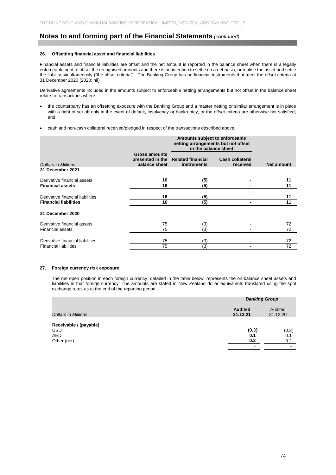#### **26. Offsetting financial asset and financial liabilities**

Financial assets and financial liabilities are offset and the net amount is reported in the balance sheet when there is a legally enforceable right to offset the recognised amounts and there is an intention to settle on a net basis, or realise the asset and settle the liability simultaneously ("the offset criteria"). The Banking Group has no financial instruments that meet the offset criteria at 31 December 2020 (2020: nil).

Derivative agreements included in the amounts subject to enforceable netting arrangements but not offset in the balance sheet relate to transactions where:

- the counterparty has an offsetting exposure with the Banking Group and a master netting or similar arrangement is in place with a right of set off only in the event of default, insolvency or bankruptcy, or the offset criteria are otherwise not satisfied; and
- cash and non-cash collateral received/pledged in respect of the transactions described above.

|                                  |                                                    | Amounts subject to enforceable<br>netting arrangements but not offset<br>in the balance sheet |                                    |                   |
|----------------------------------|----------------------------------------------------|-----------------------------------------------------------------------------------------------|------------------------------------|-------------------|
| <b>Dollars in Millions</b>       | Gross amounts<br>presented in the<br>balance sheet | <b>Related financial</b><br>instruments                                                       | <b>Cash collateral</b><br>received | <b>Net amount</b> |
| 31 December 2021                 |                                                    |                                                                                               |                                    |                   |
| Derivative financial assets      | 16                                                 | (5)                                                                                           |                                    | 11                |
| <b>Financial assets</b>          | 16                                                 | (5)                                                                                           |                                    | 11                |
| Derivative financial liabilities | 16                                                 | (5)                                                                                           |                                    | 11                |
| <b>Financial liabilities</b>     | 16                                                 | (5)                                                                                           |                                    | 11                |
| 31 December 2020                 |                                                    |                                                                                               |                                    |                   |
| Derivative financial assets      | 75                                                 | (3)                                                                                           |                                    | 72                |
| <b>Financial assets</b>          | 75                                                 | (3)                                                                                           |                                    | 72                |
| Derivative financial liabilities | 75                                                 | (3)                                                                                           |                                    | 72                |
| <b>Financial liabilities</b>     | 75                                                 | (3)                                                                                           |                                    | 72                |

#### **27. Foreign currency risk exposure**

The net open position in each foreign currency, detailed in the table below, represents the on-balance sheet assets and liabilities in that foreign currency. The amounts are stated in New Zealand dollar equivalents translated using the spot exchange rates as at the end of the reporting period.

|                                                             | <b>Banking Group</b>       |                                                 |
|-------------------------------------------------------------|----------------------------|-------------------------------------------------|
| <b>Dollars in Millions</b>                                  | <b>Audited</b><br>31.12.21 | Audited<br>31.12.20                             |
| Receivable / (payable)<br>USD.<br><b>AED</b><br>Other (net) | (0.3)<br>0.1<br>0.2<br>-   | (0.3)<br>0.1<br>0.2<br>$\overline{\phantom{0}}$ |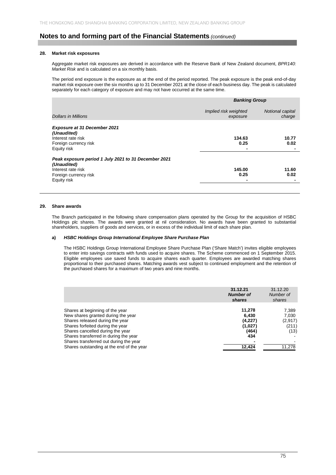#### **28. Market risk exposures**

Aggregate market risk exposures are derived in accordance with the Reserve Bank of New Zealand document, *BPR140: Market Risk* and is calculated on a six monthly basis.

The period end exposure is the exposure as at the end of the period reported. The peak exposure is the peak end-of-day market risk exposure over the six months up to 31 December 2021 at the close of each business day. The peak is calculated separately for each category of exposure and may not have occurred at the same time.

|                                                                                                                                   |                                   | <b>Banking Group</b>       |  |  |
|-----------------------------------------------------------------------------------------------------------------------------------|-----------------------------------|----------------------------|--|--|
| <b>Dollars in Millions</b>                                                                                                        | Implied risk weighted<br>exposure | Notional capital<br>charge |  |  |
| <b>Exposure at 31 December 2021</b><br>(Unaudited)<br>Interest rate risk<br>Foreign currency risk<br>Equity risk                  | 134.63<br>0.25                    | 10.77<br>0.02              |  |  |
| Peak exposure period 1 July 2021 to 31 December 2021<br>(Unaudited)<br>Interest rate risk<br>Foreign currency risk<br>Equity risk | 145.00<br>0.25                    | 11.60<br>0.02              |  |  |

#### **29. Share awards**

The Branch participated in the following share compensation plans operated by the Group for the acquisition of HSBC Holdings plc shares. The awards were granted at nil consideration. No awards have been granted to substantial shareholders, suppliers of goods and services, or in excess of the individual limit of each share plan.

#### **a)** *HSBC Holdings Group International Employee Share Purchase Plan*

The HSBC Holdings Group International Employee Share Purchase Plan ('Share Match') invites eligible employees to enter into savings contracts with funds used to acquire shares. The Scheme commenced on 1 September 2015. Eligible employees use saved funds to acquire shares each quarter. Employees are awarded matching shares proportional to their purchased shares. Matching awards vest subject to continued employment and the retention of the purchased shares for a maximum of two years and nine months.

|                                           | 31.12.21<br><b>Number of</b><br>shares | 31.12.20<br>Number of<br>shares |
|-------------------------------------------|----------------------------------------|---------------------------------|
| Shares at beginning of the year           | 11.278                                 | 7,389                           |
| New shares granted during the year        | 6.430                                  | 7,030                           |
| Shares released during the year           | (4,227)                                | (2,917)                         |
| Shares forfeited during the year          | (1,027)                                | (211)                           |
| Shares cancelled during the year          | (464)                                  | (13)                            |
| Shares transferred in during the year     | 434                                    |                                 |
| Shares transferred out during the year    |                                        |                                 |
| Shares outstanding at the end of the year | 12,424                                 | 11,278                          |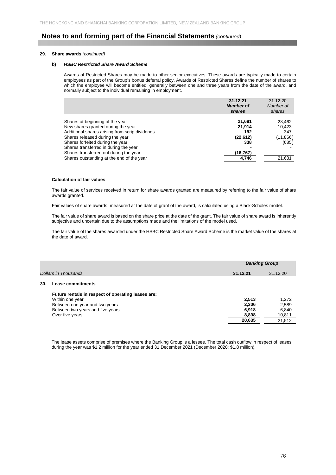#### **29. Share awards** *(continued)*

#### **b)** *HSBC Restricted Share Award Scheme*

Awards of Restricted Shares may be made to other senior executives. These awards are typically made to certain employees as part of the Group's bonus deferral policy. Awards of Restricted Shares define the number of shares to which the employee will become entitled, generally between one and three years from the date of the award, and normally subject to the individual remaining in employment.

|                                                | 31.12.21<br><b>Number of</b><br>shares | 31.12.20<br>Number of<br>shares |
|------------------------------------------------|----------------------------------------|---------------------------------|
| Shares at beginning of the year                | 21,681                                 | 23,462                          |
| New shares granted during the year             | 21.914                                 | 10,423                          |
| Additional shares arising from scrip dividends | 192                                    | 347                             |
| Shares released during the year                | (22, 612)                              | (11, 866)                       |
| Shares forfeited during the year               | 338                                    | (685)                           |
| Shares transferred in during the year          |                                        |                                 |
| Shares transferred out during the year         | (16,767)                               |                                 |
| Shares outstanding at the end of the year      | 4,746                                  | 21,681                          |

#### **Calculation of fair values**

The fair value of services received in return for share awards granted are measured by referring to the fair value of share awards granted.

Fair values of share awards, measured at the date of grant of the award, is calculated using a Black-Scholes model.

The fair value of share award is based on the share price at the date of the grant. The fair value of share award is inherently subjective and uncertain due to the assumptions made and the limitations of the model used.

The fair value of the shares awarded under the HSBC Restricted Share Award Scheme is the market value of the shares at the date of award.

|     |                                                    | <b>Banking Group</b> |          |
|-----|----------------------------------------------------|----------------------|----------|
|     | Dollars in Thousands                               | 31.12.21             | 31.12.20 |
| 30. | Lease commitments                                  |                      |          |
|     | Future rentals in respect of operating leases are: |                      |          |
|     | Within one year                                    | 2,513                | 1,272    |
|     | Between one year and two years                     | 2,306                | 2,589    |
|     | Between two years and five years                   | 6,918                | 6,840    |
|     | Over five years                                    | 8,898                | 10,811   |
|     |                                                    | 20.635               | 21,512   |
|     |                                                    |                      |          |

The lease assets comprise of premises where the Banking Group is a lessee. The total cash outflow in respect of leases during the year was \$1.2 million for the year ended 31 December 2021 (December 2020: \$1.8 million).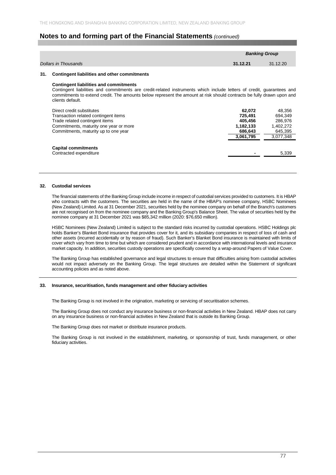|     |                                                                                                                                                                                                                                                                                                                     |                                                                   | <b>Banking Group</b>                                              |
|-----|---------------------------------------------------------------------------------------------------------------------------------------------------------------------------------------------------------------------------------------------------------------------------------------------------------------------|-------------------------------------------------------------------|-------------------------------------------------------------------|
|     | Dollars in Thousands                                                                                                                                                                                                                                                                                                | 31.12.21                                                          | 31.12.20                                                          |
| 31. | <b>Contingent liabilities and other commitments</b>                                                                                                                                                                                                                                                                 |                                                                   |                                                                   |
|     | <b>Contingent liabilities and commitments</b><br>Contingent liabilities and commitments are credit-related instruments which include letters of credit, guarantees and<br>commitments to extend credit. The amounts below represent the amount at risk should contracts be fully drawn upon and<br>clients default. |                                                                   |                                                                   |
|     | Direct credit substitutes<br>Transaction related contingent items<br>Trade related contingent items<br>Commitments, maturity one year or more<br>Commitments, maturity up to one year                                                                                                                               | 62,072<br>725.491<br>405,456<br>1,182,133<br>686,643<br>3,061,795 | 48,356<br>694.349<br>286,976<br>1,402,272<br>645,395<br>3,077,348 |
|     | <b>Capital commitments</b><br>Contracted expenditure                                                                                                                                                                                                                                                                |                                                                   | 5,339                                                             |

#### **32. Custodial services**

The financial statements of the Banking Group include income in respect of custodial services provided to customers. It is HBAP who contracts with the customers. The securities are held in the name of the HBAP's nominee company, HSBC Nominees (New Zealand) Limited. As at 31 December 2021, securities held by the nominee company on behalf of the Branch's customers are not recognised on from the nominee company and the Banking Group's Balance Sheet. The value of securities held by the nominee company at 31 December 2021 was \$85,342 million (2020: \$76,650 million).

HSBC Nominees (New Zealand) Limited is subject to the standard risks incurred by custodial operations. HSBC Holdings plc holds Banker's Blanket Bond insurance that provides cover for it, and its subsidiary companies in respect of loss of cash and other assets (incurred accidentally or by reason of fraud). Such Banker's Blanket Bond insurance is maintained with limits of cover which vary from time to time but which are considered prudent and in accordance with international levels and insurance market capacity. In addition, securities custody operations are specifically covered by a wrap-around Papers of Value Cover.

The Banking Group has established governance and legal structures to ensure that difficulties arising from custodial activities would not impact adversely on the Banking Group. The legal structures are detailed within the Statement of significant accounting policies and as noted above.

#### **33. Insurance, securitisation, funds management and other fiduciary activities**

The Banking Group is not involved in the origination, marketing or servicing of securitisation schemes.

The Banking Group does not conduct any insurance business or non-financial activities in New Zealand. HBAP does not carry on any insurance business or non-financial activities in New Zealand that is outside its Banking Group.

The Banking Group does not market or distribute insurance products.

The Banking Group is not involved in the establishment, marketing, or sponsorship of trust, funds management, or other fiduciary activities.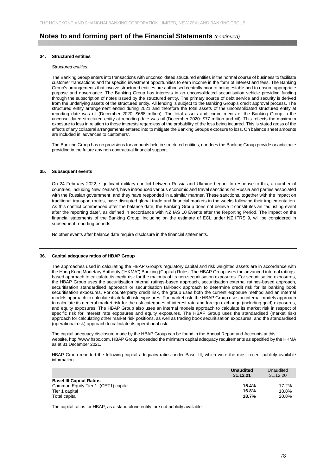#### **34. Structured entities**

#### *Structured entities*

The Banking Group enters into transactions with unconsolidated structured entities in the normal course of business to facilitate customer transactions and for specific investment opportunities to earn income in the form of interest and fees. The Banking Group's arrangements that involve structured entities are authorised centrally prior to being established to ensure appropriate purpose and governance. The Banking Group has interests in an unconsolidated securitisation vehicle providing funding through the subscription of notes issued by the structured entity. The primary source of debt service and security is derived from the underlying assets of the structured entity. All lending is subject to the Banking Group's credit approval process. The structured entity arrangement ended during 2021 and therefore the total assets of the unconsolidated structured entity at reporting date was nil (December 2020: \$668 million). The total assets and commitments of the Banking Group in the unconsolidated structured entity at reporting date was nil (December 2020: \$77 million and nil). This reflects the maximum exposure to loss in relation to those interests regardless of the probability of the loss being incurred. This is stated gross of the effects of any collateral arrangements entered into to mitigate the Banking Groups exposure to loss. On balance sheet amounts are included in 'advances to customers'.

The Banking Group has no provisions for amounts held in structured entities, nor does the Banking Group provide or anticipate providing in the future any non-contractual financial support.

#### **35. Subsequent events**

On 24 February 2022, significant military conflict between Russia and Ukraine began. In response to this, a number of countries, including New Zealand, have introduced various economic and travel sanctions on Russia and parties associated with the Russian government, and they have responded in a similar manner. These sanctions, together with the impact on traditional transport routes, have disrupted global trade and financial markets in the weeks following their implementation. As this conflict commenced after the balance date, the Banking Group does not believe it constitutes an "adjusting event after the reporting date", as defined in accordance with NZ IAS 10 Events after the Reporting Period. The impact on the financial statements of the Banking Group, including on the estimate of ECL under NZ IFRS 9, will be considered in subsequent reporting periods.

No other events after balance date require disclosure in the financial statements.

#### **36. Capital adequacy ratios of HBAP Group**

The approaches used in calculating the HBAP Group's regulatory capital and risk weighted assets are in accordance with the Hong Kong Monetary Authority ("HKMA") Banking (Capital) Rules. The HBAP Group uses the advanced internal ratingsbased approach to calculate its credit risk for the majority of its non-securitisation exposures. For securitisation exposures, the HBAP Group uses the securitisation internal ratings-based approach, securitisation external ratings-based approach, securitisation standardised approach or securitisation fall-back approach to determine credit risk for its banking book securitisation exposures. For counterparty credit risk, the group uses both the current exposure method and an internal models approach to calculate its default risk exposures. For market risk, the HBAP Group uses an internal models approach to calculate its general market risk for the risk categories of interest rate and foreign exchange (including gold) exposures, and equity exposures. The HBAP Group also uses an internal models approach to calculate its market risk in respect of specific risk for interest rate exposures and equity exposures. The HBAP Group uses the standardised (market risk) approach for calculating other market risk positions, as well as trading book securitisation exposures, and the standardised (operational risk) approach to calculate its operational risk.

The capital adequacy disclosure made by the HBAP Group can be found in the Annual Report and Accounts at this website, http://www.hsbc.com. HBAP Group exceeded the minimum capital adequacy requirements as specified by the HKMA as at 31 December 2021.

HBAP Group reported the following capital adequacy ratios under Basel III, which were the most recent publicly available information:

|                                                                                                           | <b>Unaudited</b><br>31.12.21 | Unaudited<br>31.12.20   |
|-----------------------------------------------------------------------------------------------------------|------------------------------|-------------------------|
| <b>Basel III Capital Ratios</b><br>Common Equity Tier 1 (CET1) capital<br>Tier 1 capital<br>Total capital | 15.4%<br>16.8%<br>18.7%      | 17.2%<br>18.8%<br>20.8% |

The capital ratios for HBAP, as a stand-alone entity, are not publicly available.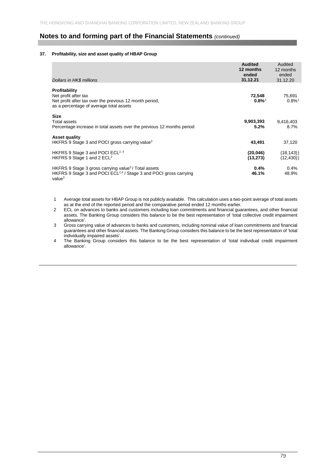#### **37. Profitability, size and asset quality of HBAP Group**

| Dollars in HK\$ millions                                                                                                                                                | <b>Audited</b><br>12 months<br>ended<br>31.12.21 | Audited<br>12 months<br>ended<br>31.12.20 |
|-------------------------------------------------------------------------------------------------------------------------------------------------------------------------|--------------------------------------------------|-------------------------------------------|
| Profitability<br>Net profit after tax<br>Net profit after tax over the previous 12 month period,<br>as a percentage of average total assets                             | 72,548<br>$0.8\%$ <sup>1</sup>                   | 75,691<br>$0.8\%$ <sup>1</sup>            |
| <b>Size</b><br>Total assets<br>Percentage increase in total assets over the previous 12 months period                                                                   | 9,903,393<br>5.2%                                | 9,416,403<br>8.7%                         |
| <b>Asset quality</b><br>HKFRS 9 Stage 3 and POCI gross carrying value <sup>3</sup>                                                                                      | 43.491                                           | 37,120                                    |
| HKFRS 9 Stage 3 and POCI ECL <sup>2, 4</sup><br>HKFRS 9 Stage 1 and 2 $ECL2$                                                                                            | (20, 046)<br>(13, 273)                           | (18, 143)<br>(12, 430)                    |
| HKFRS 9 Stage 3 gross carrying value <sup>3</sup> / Total assets<br>HKFRS 9 Stage 3 and POCI ECL <sup>2,4</sup> / Stage 3 and POCI gross carrying<br>value <sup>3</sup> | 0.4%<br>46.1%                                    | 0.4%<br>48.9%                             |

1 Average total assets for HBAP Group is not publicly available. This calculation uses a two-point average of total assets as at the end of the reported period and the comparative period ended 12 months earlier.

2 ECL on advances to banks and customers including loan commitments and financial guarantees, and other financial assets. The Banking Group considers this balance to be the best representation of 'total collective credit impairment allowance'.

3 Gross carrying value of advances to banks and customers, including nominal value of loan commitments and financial guarantees and other financial assets. The Banking Group considers this balance to be the best representation of 'total individually impaired assets'.

4 The Banking Group considers this balance to be the best representation of 'total individual credit impairment allowance'.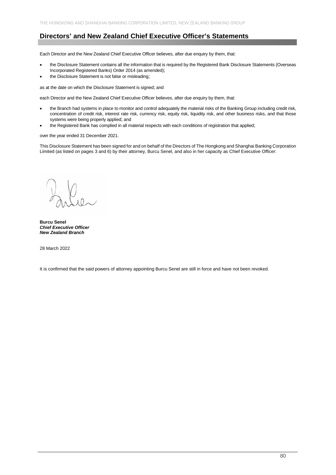# **Directors' and New Zealand Chief Executive Officer's Statements**

Each Director and the New Zealand Chief Executive Officer believes, after due enquiry by them, that:

- the Disclosure Statement contains all the information that is required by the Registered Bank Disclosure Statements (Overseas Incorporated Registered Banks) Order 2014 (as amended);
- the Disclosure Statement is not false or misleading;

as at the date on which the Disclosure Statement is signed; and

each Director and the New Zealand Chief Executive Officer believes, after due enquiry by them, that:

- the Branch had systems in place to monitor and control adequately the material risks of the Banking Group including credit risk, concentration of credit risk, interest rate risk, currency risk, equity risk, liquidity risk, and other business risks, and that those systems were being properly applied; and
- the Registered Bank has complied in all material respects with each conditions of registration that applied;

over the year ended 31 December 2021.

This Disclosure Statement has been signed for and on behalf of the Directors of The Hongkong and Shanghai Banking Corporation Limited (as listed on pages 3 and 6) by their attorney, Burcu Senel, and also in her capacity as Chief Executive Officer:

**Burcu Senel**  *Chief Executive Officer New Zealand Branch* 

28 March 2022

It is confirmed that the said powers of attorney appointing Burcu Senel are still in force and have not been revoked.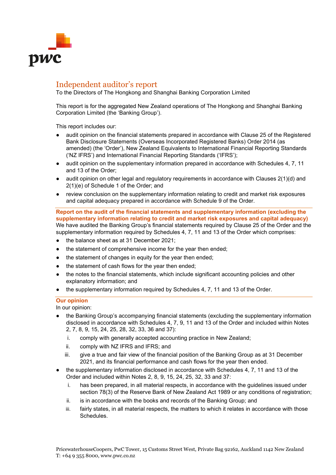

# Independent auditor's report

To the Directors of The Hongkong and Shanghai Banking Corporation Limited

This report is for the aggregated New Zealand operations of The Hongkong and Shanghai Banking Corporation Limited (the 'Banking Group').

This report includes our:

- audit opinion on the financial statements prepared in accordance with Clause 25 of the Registered Bank Disclosure Statements (Overseas Incorporated Registered Banks) Order 2014 (as amended) (the 'Order'), New Zealand Equivalents to International Financial Reporting Standards ('NZ IFRS') and International Financial Reporting Standards ('IFRS');
- audit opinion on the supplementary information prepared in accordance with Schedules 4, 7, 11 and 13 of the Order;
- audit opinion on other legal and regulatory requirements in accordance with Clauses  $2(1)(d)$  and 2(1)(e) of Schedule 1 of the Order; and
- review conclusion on the supplementary information relating to credit and market risk exposures and capital adequacy prepared in accordance with Schedule 9 of the Order.

**Report on the audit of the financial statements and supplementary information (excluding the supplementary information relating to credit and market risk exposures and capital adequacy)** We have audited the Banking Group's financial statements required by Clause 25 of the Order and the supplementary information required by Schedules 4, 7, 11 and 13 of the Order which comprises:

- the balance sheet as at 31 December 2021;
- the statement of comprehensive income for the year then ended;
- the statement of changes in equity for the year then ended;
- the statement of cash flows for the year then ended;
- the notes to the financial statements, which include significant accounting policies and other explanatory information; and
- the supplementary information required by Schedules 4, 7, 11 and 13 of the Order.

## **Our opinion**

In our opinion:

- the Banking Group's accompanying financial statements (excluding the supplementary information disclosed in accordance with Schedules 4, 7, 9, 11 and 13 of the Order and included within Notes 2, 7, 8, 9, 15, 24, 25, 28, 32, 33, 36 and 37):
	- i. comply with generally accepted accounting practice in New Zealand;
	- ii. comply with NZ IFRS and IFRS; and
	- iii. give a true and fair view of the financial position of the Banking Group as at 31 December 2021, and its financial performance and cash flows for the year then ended.
- the supplementary information disclosed in accordance with Schedules 4, 7, 11 and 13 of the Order and included within Notes 2, 8, 9, 15, 24, 25, 32, 33 and 37:
	- i. has been prepared, in all material respects, in accordance with the guidelines issued under section 78(3) of the Reserve Bank of New Zealand Act 1989 or any conditions of registration;
	- ii. is in accordance with the books and records of the Banking Group; and
	- iii. fairly states, in all material respects, the matters to which it relates in accordance with those Schedules.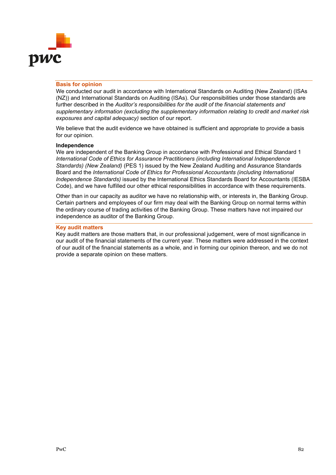

## **Basis for opinion**

We conducted our audit in accordance with International Standards on Auditing (New Zealand) (ISAs (NZ)) and International Standards on Auditing (ISAs). Our responsibilities under those standards are further described in the *Auditor's responsibilities for the audit of the financial statements and supplementary information (excluding the supplementary information relating to credit and market risk exposures and capital adequacy)* section of our report.

We believe that the audit evidence we have obtained is sufficient and appropriate to provide a basis for our opinion.

## **Independence**

We are independent of the Banking Group in accordance with Professional and Ethical Standard 1 *International Code of Ethics for Assurance Practitioners (including International Independence Standards) (New Zealand)* (PES 1) issued by the New Zealand Auditing and Assurance Standards Board and the *International Code of Ethics for Professional Accountants (including International Independence Standards)* issued by the International Ethics Standards Board for Accountants (IESBA Code), and we have fulfilled our other ethical responsibilities in accordance with these requirements.

Other than in our capacity as auditor we have no relationship with, or interests in, the Banking Group. Certain partners and employees of our firm may deal with the Banking Group on normal terms within the ordinary course of trading activities of the Banking Group. These matters have not impaired our independence as auditor of the Banking Group.

## **Key audit matters**

Key audit matters are those matters that, in our professional judgement, were of most significance in our audit of the financial statements of the current year. These matters were addressed in the context of our audit of the financial statements as a whole, and in forming our opinion thereon, and we do not provide a separate opinion on these matters.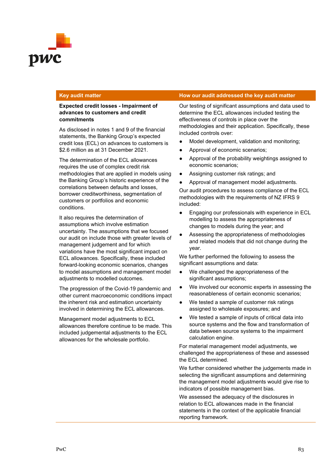

## **Expected credit losses - Impairment of advances to customers and credit commitments**

As disclosed in notes 1 and 9 of the financial statements, the Banking Group's expected credit loss (ECL) on advances to customers is \$2.6 million as at 31 December 2021.

The determination of the ECL allowances requires the use of complex credit risk methodologies that are applied in models using the Banking Group's historic experience of the correlations between defaults and losses, borrower creditworthiness, segmentation of customers or portfolios and economic conditions.

It also requires the determination of assumptions which involve estimation uncertainty. The assumptions that we focused our audit on include those with greater levels of management judgement and for which variations have the most significant impact on ECL allowances. Specifically, these included forward-looking economic scenarios, changes to model assumptions and management model adjustments to modelled outcomes.

The progression of the Covid-19 pandemic and other current macroeconomic conditions impact the inherent risk and estimation uncertainty involved in determining the ECL allowances.

Management model adjustments to ECL allowances therefore continue to be made. This included judgemental adjustments to the ECL allowances for the wholesale portfolio.

## **Key audit matter How our audit addressed the key audit matter**

Our testing of significant assumptions and data used to determine the ECL allowances included testing the effectiveness of controls in place over the methodologies and their application. Specifically, these included controls over:

- Model development, validation and monitoring;
- Approval of economic scenarios;
- Approval of the probability weightings assigned to economic scenarios;
- Assigning customer risk ratings; and
- Approval of management model adjustments.

Our audit procedures to assess compliance of the ECL methodologies with the requirements of NZ IFRS 9 included:

- Engaging our professionals with experience in ECL modelling to assess the appropriateness of changes to models during the year; and
- Assessing the appropriateness of methodologies and related models that did not change during the year.

We further performed the following to assess the significant assumptions and data:

- We challenged the appropriateness of the significant assumptions;
- We involved our economic experts in assessing the reasonableness of certain economic scenarios;
- We tested a sample of customer risk ratings assigned to wholesale exposures; and
- We tested a sample of inputs of critical data into source systems and the flow and transformation of data between source systems to the impairment calculation engine.

For material management model adjustments, we challenged the appropriateness of these and assessed the ECL determined.

We further considered whether the judgements made in selecting the significant assumptions and determining the management model adjustments would give rise to indicators of possible management bias.

We assessed the adequacy of the disclosures in relation to ECL allowances made in the financial statements in the context of the applicable financial reporting framework.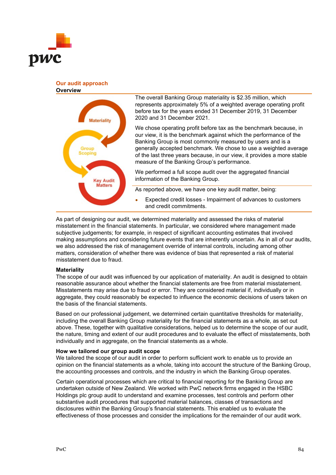

## **Our audit approach Overview**



The overall Banking Group materiality is \$2.35 million, which represents approximately 5% of a weighted average operating profit before tax for the years ended 31 December 2019, 31 December 2020 and 31 December 2021.

We chose operating profit before tax as the benchmark because, in our view, it is the benchmark against which the performance of the Banking Group is most commonly measured by users and is a generally accepted benchmark. We chose to use a weighted average of the last three years because, in our view, it provides a more stable measure of the Banking Group's performance.

We performed a full scope audit over the aggregated financial information of the Banking Group.

As reported above, we have one key audit matter, being:

Expected credit losses - Impairment of advances to customers and credit commitments.

As part of designing our audit, we determined materiality and assessed the risks of material misstatement in the financial statements. In particular, we considered where management made subjective judgements; for example, in respect of significant accounting estimates that involved making assumptions and considering future events that are inherently uncertain. As in all of our audits, we also addressed the risk of management override of internal controls, including among other matters, consideration of whether there was evidence of bias that represented a risk of material misstatement due to fraud.

## **Materiality**

The scope of our audit was influenced by our application of materiality. An audit is designed to obtain reasonable assurance about whether the financial statements are free from material misstatement. Misstatements may arise due to fraud or error. They are considered material if, individually or in aggregate, they could reasonably be expected to influence the economic decisions of users taken on the basis of the financial statements.

Based on our professional judgement, we determined certain quantitative thresholds for materiality, including the overall Banking Group materiality for the financial statements as a whole, as set out above. These, together with qualitative considerations, helped us to determine the scope of our audit, the nature, timing and extent of our audit procedures and to evaluate the effect of misstatements, both individually and in aggregate, on the financial statements as a whole.

## **How we tailored our group audit scope**

We tailored the scope of our audit in order to perform sufficient work to enable us to provide an opinion on the financial statements as a whole, taking into account the structure of the Banking Group, the accounting processes and controls, and the industry in which the Banking Group operates.

Certain operational processes which are critical to financial reporting for the Banking Group are undertaken outside of New Zealand. We worked with PwC network firms engaged in the HSBC Holdings plc group audit to understand and examine processes, test controls and perform other substantive audit procedures that supported material balances, classes of transactions and disclosures within the Banking Group's financial statements. This enabled us to evaluate the effectiveness of those processes and consider the implications for the remainder of our audit work.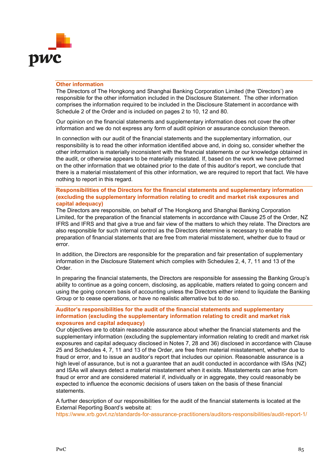

## **Other information**

The Directors of The Hongkong and Shanghai Banking Corporation Limited (the 'Directors') are responsible for the other information included in the Disclosure Statement. The other information comprises the information required to be included in the Disclosure Statement in accordance with Schedule 2 of the Order and is included on pages 2 to 10, 12 and 80.

Our opinion on the financial statements and supplementary information does not cover the other information and we do not express any form of audit opinion or assurance conclusion thereon.

In connection with our audit of the financial statements and the supplementary information, our responsibility is to read the other information identified above and, in doing so, consider whether the other information is materially inconsistent with the financial statements or our knowledge obtained in the audit, or otherwise appears to be materially misstated. If, based on the work we have performed on the other information that we obtained prior to the date of this auditor's report, we conclude that there is a material misstatement of this other information, we are required to report that fact. We have nothing to report in this regard.

# **Responsibilities of the Directors for the financial statements and supplementary information (excluding the supplementary information relating to credit and market risk exposures and capital adequacy)**

The Directors are responsible, on behalf of The Hongkong and Shanghai Banking Corporation Limited, for the preparation of the financial statements in accordance with Clause 25 of the Order, NZ IFRS and IFRS and that give a true and fair view of the matters to which they relate. The Directors are also responsible for such internal control as the Directors determine is necessary to enable the preparation of financial statements that are free from material misstatement, whether due to fraud or error.

In addition, the Directors are responsible for the preparation and fair presentation of supplementary information in the Disclosure Statement which complies with Schedules 2, 4, 7, 11 and 13 of the Order.

In preparing the financial statements, the Directors are responsible for assessing the Banking Group's ability to continue as a going concern, disclosing, as applicable, matters related to going concern and using the going concern basis of accounting unless the Directors either intend to liquidate the Banking Group or to cease operations, or have no realistic alternative but to do so.

## **Auditor's responsibilities for the audit of the financial statements and supplementary information (excluding the supplementary information relating to credit and market risk exposures and capital adequacy)**

Our objectives are to obtain reasonable assurance about whether the financial statements and the supplementary information (excluding the supplementary information relating to credit and market risk exposures and capital adequacy disclosed in Notes 7, 28 and 36) disclosed in accordance with Clause 25 and Schedules 4, 7, 11 and 13 of the Order, are free from material misstatement, whether due to fraud or error, and to issue an auditor's report that includes our opinion. Reasonable assurance is a high level of assurance, but is not a guarantee that an audit conducted in accordance with ISAs (NZ) and ISAs will always detect a material misstatement when it exists. Misstatements can arise from fraud or error and are considered material if, individually or in aggregate, they could reasonably be expected to influence the economic decisions of users taken on the basis of these financial statements.

A further description of our responsibilities for the audit of the financial statements is located at the External Reporting Board's website at:

<https://www.xrb.govt.nz/standards-for-assurance-practitioners/auditors-responsibilities/audit-report-1/>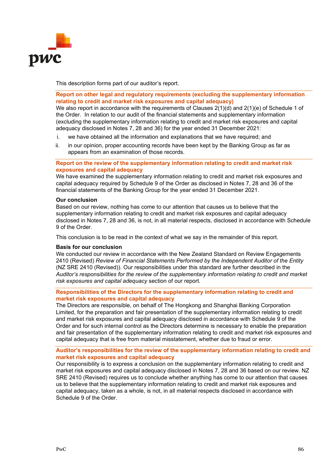

This description forms part of our auditor's report.

# **Report on other legal and regulatory requirements (excluding the supplementary information relating to credit and market risk exposures and capital adequacy)**

We also report in accordance with the requirements of Clauses 2(1)(d) and 2(1)(e) of Schedule 1 of the Order. In relation to our audit of the financial statements and supplementary information (excluding the supplementary information relating to credit and market risk exposures and capital adequacy disclosed in Notes 7, 28 and 36) for the year ended 31 December 2021:

- i. we have obtained all the information and explanations that we have required; and
- ii. in our opinion, proper accounting records have been kept by the Banking Group as far as appears from an examination of those records.

# **Report on the review of the supplementary information relating to credit and market risk exposures and capital adequacy**

We have examined the supplementary information relating to credit and market risk exposures and capital adequacy required by Schedule 9 of the Order as disclosed in Notes 7, 28 and 36 of the financial statements of the Banking Group for the year ended 31 December 2021.

## **Our conclusion**

Based on our review, nothing has come to our attention that causes us to believe that the supplementary information relating to credit and market risk exposures and capital adequacy disclosed in Notes 7, 28 and 36, is not, in all material respects, disclosed in accordance with Schedule 9 of the Order.

This conclusion is to be read in the context of what we say in the remainder of this report.

# **Basis for our conclusion**

We conducted our review in accordance with the New Zealand Standard on Review Engagements 2410 (Revised) *Review of Financial Statements Performed by the Independent Auditor of the Entity* (NZ SRE 2410 (Revised)). Our responsibilities under this standard are further described in the *Auditor's responsibilities for the review of the supplementary information relating to credit and market risk exposures and capital adequacy* section of our report.

## **Responsibilities of the Directors for the supplementary information relating to credit and market risk exposures and capital adequacy**

The Directors are responsible, on behalf of The Hongkong and Shanghai Banking Corporation Limited, for the preparation and fair presentation of the supplementary information relating to credit and market risk exposures and capital adequacy disclosed in accordance with Schedule 9 of the Order and for such internal control as the Directors determine is necessary to enable the preparation and fair presentation of the supplementary information relating to credit and market risk exposures and capital adequacy that is free from material misstatement, whether due to fraud or error.

## **Auditor's responsibilities for the review of the supplementary information relating to credit and market risk exposures and capital adequacy**

Our responsibility is to express a conclusion on the supplementary information relating to credit and market risk exposures and capital adequacy disclosed in Notes 7, 28 and 36 based on our review. NZ SRE 2410 (Revised) requires us to conclude whether anything has come to our attention that causes us to believe that the supplementary information relating to credit and market risk exposures and capital adequacy, taken as a whole, is not, in all material respects disclosed in accordance with Schedule 9 of the Order.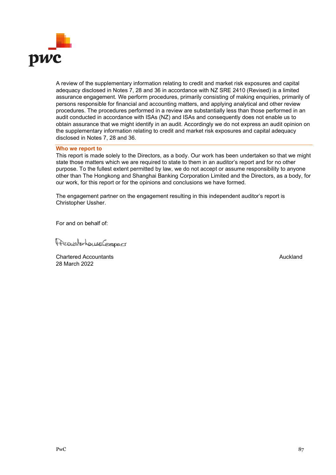

A review of the supplementary information relating to credit and market risk exposures and capital adequacy disclosed in Notes 7, 28 and 36 in accordance with NZ SRE 2410 (Revised) is a limited assurance engagement. We perform procedures, primarily consisting of making enquiries, primarily of persons responsible for financial and accounting matters, and applying analytical and other review procedures. The procedures performed in a review are substantially less than those performed in an audit conducted in accordance with ISAs (NZ) and ISAs and consequently does not enable us to obtain assurance that we might identify in an audit. Accordingly we do not express an audit opinion on the supplementary information relating to credit and market risk exposures and capital adequacy disclosed in Notes 7, 28 and 36.

## **Who we report to**

This report is made solely to the Directors, as a body. Our work has been undertaken so that we might state those matters which we are required to state to them in an auditor's report and for no other purpose. To the fullest extent permitted by law, we do not accept or assume responsibility to anyone other than The Hongkong and Shanghai Banking Corporation Limited and the Directors, as a body, for our work, for this report or for the opinions and conclusions we have formed.

The engagement partner on the engagement resulting in this independent auditor's report is Christopher Ussher.

For and on behalf of:

PresurterhouseCommerc

**Chartered Accountants** Auckland **Auckland Auckland** 28 March 2022